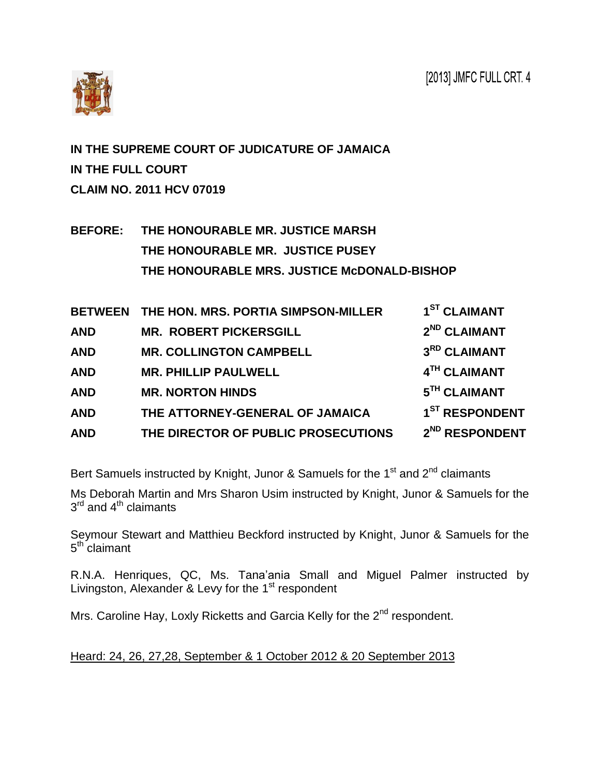

**IN THE SUPREME COURT OF JUDICATURE OF JAMAICA IN THE FULL COURT CLAIM NO. 2011 HCV 07019**

**BEFORE: THE HONOURABLE MR. JUSTICE MARSH THE HONOURABLE MR. JUSTICE PUSEY THE HONOURABLE MRS. JUSTICE McDONALD-BISHOP**

| <b>BETWEEN</b> | THE HON. MRS. PORTIA SIMPSON-MILLER | 1 <sup>ST</sup> CLAIMANT   |
|----------------|-------------------------------------|----------------------------|
| <b>AND</b>     | <b>MR. ROBERT PICKERSGILL</b>       | 2 <sup>ND</sup> CLAIMANT   |
| <b>AND</b>     | <b>MR. COLLINGTON CAMPBELL</b>      | 3RD CLAIMANT               |
| <b>AND</b>     | <b>MR. PHILLIP PAULWELL</b>         | 4TH CLAIMANT               |
| <b>AND</b>     | <b>MR. NORTON HINDS</b>             | 5TH CLAIMANT               |
| <b>AND</b>     | THE ATTORNEY-GENERAL OF JAMAICA     | 1 <sup>ST</sup> RESPONDENT |
| <b>AND</b>     | THE DIRECTOR OF PUBLIC PROSECUTIONS | 2 <sup>ND</sup> RESPONDENT |

Bert Samuels instructed by Knight, Junor & Samuels for the  $1<sup>st</sup>$  and  $2<sup>nd</sup>$  claimants

Ms Deborah Martin and Mrs Sharon Usim instructed by Knight, Junor & Samuels for the  $3^{\mathsf{rd}}$  and  $4^{\mathsf{th}}$  claimants

Seymour Stewart and Matthieu Beckford instructed by Knight, Junor & Samuels for the 5<sup>th</sup> claimant

R.N.A. Henriques, QC, Ms. Tana'ania Small and Miguel Palmer instructed by Livingston, Alexander & Levy for the  $1<sup>st</sup>$  respondent

Mrs. Caroline Hay, Loxly Ricketts and Garcia Kelly for the 2<sup>nd</sup> respondent.

Heard: 24, 26, 27,28, September & 1 October 2012 & 20 September 2013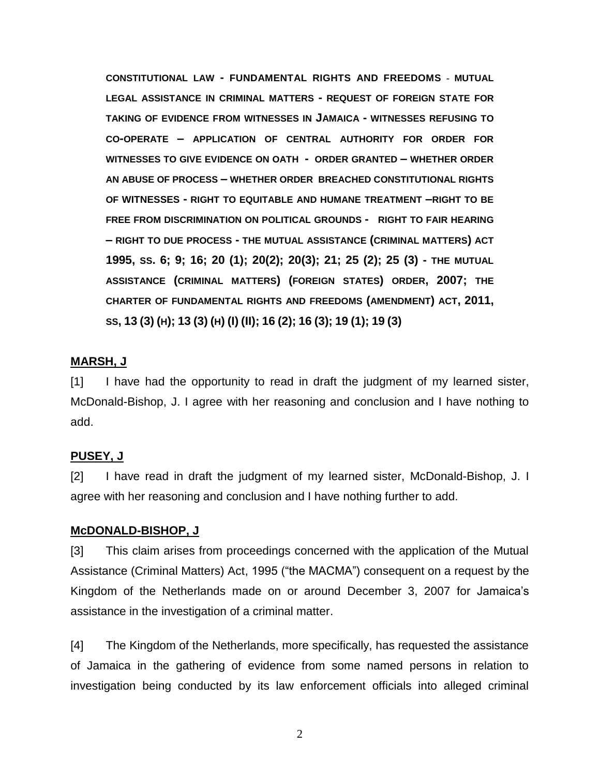**CONSTITUTIONAL LAW - FUNDAMENTAL RIGHTS AND FREEDOMS - MUTUAL LEGAL ASSISTANCE IN CRIMINAL MATTERS - REQUEST OF FOREIGN STATE FOR TAKING OF EVIDENCE FROM WITNESSES IN JAMAICA - WITNESSES REFUSING TO CO-OPERATE – APPLICATION OF CENTRAL AUTHORITY FOR ORDER FOR WITNESSES TO GIVE EVIDENCE ON OATH - ORDER GRANTED – WHETHER ORDER AN ABUSE OF PROCESS – WHETHER ORDER BREACHED CONSTITUTIONAL RIGHTS OF WITNESSES - RIGHT TO EQUITABLE AND HUMANE TREATMENT –RIGHT TO BE FREE FROM DISCRIMINATION ON POLITICAL GROUNDS - RIGHT TO FAIR HEARING – RIGHT TO DUE PROCESS - THE MUTUAL ASSISTANCE (CRIMINAL MATTERS) ACT 1995, SS. 6; 9; 16; 20 (1); 20(2); 20(3); 21; 25 (2); 25 (3) - THE MUTUAL ASSISTANCE (CRIMINAL MATTERS) (FOREIGN STATES) ORDER, 2007; THE CHARTER OF FUNDAMENTAL RIGHTS AND FREEDOMS (AMENDMENT) ACT, 2011,** SS, 13 (3) (H); 13 (3) (H) (I) (II); 16 (2); 16 (3); 19 (1); 19 (3)

#### **MARSH, J**

[1] I have had the opportunity to read in draft the judgment of my learned sister, McDonald-Bishop, J. I agree with her reasoning and conclusion and I have nothing to add.

#### **PUSEY, J**

[2] I have read in draft the judgment of my learned sister, McDonald-Bishop, J. I agree with her reasoning and conclusion and I have nothing further to add.

#### **McDONALD-BISHOP, J**

[3] This claim arises from proceedings concerned with the application of the Mutual Assistance (Criminal Matters) Act, 1995 ("the MACMA") consequent on a request by the Kingdom of the Netherlands made on or around December 3, 2007 for Jamaica's assistance in the investigation of a criminal matter.

[4] The Kingdom of the Netherlands, more specifically, has requested the assistance of Jamaica in the gathering of evidence from some named persons in relation to investigation being conducted by its law enforcement officials into alleged criminal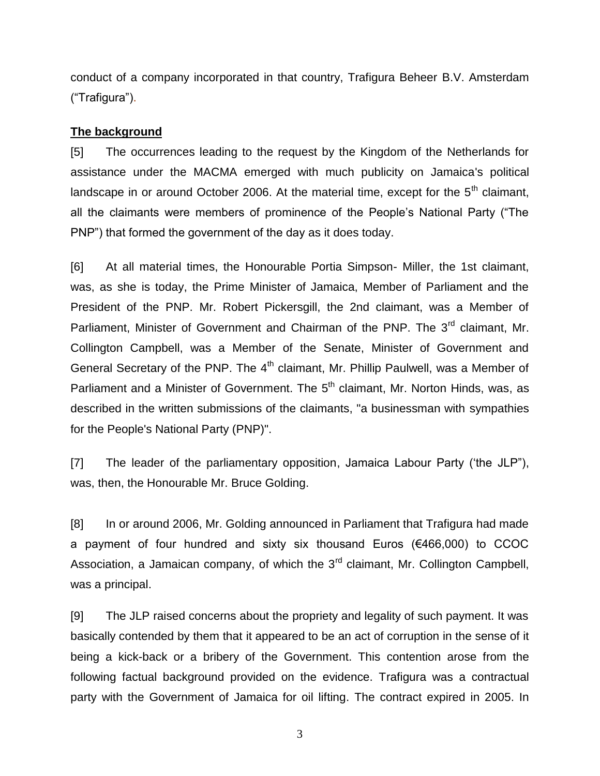conduct of a company incorporated in that country, Trafigura Beheer B.V. Amsterdam ("Trafigura").

## **The background**

[5] The occurrences leading to the request by the Kingdom of the Netherlands for assistance under the MACMA emerged with much publicity on Jamaica's political landscape in or around October 2006. At the material time, except for the 5<sup>th</sup> claimant, all the claimants were members of prominence of the People's National Party ("The PNP") that formed the government of the day as it does today.

[6] At all material times, the Honourable Portia Simpson- Miller, the 1st claimant, was, as she is today, the Prime Minister of Jamaica, Member of Parliament and the President of the PNP. Mr. Robert Pickersgill, the 2nd claimant, was a Member of Parliament, Minister of Government and Chairman of the PNP. The 3<sup>rd</sup> claimant, Mr. Collington Campbell, was a Member of the Senate, Minister of Government and General Secretary of the PNP. The  $4<sup>th</sup>$  claimant, Mr. Phillip Paulwell, was a Member of Parliament and a Minister of Government. The 5<sup>th</sup> claimant, Mr. Norton Hinds, was, as described in the written submissions of the claimants, "a businessman with sympathies for the People's National Party (PNP)".

[7] The leader of the parliamentary opposition, Jamaica Labour Party ('the JLP"), was, then, the Honourable Mr. Bruce Golding.

[8] In or around 2006, Mr. Golding announced in Parliament that Trafigura had made a payment of four hundred and sixty six thousand Euros (€466,000) to CCOC Association, a Jamaican company, of which the  $3<sup>rd</sup>$  claimant, Mr. Collington Campbell, was a principal.

[9] The JLP raised concerns about the propriety and legality of such payment. It was basically contended by them that it appeared to be an act of corruption in the sense of it being a kick-back or a bribery of the Government. This contention arose from the following factual background provided on the evidence. Trafigura was a contractual party with the Government of Jamaica for oil lifting. The contract expired in 2005. In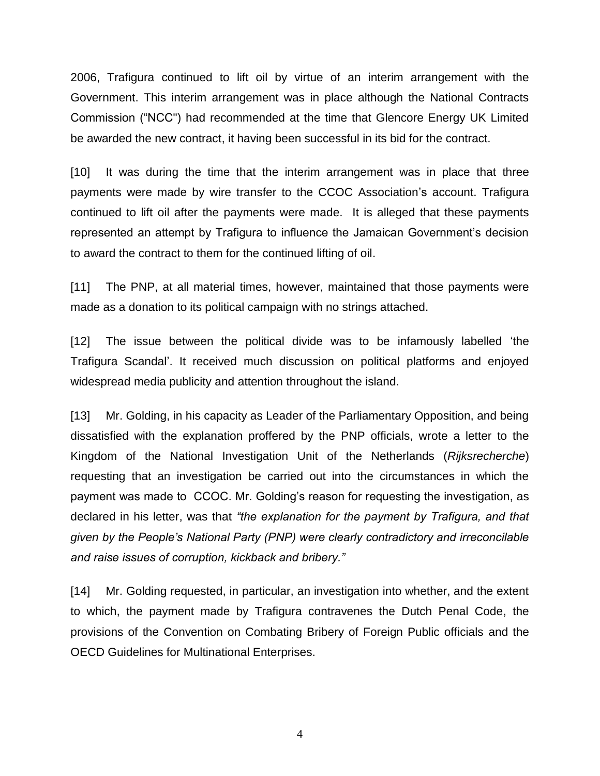2006, Trafigura continued to lift oil by virtue of an interim arrangement with the Government. This interim arrangement was in place although the National Contracts Commission ("NCC") had recommended at the time that Glencore Energy UK Limited be awarded the new contract, it having been successful in its bid for the contract.

[10] It was during the time that the interim arrangement was in place that three payments were made by wire transfer to the CCOC Association's account. Trafigura continued to lift oil after the payments were made. It is alleged that these payments represented an attempt by Trafigura to influence the Jamaican Government's decision to award the contract to them for the continued lifting of oil.

[11] The PNP, at all material times, however, maintained that those payments were made as a donation to its political campaign with no strings attached.

[12] The issue between the political divide was to be infamously labelled 'the Trafigura Scandal'. It received much discussion on political platforms and enjoyed widespread media publicity and attention throughout the island.

[13] Mr. Golding, in his capacity as Leader of the Parliamentary Opposition, and being dissatisfied with the explanation proffered by the PNP officials, wrote a letter to the Kingdom of the National Investigation Unit of the Netherlands (*Rijksrecherche*) requesting that an investigation be carried out into the circumstances in which the payment was made to CCOC. Mr. Golding's reason for requesting the investigation, as declared in his letter, was that *"the explanation for the payment by Trafigura, and that given by the People's National Party (PNP) were clearly contradictory and irreconcilable and raise issues of corruption, kickback and bribery."*

[14] Mr. Golding requested, in particular, an investigation into whether, and the extent to which, the payment made by Trafigura contravenes the Dutch Penal Code, the provisions of the Convention on Combating Bribery of Foreign Public officials and the OECD Guidelines for Multinational Enterprises.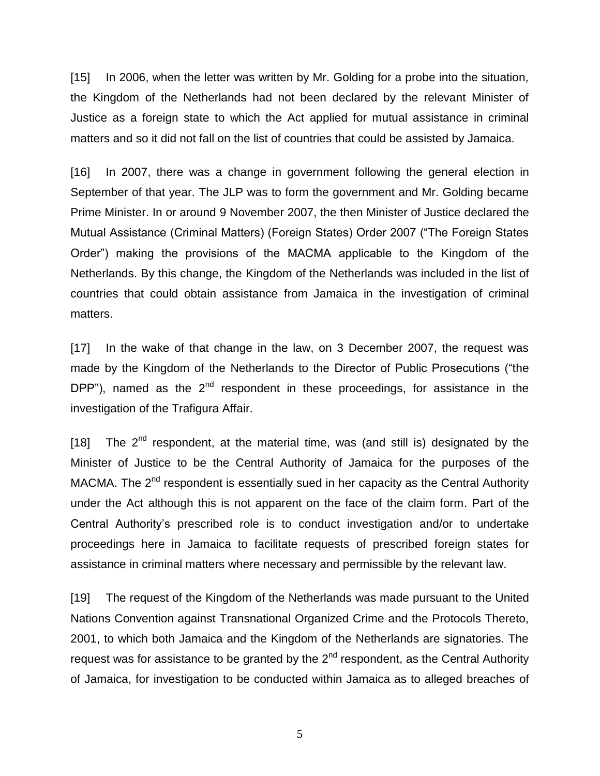[15] In 2006, when the letter was written by Mr. Golding for a probe into the situation, the Kingdom of the Netherlands had not been declared by the relevant Minister of Justice as a foreign state to which the Act applied for mutual assistance in criminal matters and so it did not fall on the list of countries that could be assisted by Jamaica.

[16] In 2007, there was a change in government following the general election in September of that year. The JLP was to form the government and Mr. Golding became Prime Minister. In or around 9 November 2007, the then Minister of Justice declared the Mutual Assistance (Criminal Matters) (Foreign States) Order 2007 ("The Foreign States Order") making the provisions of the MACMA applicable to the Kingdom of the Netherlands. By this change, the Kingdom of the Netherlands was included in the list of countries that could obtain assistance from Jamaica in the investigation of criminal matters.

[17] In the wake of that change in the law, on 3 December 2007, the request was made by the Kingdom of the Netherlands to the Director of Public Prosecutions ("the DPP"), named as the  $2<sup>nd</sup>$  respondent in these proceedings, for assistance in the investigation of the Trafigura Affair.

[18] The  $2^{nd}$  respondent, at the material time, was (and still is) designated by the Minister of Justice to be the Central Authority of Jamaica for the purposes of the MACMA. The  $2^{nd}$  respondent is essentially sued in her capacity as the Central Authority under the Act although this is not apparent on the face of the claim form. Part of the Central Authority's prescribed role is to conduct investigation and/or to undertake proceedings here in Jamaica to facilitate requests of prescribed foreign states for assistance in criminal matters where necessary and permissible by the relevant law.

[19] The request of the Kingdom of the Netherlands was made pursuant to the United Nations Convention against Transnational Organized Crime and the Protocols Thereto, 2001, to which both Jamaica and the Kingdom of the Netherlands are signatories. The request was for assistance to be granted by the 2<sup>nd</sup> respondent, as the Central Authority of Jamaica, for investigation to be conducted within Jamaica as to alleged breaches of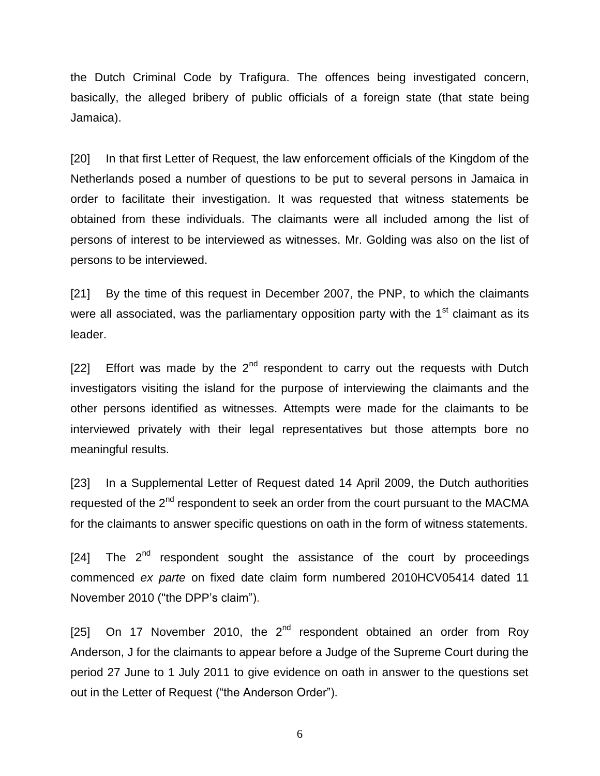the Dutch Criminal Code by Trafigura. The offences being investigated concern, basically, the alleged bribery of public officials of a foreign state (that state being Jamaica).

[20] In that first Letter of Request, the law enforcement officials of the Kingdom of the Netherlands posed a number of questions to be put to several persons in Jamaica in order to facilitate their investigation. It was requested that witness statements be obtained from these individuals. The claimants were all included among the list of persons of interest to be interviewed as witnesses. Mr. Golding was also on the list of persons to be interviewed.

[21] By the time of this request in December 2007, the PNP, to which the claimants were all associated, was the parliamentary opposition party with the  $1<sup>st</sup>$  claimant as its leader.

[22] Effort was made by the  $2^{nd}$  respondent to carry out the requests with Dutch investigators visiting the island for the purpose of interviewing the claimants and the other persons identified as witnesses. Attempts were made for the claimants to be interviewed privately with their legal representatives but those attempts bore no meaningful results.

[23] In a Supplemental Letter of Request dated 14 April 2009, the Dutch authorities requested of the 2<sup>nd</sup> respondent to seek an order from the court pursuant to the MACMA for the claimants to answer specific questions on oath in the form of witness statements.

 $[24]$  The  $2<sup>nd</sup>$  respondent sought the assistance of the court by proceedings commenced *ex parte* on fixed date claim form numbered 2010HCV05414 dated 11 November 2010 ("the DPP's claim").

[25] On 17 November 2010, the  $2^{nd}$  respondent obtained an order from Roy Anderson, J for the claimants to appear before a Judge of the Supreme Court during the period 27 June to 1 July 2011 to give evidence on oath in answer to the questions set out in the Letter of Request ("the Anderson Order").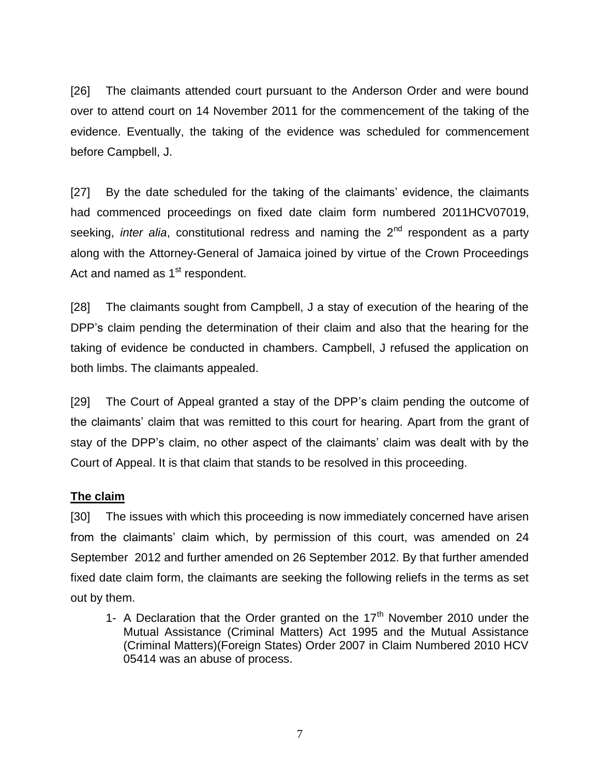[26] The claimants attended court pursuant to the Anderson Order and were bound over to attend court on 14 November 2011 for the commencement of the taking of the evidence. Eventually, the taking of the evidence was scheduled for commencement before Campbell, J.

[27] By the date scheduled for the taking of the claimants' evidence, the claimants had commenced proceedings on fixed date claim form numbered 2011HCV07019, seeking, *inter alia*, constitutional redress and naming the 2<sup>nd</sup> respondent as a party along with the Attorney-General of Jamaica joined by virtue of the Crown Proceedings Act and named as 1<sup>st</sup> respondent.

[28] The claimants sought from Campbell, J a stay of execution of the hearing of the DPP's claim pending the determination of their claim and also that the hearing for the taking of evidence be conducted in chambers. Campbell, J refused the application on both limbs. The claimants appealed.

[29] The Court of Appeal granted a stay of the DPP's claim pending the outcome of the claimants' claim that was remitted to this court for hearing. Apart from the grant of stay of the DPP's claim, no other aspect of the claimants' claim was dealt with by the Court of Appeal. It is that claim that stands to be resolved in this proceeding.

## **The claim**

[30] The issues with which this proceeding is now immediately concerned have arisen from the claimants' claim which, by permission of this court, was amended on 24 September 2012 and further amended on 26 September 2012. By that further amended fixed date claim form, the claimants are seeking the following reliefs in the terms as set out by them.

1- A Declaration that the Order granted on the  $17<sup>th</sup>$  November 2010 under the Mutual Assistance (Criminal Matters) Act 1995 and the Mutual Assistance (Criminal Matters)(Foreign States) Order 2007 in Claim Numbered 2010 HCV 05414 was an abuse of process.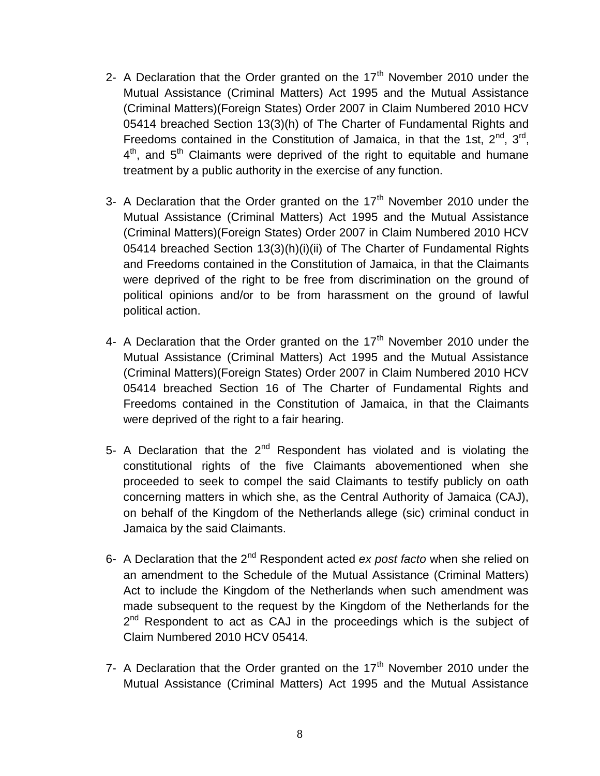- 2- A Declaration that the Order granted on the  $17<sup>th</sup>$  November 2010 under the Mutual Assistance (Criminal Matters) Act 1995 and the Mutual Assistance (Criminal Matters)(Foreign States) Order 2007 in Claim Numbered 2010 HCV 05414 breached Section 13(3)(h) of The Charter of Fundamental Rights and Freedoms contained in the Constitution of Jamaica, in that the 1st,  $2^{nd}$ ,  $3^{rd}$ ,  $4<sup>th</sup>$ , and  $5<sup>th</sup>$  Claimants were deprived of the right to equitable and humane treatment by a public authority in the exercise of any function.
- 3- A Declaration that the Order granted on the  $17<sup>th</sup>$  November 2010 under the Mutual Assistance (Criminal Matters) Act 1995 and the Mutual Assistance (Criminal Matters)(Foreign States) Order 2007 in Claim Numbered 2010 HCV 05414 breached Section 13(3)(h)(i)(ii) of The Charter of Fundamental Rights and Freedoms contained in the Constitution of Jamaica, in that the Claimants were deprived of the right to be free from discrimination on the ground of political opinions and/or to be from harassment on the ground of lawful political action.
- 4- A Declaration that the Order granted on the  $17<sup>th</sup>$  November 2010 under the Mutual Assistance (Criminal Matters) Act 1995 and the Mutual Assistance (Criminal Matters)(Foreign States) Order 2007 in Claim Numbered 2010 HCV 05414 breached Section 16 of The Charter of Fundamental Rights and Freedoms contained in the Constitution of Jamaica, in that the Claimants were deprived of the right to a fair hearing.
- 5- A Declaration that the  $2^{nd}$  Respondent has violated and is violating the constitutional rights of the five Claimants abovementioned when she proceeded to seek to compel the said Claimants to testify publicly on oath concerning matters in which she, as the Central Authority of Jamaica (CAJ), on behalf of the Kingdom of the Netherlands allege (sic) criminal conduct in Jamaica by the said Claimants.
- 6- A Declaration that the 2nd Respondent acted *ex post facto* when she relied on an amendment to the Schedule of the Mutual Assistance (Criminal Matters) Act to include the Kingdom of the Netherlands when such amendment was made subsequent to the request by the Kingdom of the Netherlands for the 2<sup>nd</sup> Respondent to act as CAJ in the proceedings which is the subject of Claim Numbered 2010 HCV 05414.
- 7- A Declaration that the Order granted on the  $17<sup>th</sup>$  November 2010 under the Mutual Assistance (Criminal Matters) Act 1995 and the Mutual Assistance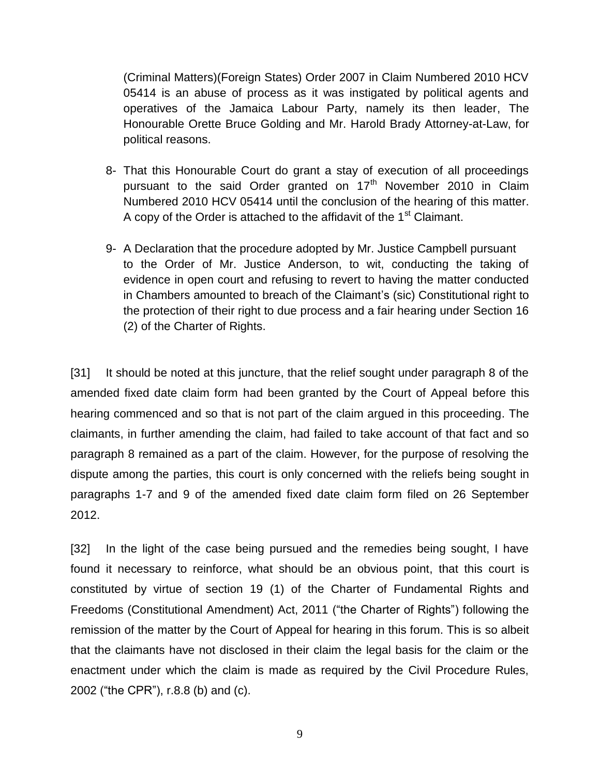(Criminal Matters)(Foreign States) Order 2007 in Claim Numbered 2010 HCV 05414 is an abuse of process as it was instigated by political agents and operatives of the Jamaica Labour Party, namely its then leader, The Honourable Orette Bruce Golding and Mr. Harold Brady Attorney-at-Law, for political reasons.

- 8- That this Honourable Court do grant a stay of execution of all proceedings pursuant to the said Order granted on  $17<sup>th</sup>$  November 2010 in Claim Numbered 2010 HCV 05414 until the conclusion of the hearing of this matter. A copy of the Order is attached to the affidavit of the 1<sup>st</sup> Claimant.
- 9- A Declaration that the procedure adopted by Mr. Justice Campbell pursuant to the Order of Mr. Justice Anderson, to wit, conducting the taking of evidence in open court and refusing to revert to having the matter conducted in Chambers amounted to breach of the Claimant's (sic) Constitutional right to the protection of their right to due process and a fair hearing under Section 16 (2) of the Charter of Rights.

[31] It should be noted at this juncture, that the relief sought under paragraph 8 of the amended fixed date claim form had been granted by the Court of Appeal before this hearing commenced and so that is not part of the claim argued in this proceeding. The claimants, in further amending the claim, had failed to take account of that fact and so paragraph 8 remained as a part of the claim. However, for the purpose of resolving the dispute among the parties, this court is only concerned with the reliefs being sought in paragraphs 1-7 and 9 of the amended fixed date claim form filed on 26 September 2012.

[32] In the light of the case being pursued and the remedies being sought, I have found it necessary to reinforce, what should be an obvious point, that this court is constituted by virtue of section 19 (1) of the Charter of Fundamental Rights and Freedoms (Constitutional Amendment) Act, 2011 ("the Charter of Rights") following the remission of the matter by the Court of Appeal for hearing in this forum. This is so albeit that the claimants have not disclosed in their claim the legal basis for the claim or the enactment under which the claim is made as required by the Civil Procedure Rules, 2002 ("the CPR"), r.8.8 (b) and (c).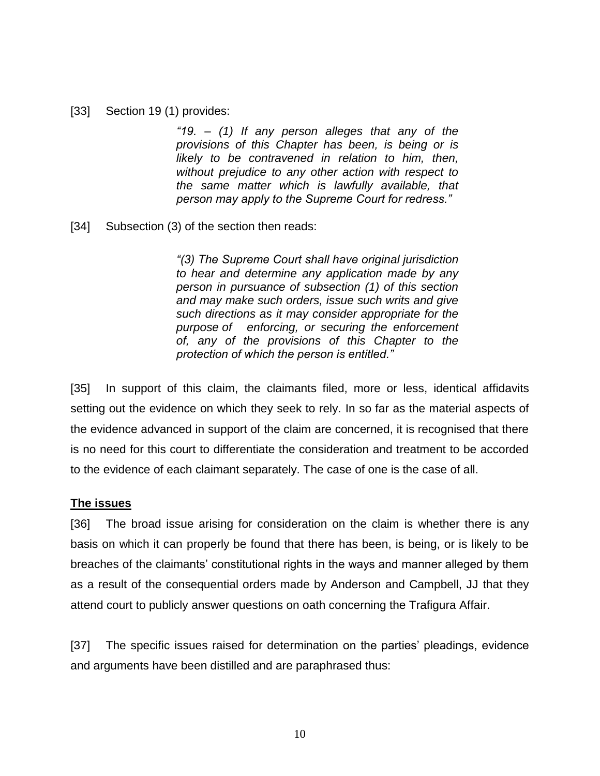#### [33] Section 19 (1) provides:

*"19. – (1) If any person alleges that any of the provisions of this Chapter has been, is being or is likely to be contravened in relation to him, then, without prejudice to any other action with respect to the same matter which is lawfully available, that person may apply to the Supreme Court for redress."* 

[34] Subsection (3) of the section then reads:

*"(3) The Supreme Court shall have original jurisdiction to hear and determine any application made by any person in pursuance of subsection (1) of this section and may make such orders, issue such writs and give such directions as it may consider appropriate for the purpose of enforcing, or securing the enforcement of, any of the provisions of this Chapter to the protection of which the person is entitled."* 

[35] In support of this claim, the claimants filed, more or less, identical affidavits setting out the evidence on which they seek to rely. In so far as the material aspects of the evidence advanced in support of the claim are concerned, it is recognised that there is no need for this court to differentiate the consideration and treatment to be accorded to the evidence of each claimant separately. The case of one is the case of all.

### **The issues**

[36] The broad issue arising for consideration on the claim is whether there is any basis on which it can properly be found that there has been, is being, or is likely to be breaches of the claimants' constitutional rights in the ways and manner alleged by them as a result of the consequential orders made by Anderson and Campbell, JJ that they attend court to publicly answer questions on oath concerning the Trafigura Affair.

[37] The specific issues raised for determination on the parties' pleadings, evidence and arguments have been distilled and are paraphrased thus: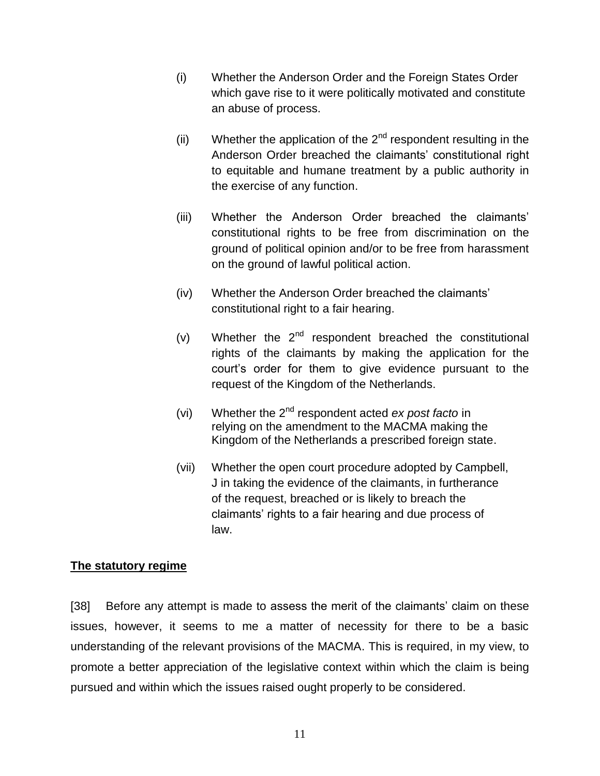- (i) Whether the Anderson Order and the Foreign States Order which gave rise to it were politically motivated and constitute an abuse of process.
- (ii) Whether the application of the  $2<sup>nd</sup>$  respondent resulting in the Anderson Order breached the claimants' constitutional right to equitable and humane treatment by a public authority in the exercise of any function.
- (iii) Whether the Anderson Order breached the claimants' constitutional rights to be free from discrimination on the ground of political opinion and/or to be free from harassment on the ground of lawful political action.
- (iv) Whether the Anderson Order breached the claimants' constitutional right to a fair hearing.
- (v) Whether the  $2^{nd}$  respondent breached the constitutional rights of the claimants by making the application for the court's order for them to give evidence pursuant to the request of the Kingdom of the Netherlands.
- (vi) Whether the 2nd respondent acted *ex post facto* in relying on the amendment to the MACMA making the Kingdom of the Netherlands a prescribed foreign state.
- (vii) Whether the open court procedure adopted by Campbell, J in taking the evidence of the claimants, in furtherance of the request, breached or is likely to breach the claimants' rights to a fair hearing and due process of law.

### **The statutory regime**

[38] Before any attempt is made to assess the merit of the claimants' claim on these issues, however, it seems to me a matter of necessity for there to be a basic understanding of the relevant provisions of the MACMA. This is required, in my view, to promote a better appreciation of the legislative context within which the claim is being pursued and within which the issues raised ought properly to be considered.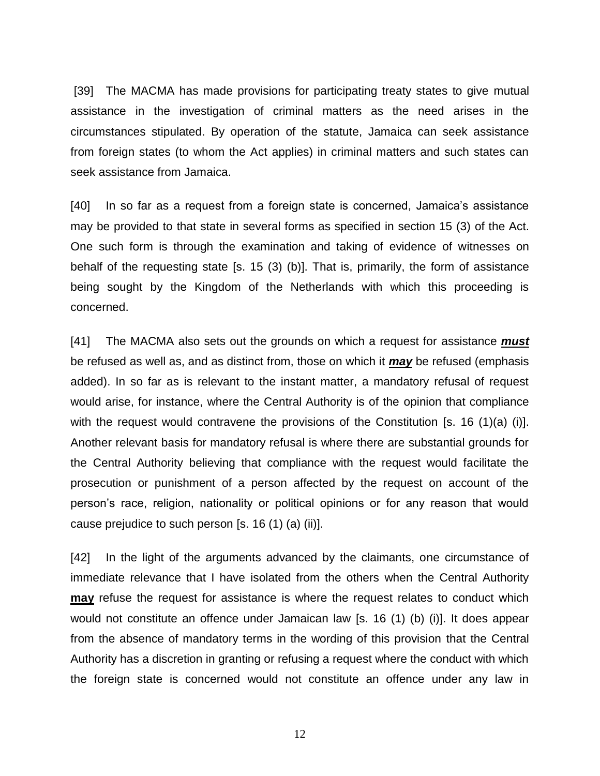[39] The MACMA has made provisions for participating treaty states to give mutual assistance in the investigation of criminal matters as the need arises in the circumstances stipulated. By operation of the statute, Jamaica can seek assistance from foreign states (to whom the Act applies) in criminal matters and such states can seek assistance from Jamaica.

[40] In so far as a request from a foreign state is concerned, Jamaica's assistance may be provided to that state in several forms as specified in section 15 (3) of the Act. One such form is through the examination and taking of evidence of witnesses on behalf of the requesting state [s. 15 (3) (b)]. That is, primarily, the form of assistance being sought by the Kingdom of the Netherlands with which this proceeding is concerned.

[41] The MACMA also sets out the grounds on which a request for assistance *must* be refused as well as, and as distinct from, those on which it *may* be refused (emphasis added). In so far as is relevant to the instant matter, a mandatory refusal of request would arise, for instance, where the Central Authority is of the opinion that compliance with the request would contravene the provisions of the Constitution [s. 16 (1)(a) (i)]. Another relevant basis for mandatory refusal is where there are substantial grounds for the Central Authority believing that compliance with the request would facilitate the prosecution or punishment of a person affected by the request on account of the person's race, religion, nationality or political opinions or for any reason that would cause prejudice to such person  $[s. 16 (1) (a) (ii)].$ 

[42] In the light of the arguments advanced by the claimants, one circumstance of immediate relevance that I have isolated from the others when the Central Authority **may** refuse the request for assistance is where the request relates to conduct which would not constitute an offence under Jamaican law [s. 16 (1) (b) (i)]. It does appear from the absence of mandatory terms in the wording of this provision that the Central Authority has a discretion in granting or refusing a request where the conduct with which the foreign state is concerned would not constitute an offence under any law in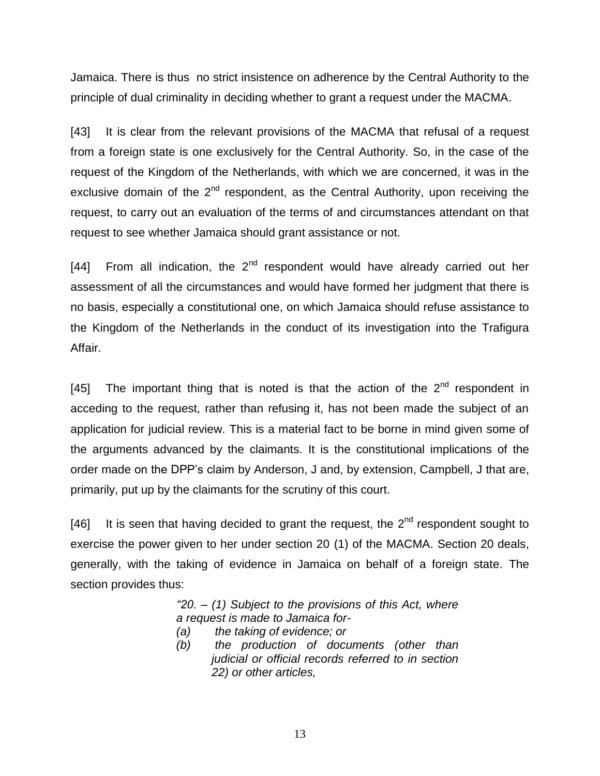Jamaica. There is thus no strict insistence on adherence by the Central Authority to the principle of dual criminality in deciding whether to grant a request under the MACMA.

[43] It is clear from the relevant provisions of the MACMA that refusal of a request from a foreign state is one exclusively for the Central Authority. So, in the case of the request of the Kingdom of the Netherlands, with which we are concerned, it was in the exclusive domain of the  $2<sup>nd</sup>$  respondent, as the Central Authority, upon receiving the request, to carry out an evaluation of the terms of and circumstances attendant on that request to see whether Jamaica should grant assistance or not.

[44] From all indication, the  $2<sup>nd</sup>$  respondent would have already carried out her assessment of all the circumstances and would have formed her judgment that there is no basis, especially a constitutional one, on which Jamaica should refuse assistance to the Kingdom of the Netherlands in the conduct of its investigation into the Trafigura Affair.

[45] The important thing that is noted is that the action of the  $2<sup>nd</sup>$  respondent in acceding to the request, rather than refusing it, has not been made the subject of an application for judicial review. This is a material fact to be borne in mind given some of the arguments advanced by the claimants. It is the constitutional implications of the order made on the DPP's claim by Anderson, J and, by extension, Campbell, J that are, primarily, put up by the claimants for the scrutiny of this court.

[46] It is seen that having decided to grant the request, the  $2^{nd}$  respondent sought to exercise the power given to her under section 20 (1) of the MACMA. Section 20 deals, generally, with the taking of evidence in Jamaica on behalf of a foreign state. The section provides thus:

> *"20. – (1) Subject to the provisions of this Act, where a request is made to Jamaica for-*

- *(a) the taking of evidence; or*
- *(b) the production of documents (other than judicial or official records referred to in section 22) or other articles,*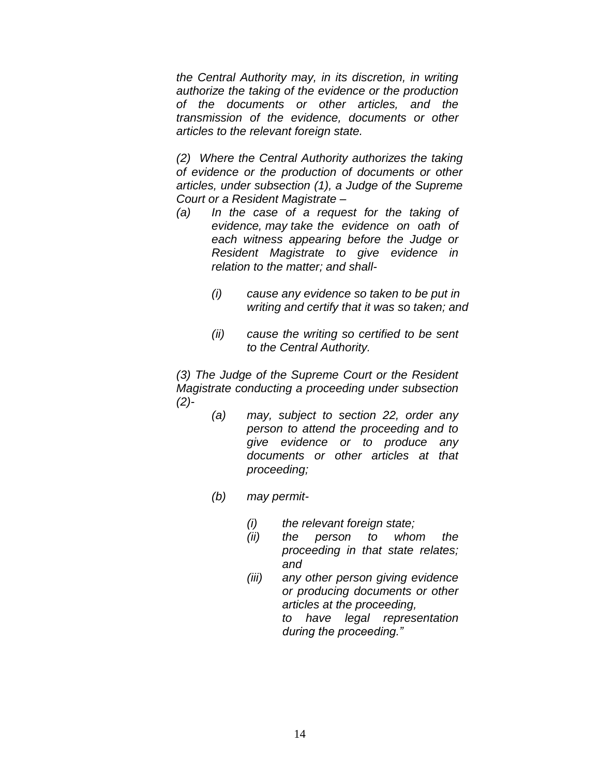*the Central Authority may, in its discretion, in writing authorize the taking of the evidence or the production of the documents or other articles, and the transmission of the evidence, documents or other articles to the relevant foreign state.*

*(2) Where the Central Authority authorizes the taking of evidence or the production of documents or other articles, under subsection (1), a Judge of the Supreme Court or a Resident Magistrate –*

- *(a) In the case of a request for the taking of evidence, may take the evidence on oath of each witness appearing before the Judge or Resident Magistrate to give evidence in relation to the matter; and shall-*
	- *(i) cause any evidence so taken to be put in writing and certify that it was so taken; and*
	- *(ii) cause the writing so certified to be sent to the Central Authority.*

*(3) The Judge of the Supreme Court or the Resident Magistrate conducting a proceeding under subsection (2)-*

- *(a) may, subject to section 22, order any person to attend the proceeding and to give evidence or to produce any documents or other articles at that proceeding;*
- *(b) may permit-*
	- *(i) the relevant foreign state;*
	- *(ii) the person to whom the proceeding in that state relates; and*
	- *(iii) any other person giving evidence or producing documents or other articles at the proceeding, to have legal representation during the proceeding."*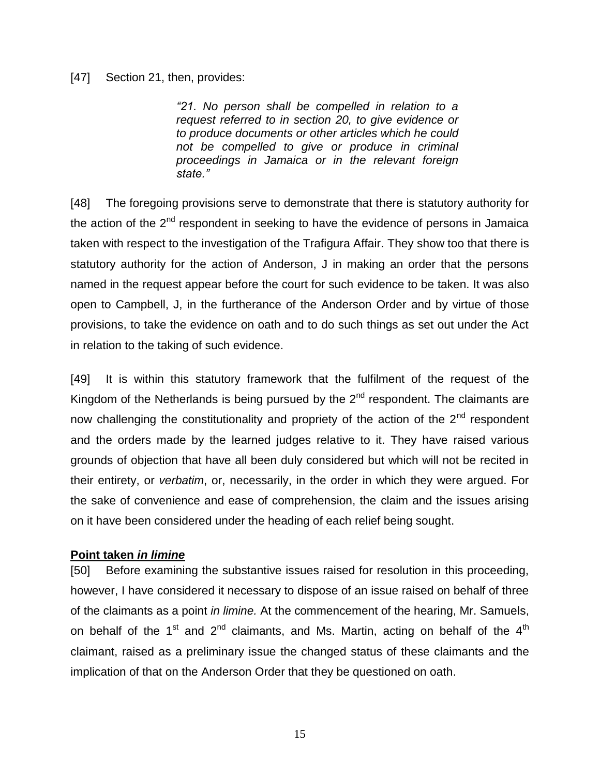#### [47] Section 21, then, provides:

*"21. No person shall be compelled in relation to a request referred to in section 20, to give evidence or to produce documents or other articles which he could not be compelled to give or produce in criminal proceedings in Jamaica or in the relevant foreign state."* 

[48] The foregoing provisions serve to demonstrate that there is statutory authority for the action of the  $2^{nd}$  respondent in seeking to have the evidence of persons in Jamaica taken with respect to the investigation of the Trafigura Affair. They show too that there is statutory authority for the action of Anderson, J in making an order that the persons named in the request appear before the court for such evidence to be taken. It was also open to Campbell, J, in the furtherance of the Anderson Order and by virtue of those provisions, to take the evidence on oath and to do such things as set out under the Act in relation to the taking of such evidence.

[49] It is within this statutory framework that the fulfilment of the request of the Kingdom of the Netherlands is being pursued by the  $2<sup>nd</sup>$  respondent. The claimants are now challenging the constitutionality and propriety of the action of the  $2<sup>nd</sup>$  respondent and the orders made by the learned judges relative to it. They have raised various grounds of objection that have all been duly considered but which will not be recited in their entirety, or *verbatim*, or, necessarily, in the order in which they were argued. For the sake of convenience and ease of comprehension, the claim and the issues arising on it have been considered under the heading of each relief being sought.

#### **Point taken** *in limine*

[50] Before examining the substantive issues raised for resolution in this proceeding, however, I have considered it necessary to dispose of an issue raised on behalf of three of the claimants as a point *in limine.* At the commencement of the hearing, Mr. Samuels, on behalf of the  $1<sup>st</sup>$  and  $2<sup>nd</sup>$  claimants, and Ms. Martin, acting on behalf of the  $4<sup>th</sup>$ claimant, raised as a preliminary issue the changed status of these claimants and the implication of that on the Anderson Order that they be questioned on oath.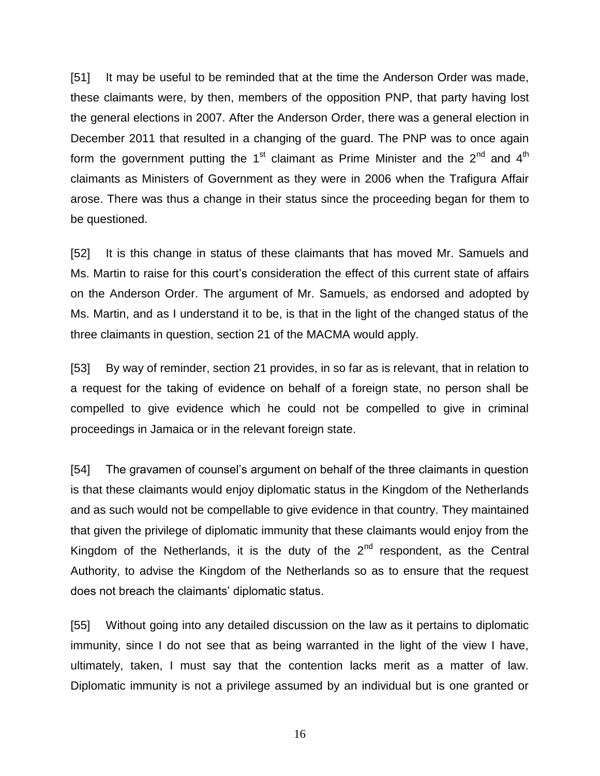[51] It may be useful to be reminded that at the time the Anderson Order was made, these claimants were, by then, members of the opposition PNP, that party having lost the general elections in 2007. After the Anderson Order, there was a general election in December 2011 that resulted in a changing of the guard. The PNP was to once again form the government putting the 1<sup>st</sup> claimant as Prime Minister and the 2<sup>nd</sup> and 4<sup>th</sup> claimants as Ministers of Government as they were in 2006 when the Trafigura Affair arose. There was thus a change in their status since the proceeding began for them to be questioned.

[52] It is this change in status of these claimants that has moved Mr. Samuels and Ms. Martin to raise for this court's consideration the effect of this current state of affairs on the Anderson Order. The argument of Mr. Samuels, as endorsed and adopted by Ms. Martin, and as I understand it to be, is that in the light of the changed status of the three claimants in question, section 21 of the MACMA would apply.

[53] By way of reminder, section 21 provides, in so far as is relevant, that in relation to a request for the taking of evidence on behalf of a foreign state, no person shall be compelled to give evidence which he could not be compelled to give in criminal proceedings in Jamaica or in the relevant foreign state.

[54] The gravamen of counsel's argument on behalf of the three claimants in question is that these claimants would enjoy diplomatic status in the Kingdom of the Netherlands and as such would not be compellable to give evidence in that country. They maintained that given the privilege of diplomatic immunity that these claimants would enjoy from the Kingdom of the Netherlands, it is the duty of the  $2<sup>nd</sup>$  respondent, as the Central Authority, to advise the Kingdom of the Netherlands so as to ensure that the request does not breach the claimants' diplomatic status.

[55] Without going into any detailed discussion on the law as it pertains to diplomatic immunity, since I do not see that as being warranted in the light of the view I have, ultimately, taken, I must say that the contention lacks merit as a matter of law. Diplomatic immunity is not a privilege assumed by an individual but is one granted or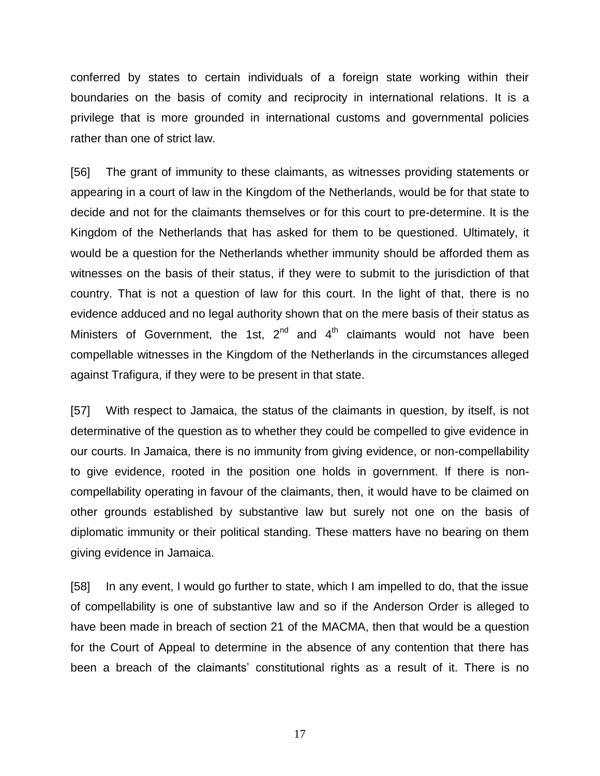conferred by states to certain individuals of a foreign state working within their boundaries on the basis of comity and reciprocity in international relations. It is a privilege that is more grounded in international customs and governmental policies rather than one of strict law.

[56] The grant of immunity to these claimants, as witnesses providing statements or appearing in a court of law in the Kingdom of the Netherlands, would be for that state to decide and not for the claimants themselves or for this court to pre-determine. It is the Kingdom of the Netherlands that has asked for them to be questioned. Ultimately, it would be a question for the Netherlands whether immunity should be afforded them as witnesses on the basis of their status, if they were to submit to the jurisdiction of that country. That is not a question of law for this court. In the light of that, there is no evidence adduced and no legal authority shown that on the mere basis of their status as Ministers of Government, the 1st,  $2^{nd}$  and  $4^{th}$  claimants would not have been compellable witnesses in the Kingdom of the Netherlands in the circumstances alleged against Trafigura, if they were to be present in that state.

[57] With respect to Jamaica, the status of the claimants in question, by itself, is not determinative of the question as to whether they could be compelled to give evidence in our courts. In Jamaica, there is no immunity from giving evidence, or non-compellability to give evidence, rooted in the position one holds in government. If there is noncompellability operating in favour of the claimants, then, it would have to be claimed on other grounds established by substantive law but surely not one on the basis of diplomatic immunity or their political standing. These matters have no bearing on them giving evidence in Jamaica.

[58] In any event, I would go further to state, which I am impelled to do, that the issue of compellability is one of substantive law and so if the Anderson Order is alleged to have been made in breach of section 21 of the MACMA, then that would be a question for the Court of Appeal to determine in the absence of any contention that there has been a breach of the claimants' constitutional rights as a result of it. There is no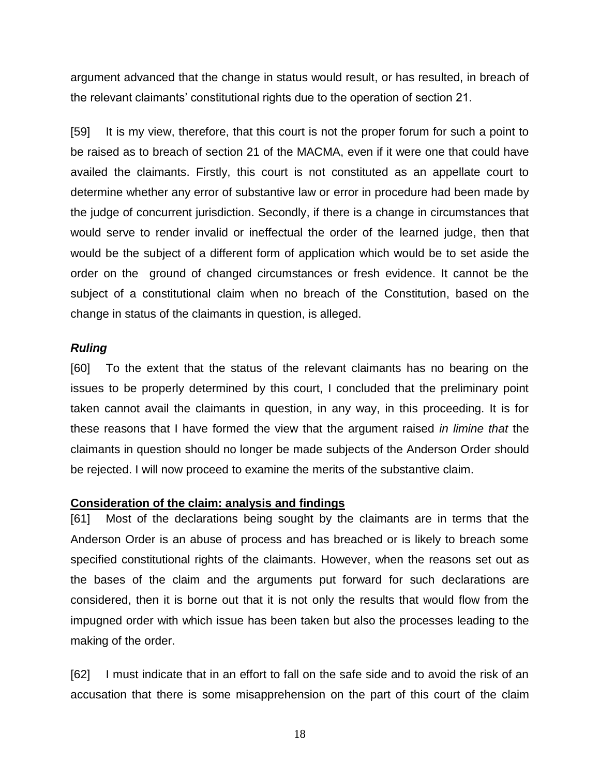argument advanced that the change in status would result, or has resulted, in breach of the relevant claimants' constitutional rights due to the operation of section 21.

[59] It is my view, therefore, that this court is not the proper forum for such a point to be raised as to breach of section 21 of the MACMA, even if it were one that could have availed the claimants. Firstly, this court is not constituted as an appellate court to determine whether any error of substantive law or error in procedure had been made by the judge of concurrent jurisdiction. Secondly, if there is a change in circumstances that would serve to render invalid or ineffectual the order of the learned judge, then that would be the subject of a different form of application which would be to set aside the order on the ground of changed circumstances or fresh evidence. It cannot be the subject of a constitutional claim when no breach of the Constitution, based on the change in status of the claimants in question, is alleged.

#### *Ruling*

[60] To the extent that the status of the relevant claimants has no bearing on the issues to be properly determined by this court, I concluded that the preliminary point taken cannot avail the claimants in question, in any way, in this proceeding. It is for these reasons that I have formed the view that the argument raised *in limine that* the claimants in question should no longer be made subjects of the Anderson Order *s*hould be rejected. I will now proceed to examine the merits of the substantive claim.

#### **Consideration of the claim: analysis and findings**

[61] Most of the declarations being sought by the claimants are in terms that the Anderson Order is an abuse of process and has breached or is likely to breach some specified constitutional rights of the claimants. However, when the reasons set out as the bases of the claim and the arguments put forward for such declarations are considered, then it is borne out that it is not only the results that would flow from the impugned order with which issue has been taken but also the processes leading to the making of the order.

[62] I must indicate that in an effort to fall on the safe side and to avoid the risk of an accusation that there is some misapprehension on the part of this court of the claim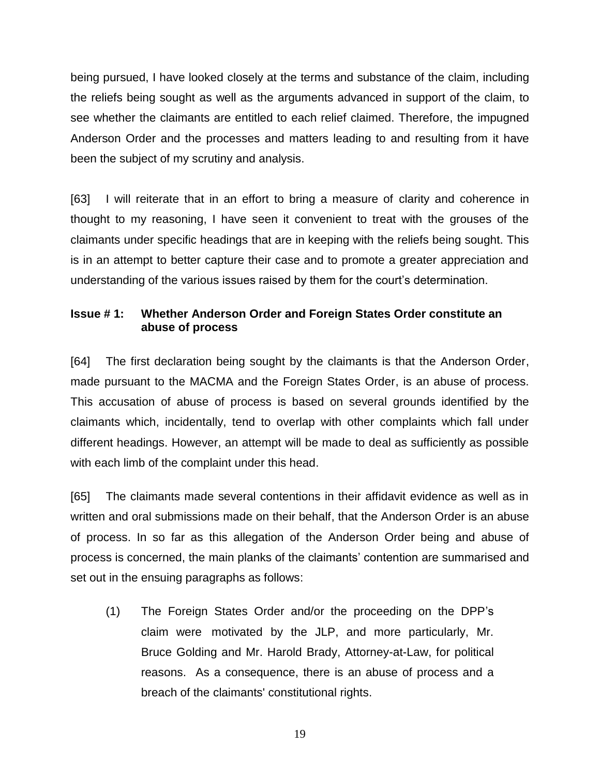being pursued, I have looked closely at the terms and substance of the claim, including the reliefs being sought as well as the arguments advanced in support of the claim, to see whether the claimants are entitled to each relief claimed. Therefore, the impugned Anderson Order and the processes and matters leading to and resulting from it have been the subject of my scrutiny and analysis.

[63] I will reiterate that in an effort to bring a measure of clarity and coherence in thought to my reasoning, I have seen it convenient to treat with the grouses of the claimants under specific headings that are in keeping with the reliefs being sought. This is in an attempt to better capture their case and to promote a greater appreciation and understanding of the various issues raised by them for the court's determination.

## **Issue # 1: Whether Anderson Order and Foreign States Order constitute an abuse of process**

[64] The first declaration being sought by the claimants is that the Anderson Order, made pursuant to the MACMA and the Foreign States Order, is an abuse of process. This accusation of abuse of process is based on several grounds identified by the claimants which, incidentally, tend to overlap with other complaints which fall under different headings. However, an attempt will be made to deal as sufficiently as possible with each limb of the complaint under this head.

[65] The claimants made several contentions in their affidavit evidence as well as in written and oral submissions made on their behalf, that the Anderson Order is an abuse of process. In so far as this allegation of the Anderson Order being and abuse of process is concerned, the main planks of the claimants' contention are summarised and set out in the ensuing paragraphs as follows:

(1) The Foreign States Order and/or the proceeding on the DPP's claim were motivated by the JLP, and more particularly, Mr. Bruce Golding and Mr. Harold Brady, Attorney-at-Law, for political reasons. As a consequence, there is an abuse of process and a breach of the claimants' constitutional rights.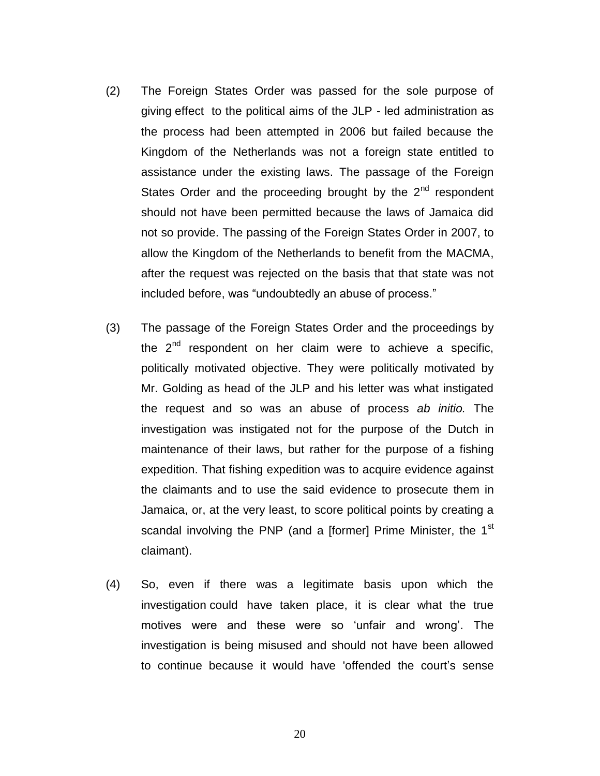- (2) The Foreign States Order was passed for the sole purpose of giving effect to the political aims of the JLP - led administration as the process had been attempted in 2006 but failed because the Kingdom of the Netherlands was not a foreign state entitled to assistance under the existing laws. The passage of the Foreign States Order and the proceeding brought by the  $2^{nd}$  respondent should not have been permitted because the laws of Jamaica did not so provide. The passing of the Foreign States Order in 2007, to allow the Kingdom of the Netherlands to benefit from the MACMA, after the request was rejected on the basis that that state was not included before, was "undoubtedly an abuse of process."
- (3) The passage of the Foreign States Order and the proceedings by the  $2^{nd}$  respondent on her claim were to achieve a specific, politically motivated objective. They were politically motivated by Mr. Golding as head of the JLP and his letter was what instigated the request and so was an abuse of process *ab initio.* The investigation was instigated not for the purpose of the Dutch in maintenance of their laws, but rather for the purpose of a fishing expedition. That fishing expedition was to acquire evidence against the claimants and to use the said evidence to prosecute them in Jamaica, or, at the very least, to score political points by creating a scandal involving the PNP (and a [former] Prime Minister, the  $1<sup>st</sup>$ claimant).
- (4) So, even if there was a legitimate basis upon which the investigation could have taken place, it is clear what the true motives were and these were so 'unfair and wrong'. The investigation is being misused and should not have been allowed to continue because it would have 'offended the court's sense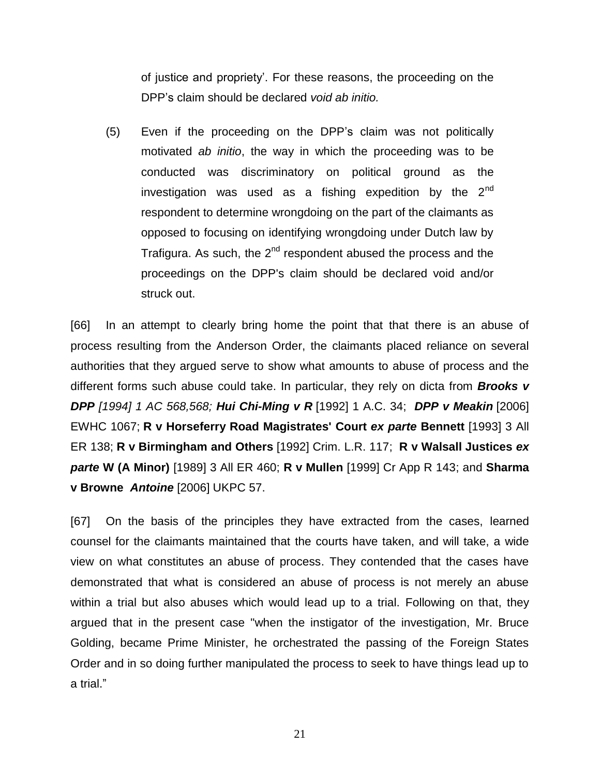of justice and propriety'. For these reasons, the proceeding on the DPP's claim should be declared *void ab initio.*

(5) Even if the proceeding on the DPP's claim was not politically motivated *ab initio*, the way in which the proceeding was to be conducted was discriminatory on political ground as the investigation was used as a fishing expedition by the  $2^{nd}$ respondent to determine wrongdoing on the part of the claimants as opposed to focusing on identifying wrongdoing under Dutch law by Trafigura. As such, the  $2^{nd}$  respondent abused the process and the proceedings on the DPP's claim should be declared void and/or struck out.

[66] In an attempt to clearly bring home the point that that there is an abuse of process resulting from the Anderson Order, the claimants placed reliance on several authorities that they argued serve to show what amounts to abuse of process and the different forms such abuse could take. In particular, they rely on dicta from *Brooks v DPP [1994] 1 AC 568,568; Hui Chi-Ming v R* [1992] 1 A.C. 34; *DPP v Meakin* [2006] EWHC 1067; **R v Horseferry Road Magistrates' Court** *ex parte* **Bennett** [1993] 3 All ER 138; **R v Birmingham and Others** [1992] Crim. L.R. 117; **R v Walsall Justices** *ex parte* **W (A Minor)** [1989] 3 All ER 460; **R v Mullen** [1999] Cr App R 143; and **Sharma v Browne** *Antoine* [2006] UKPC 57.

[67] On the basis of the principles they have extracted from the cases, learned counsel for the claimants maintained that the courts have taken, and will take, a wide view on what constitutes an abuse of process. They contended that the cases have demonstrated that what is considered an abuse of process is not merely an abuse within a trial but also abuses which would lead up to a trial. Following on that, they argued that in the present case "when the instigator of the investigation, Mr. Bruce Golding, became Prime Minister, he orchestrated the passing of the Foreign States Order and in so doing further manipulated the process to seek to have things lead up to a trial."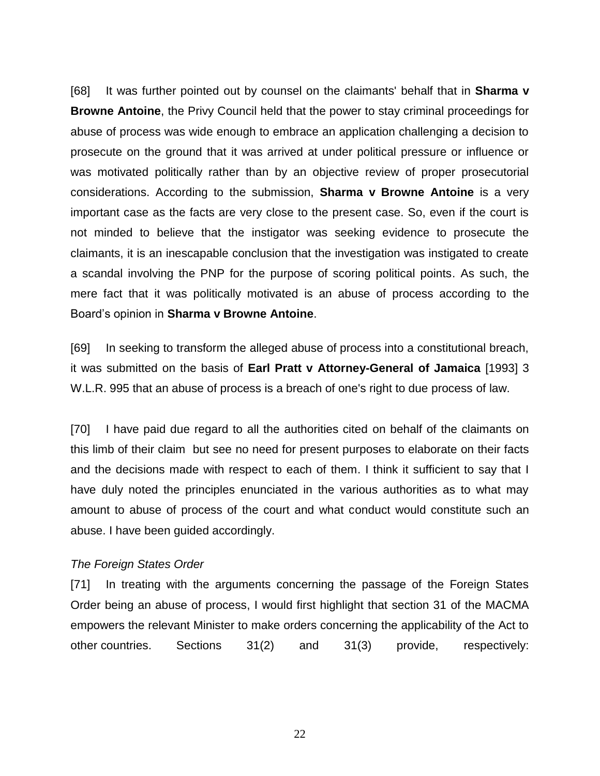[68] It was further pointed out by counsel on the claimants' behalf that in **Sharma v Browne Antoine**, the Privy Council held that the power to stay criminal proceedings for abuse of process was wide enough to embrace an application challenging a decision to prosecute on the ground that it was arrived at under political pressure or influence or was motivated politically rather than by an objective review of proper prosecutorial considerations. According to the submission, **Sharma v Browne Antoine** is a very important case as the facts are very close to the present case. So, even if the court is not minded to believe that the instigator was seeking evidence to prosecute the claimants, it is an inescapable conclusion that the investigation was instigated to create a scandal involving the PNP for the purpose of scoring political points. As such, the mere fact that it was politically motivated is an abuse of process according to the Board's opinion in **Sharma v Browne Antoine**.

[69] In seeking to transform the alleged abuse of process into a constitutional breach, it was submitted on the basis of **Earl Pratt v Attorney-General of Jamaica** [1993] 3 W.L.R. 995 that an abuse of process is a breach of one's right to due process of law.

[70] I have paid due regard to all the authorities cited on behalf of the claimants on this limb of their claim but see no need for present purposes to elaborate on their facts and the decisions made with respect to each of them. I think it sufficient to say that I have duly noted the principles enunciated in the various authorities as to what may amount to abuse of process of the court and what conduct would constitute such an abuse. I have been guided accordingly.

#### *The Foreign States Order*

[71] In treating with the arguments concerning the passage of the Foreign States Order being an abuse of process, I would first highlight that section 31 of the MACMA empowers the relevant Minister to make orders concerning the applicability of the Act to other countries. Sections 31(2) and 31(3) provide, respectively: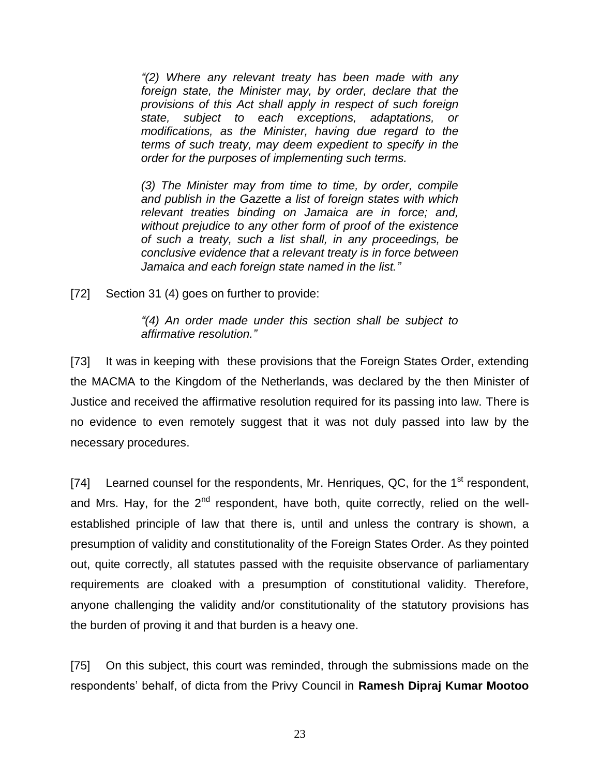*"(2) Where any relevant treaty has been made with any foreign state, the Minister may, by order, declare that the provisions of this Act shall apply in respect of such foreign state, subject to each exceptions, adaptations, or modifications, as the Minister, having due regard to the terms of such treaty, may deem expedient to specify in the order for the purposes of implementing such terms.* 

*(3) The Minister may from time to time, by order, compile and publish in the Gazette a list of foreign states with which relevant treaties binding on Jamaica are in force; and, without prejudice to any other form of proof of the existence of such a treaty, such a list shall, in any proceedings, be conclusive evidence that a relevant treaty is in force between Jamaica and each foreign state named in the list."*

[72] Section 31 (4) goes on further to provide:

*"(4) An order made under this section shall be subject to affirmative resolution."*

[73] It was in keeping with these provisions that the Foreign States Order, extending the MACMA to the Kingdom of the Netherlands, was declared by the then Minister of Justice and received the affirmative resolution required for its passing into law. There is no evidence to even remotely suggest that it was not duly passed into law by the necessary procedures.

[74] Learned counsel for the respondents, Mr. Henriques, QC, for the  $1<sup>st</sup>$  respondent, and Mrs. Hay, for the  $2<sup>nd</sup>$  respondent, have both, quite correctly, relied on the wellestablished principle of law that there is, until and unless the contrary is shown, a presumption of validity and constitutionality of the Foreign States Order. As they pointed out, quite correctly, all statutes passed with the requisite observance of parliamentary requirements are cloaked with a presumption of constitutional validity. Therefore, anyone challenging the validity and/or constitutionality of the statutory provisions has the burden of proving it and that burden is a heavy one.

[75] On this subject, this court was reminded, through the submissions made on the respondents' behalf, of dicta from the Privy Council in **Ramesh Dipraj Kumar Mootoo**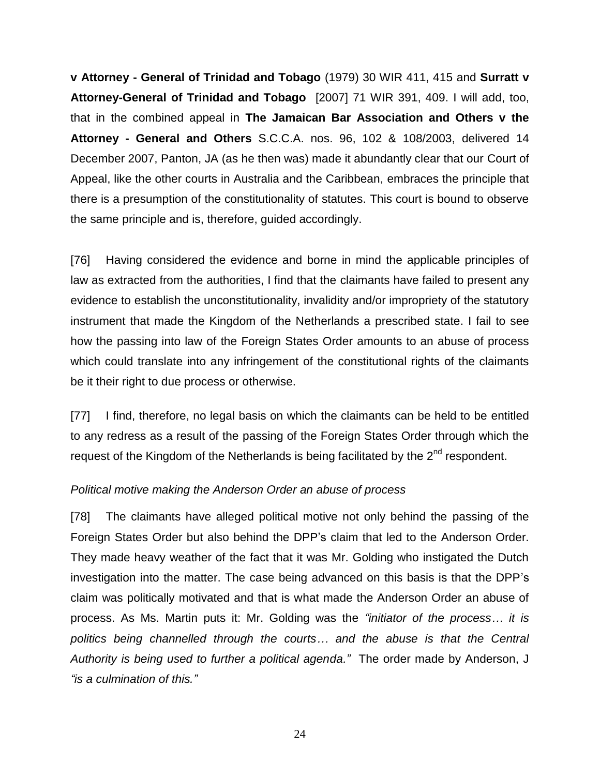**v Attorney - General of Trinidad and Tobago** (1979) 30 WIR 411, 415 and **Surratt v Attorney-General of Trinidad and Tobago** [2007] 71 WIR 391, 409. I will add, too, that in the combined appeal in **The Jamaican Bar Association and Others v the Attorney - General and Others** S.C.C.A. nos. 96, 102 & 108/2003, delivered 14 December 2007, Panton, JA (as he then was) made it abundantly clear that our Court of Appeal, like the other courts in Australia and the Caribbean, embraces the principle that there is a presumption of the constitutionality of statutes. This court is bound to observe the same principle and is, therefore, guided accordingly.

[76] Having considered the evidence and borne in mind the applicable principles of law as extracted from the authorities, I find that the claimants have failed to present any evidence to establish the unconstitutionality, invalidity and/or impropriety of the statutory instrument that made the Kingdom of the Netherlands a prescribed state. I fail to see how the passing into law of the Foreign States Order amounts to an abuse of process which could translate into any infringement of the constitutional rights of the claimants be it their right to due process or otherwise.

[77] I find, therefore, no legal basis on which the claimants can be held to be entitled to any redress as a result of the passing of the Foreign States Order through which the request of the Kingdom of the Netherlands is being facilitated by the  $2^{nd}$  respondent.

### *Political motive making the Anderson Order an abuse of process*

[78] The claimants have alleged political motive not only behind the passing of the Foreign States Order but also behind the DPP's claim that led to the Anderson Order. They made heavy weather of the fact that it was Mr. Golding who instigated the Dutch investigation into the matter. The case being advanced on this basis is that the DPP's claim was politically motivated and that is what made the Anderson Order an abuse of process. As Ms. Martin puts it: Mr. Golding was the *"initiator of the process… it is politics being channelled through the courts… and the abuse is that the Central Authority is being used to further a political agenda."* The order made by Anderson, J *"is a culmination of this."*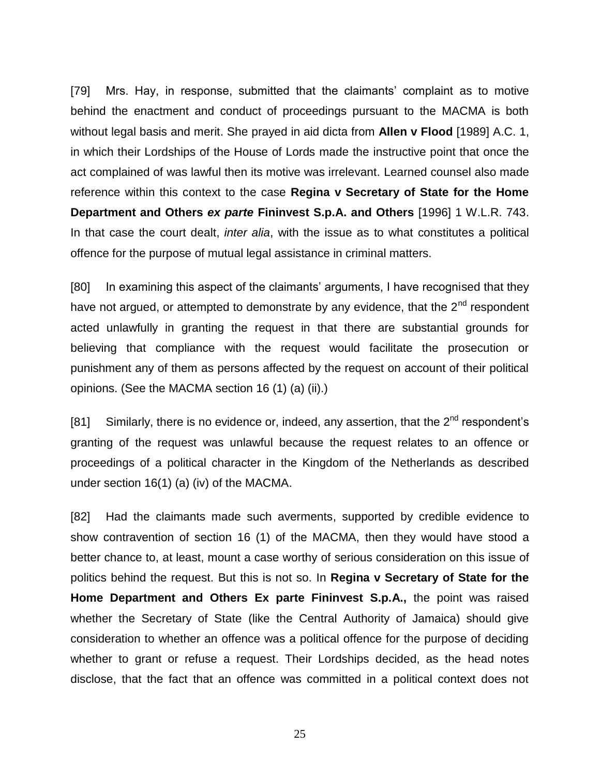[79] Mrs. Hay, in response, submitted that the claimants' complaint as to motive behind the enactment and conduct of proceedings pursuant to the MACMA is both without legal basis and merit. She prayed in aid dicta from **Allen v Flood** [1989] A.C. 1, in which their Lordships of the House of Lords made the instructive point that once the act complained of was lawful then its motive was irrelevant. Learned counsel also made reference within this context to the case **Regina v Secretary of State for the Home Department and Others** *ex parte* **Fininvest S.p.A. and Others** [1996] 1 W.L.R. 743. In that case the court dealt, *inter alia*, with the issue as to what constitutes a political offence for the purpose of mutual legal assistance in criminal matters.

[80] In examining this aspect of the claimants' arguments, I have recognised that they have not argued, or attempted to demonstrate by any evidence, that the  $2^{nd}$  respondent acted unlawfully in granting the request in that there are substantial grounds for believing that compliance with the request would facilitate the prosecution or punishment any of them as persons affected by the request on account of their political opinions. (See the MACMA section 16 (1) (a) (ii).)

[81] Similarly, there is no evidence or, indeed, any assertion, that the  $2^{nd}$  respondent's granting of the request was unlawful because the request relates to an offence or proceedings of a political character in the Kingdom of the Netherlands as described under section 16(1) (a) (iv) of the MACMA.

[82] Had the claimants made such averments, supported by credible evidence to show contravention of section 16 (1) of the MACMA, then they would have stood a better chance to, at least, mount a case worthy of serious consideration on this issue of politics behind the request. But this is not so. In **Regina v Secretary of State for the Home Department and Others Ex parte Fininvest S.p.A.,** the point was raised whether the Secretary of State (like the Central Authority of Jamaica) should give consideration to whether an offence was a political offence for the purpose of deciding whether to grant or refuse a request. Their Lordships decided, as the head notes disclose, that the fact that an offence was committed in a political context does not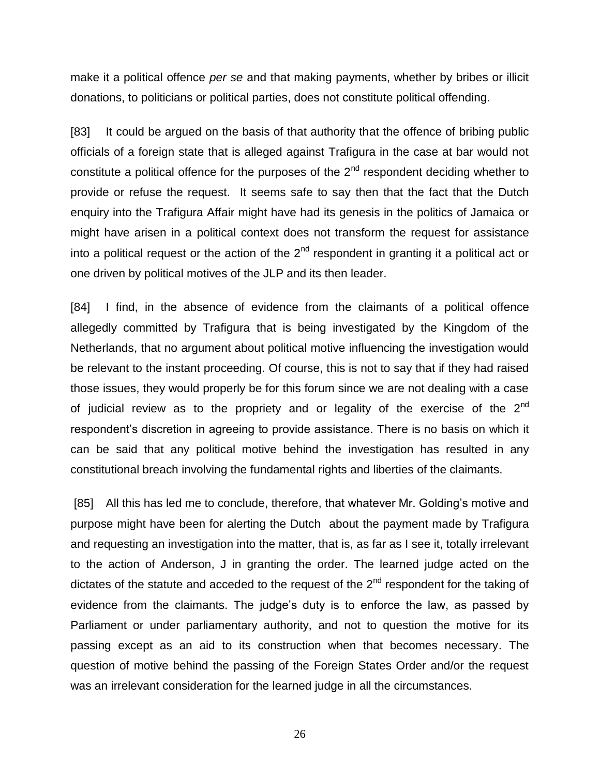make it a political offence *per se* and that making payments, whether by bribes or illicit donations, to politicians or political parties, does not constitute political offending.

[83] It could be argued on the basis of that authority that the offence of bribing public officials of a foreign state that is alleged against Trafigura in the case at bar would not constitute a political offence for the purposes of the  $2<sup>nd</sup>$  respondent deciding whether to provide or refuse the request. It seems safe to say then that the fact that the Dutch enquiry into the Trafigura Affair might have had its genesis in the politics of Jamaica or might have arisen in a political context does not transform the request for assistance into a political request or the action of the  $2<sup>nd</sup>$  respondent in granting it a political act or one driven by political motives of the JLP and its then leader.

[84] I find, in the absence of evidence from the claimants of a political offence allegedly committed by Trafigura that is being investigated by the Kingdom of the Netherlands, that no argument about political motive influencing the investigation would be relevant to the instant proceeding. Of course, this is not to say that if they had raised those issues, they would properly be for this forum since we are not dealing with a case of judicial review as to the propriety and or legality of the exercise of the  $2^{nd}$ respondent's discretion in agreeing to provide assistance. There is no basis on which it can be said that any political motive behind the investigation has resulted in any constitutional breach involving the fundamental rights and liberties of the claimants.

[85] All this has led me to conclude, therefore, that whatever Mr. Golding's motive and purpose might have been for alerting the Dutch about the payment made by Trafigura and requesting an investigation into the matter, that is, as far as I see it, totally irrelevant to the action of Anderson, J in granting the order. The learned judge acted on the dictates of the statute and acceded to the request of the  $2<sup>nd</sup>$  respondent for the taking of evidence from the claimants. The judge's duty is to enforce the law, as passed by Parliament or under parliamentary authority, and not to question the motive for its passing except as an aid to its construction when that becomes necessary. The question of motive behind the passing of the Foreign States Order and/or the request was an irrelevant consideration for the learned judge in all the circumstances.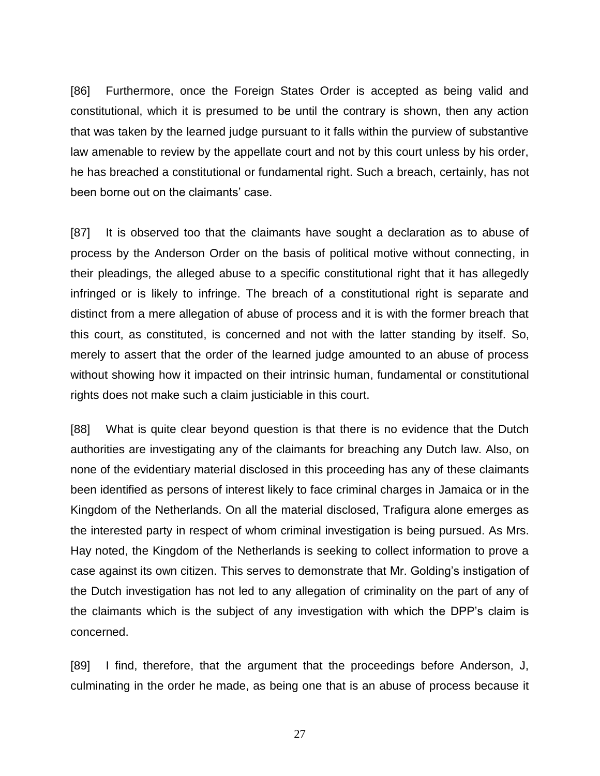[86] Furthermore, once the Foreign States Order is accepted as being valid and constitutional, which it is presumed to be until the contrary is shown, then any action that was taken by the learned judge pursuant to it falls within the purview of substantive law amenable to review by the appellate court and not by this court unless by his order, he has breached a constitutional or fundamental right. Such a breach, certainly, has not been borne out on the claimants' case.

[87] It is observed too that the claimants have sought a declaration as to abuse of process by the Anderson Order on the basis of political motive without connecting, in their pleadings, the alleged abuse to a specific constitutional right that it has allegedly infringed or is likely to infringe. The breach of a constitutional right is separate and distinct from a mere allegation of abuse of process and it is with the former breach that this court, as constituted, is concerned and not with the latter standing by itself. So, merely to assert that the order of the learned judge amounted to an abuse of process without showing how it impacted on their intrinsic human, fundamental or constitutional rights does not make such a claim justiciable in this court.

[88] What is quite clear beyond question is that there is no evidence that the Dutch authorities are investigating any of the claimants for breaching any Dutch law. Also, on none of the evidentiary material disclosed in this proceeding has any of these claimants been identified as persons of interest likely to face criminal charges in Jamaica or in the Kingdom of the Netherlands. On all the material disclosed, Trafigura alone emerges as the interested party in respect of whom criminal investigation is being pursued. As Mrs. Hay noted, the Kingdom of the Netherlands is seeking to collect information to prove a case against its own citizen. This serves to demonstrate that Mr. Golding's instigation of the Dutch investigation has not led to any allegation of criminality on the part of any of the claimants which is the subject of any investigation with which the DPP's claim is concerned.

[89] I find, therefore, that the argument that the proceedings before Anderson, J, culminating in the order he made, as being one that is an abuse of process because it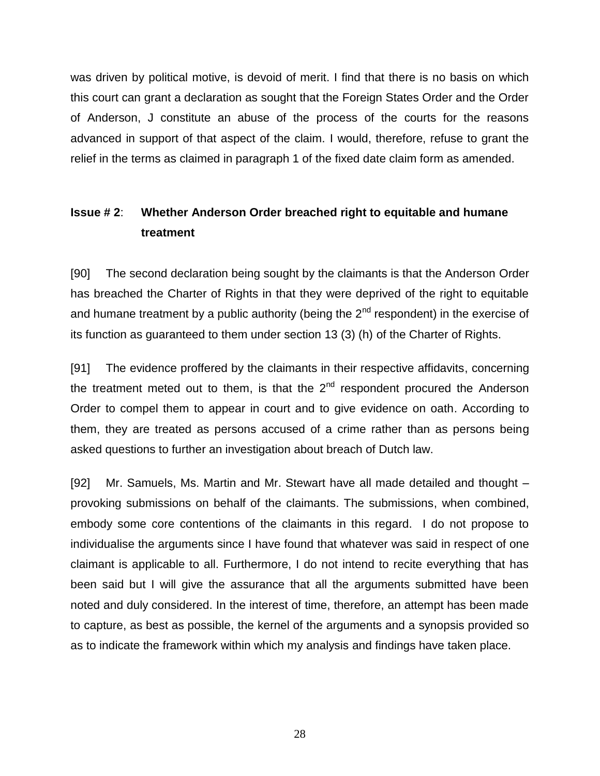was driven by political motive, is devoid of merit. I find that there is no basis on which this court can grant a declaration as sought that the Foreign States Order and the Order of Anderson, J constitute an abuse of the process of the courts for the reasons advanced in support of that aspect of the claim. I would, therefore, refuse to grant the relief in the terms as claimed in paragraph 1 of the fixed date claim form as amended.

# **Issue # 2**: **Whether Anderson Order breached right to equitable and humane treatment**

[90] The second declaration being sought by the claimants is that the Anderson Order has breached the Charter of Rights in that they were deprived of the right to equitable and humane treatment by a public authority (being the  $2<sup>nd</sup>$  respondent) in the exercise of its function as guaranteed to them under section 13 (3) (h) of the Charter of Rights.

[91] The evidence proffered by the claimants in their respective affidavits, concerning the treatment meted out to them, is that the  $2<sup>nd</sup>$  respondent procured the Anderson Order to compel them to appear in court and to give evidence on oath. According to them, they are treated as persons accused of a crime rather than as persons being asked questions to further an investigation about breach of Dutch law.

[92] Mr. Samuels, Ms. Martin and Mr. Stewart have all made detailed and thought – provoking submissions on behalf of the claimants. The submissions, when combined, embody some core contentions of the claimants in this regard. I do not propose to individualise the arguments since I have found that whatever was said in respect of one claimant is applicable to all. Furthermore, I do not intend to recite everything that has been said but I will give the assurance that all the arguments submitted have been noted and duly considered. In the interest of time, therefore, an attempt has been made to capture, as best as possible, the kernel of the arguments and a synopsis provided so as to indicate the framework within which my analysis and findings have taken place.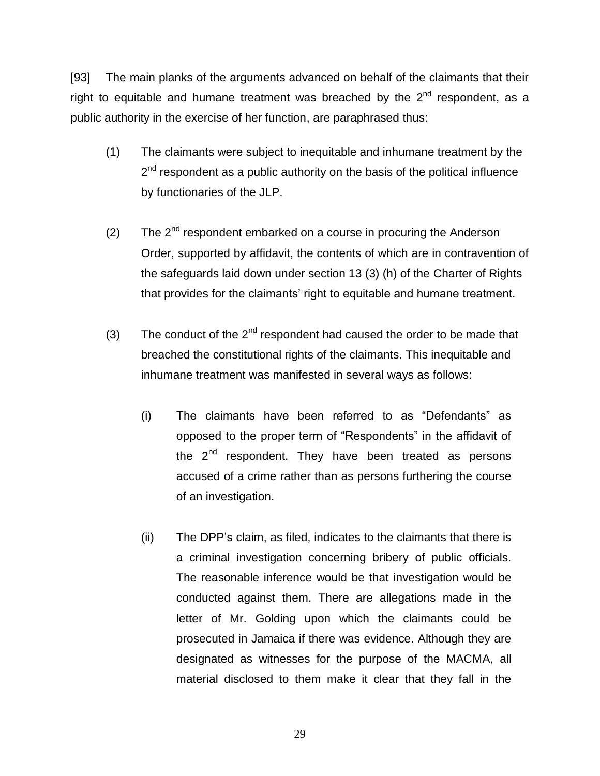[93] The main planks of the arguments advanced on behalf of the claimants that their right to equitable and humane treatment was breached by the  $2<sup>nd</sup>$  respondent, as a public authority in the exercise of her function, are paraphrased thus:

- (1) The claimants were subject to inequitable and inhumane treatment by the 2<sup>nd</sup> respondent as a public authority on the basis of the political influence by functionaries of the JLP.
- (2) The  $2^{nd}$  respondent embarked on a course in procuring the Anderson Order, supported by affidavit, the contents of which are in contravention of the safeguards laid down under section 13 (3) (h) of the Charter of Rights that provides for the claimants' right to equitable and humane treatment.
- (3) The conduct of the  $2^{nd}$  respondent had caused the order to be made that breached the constitutional rights of the claimants. This inequitable and inhumane treatment was manifested in several ways as follows:
	- (i) The claimants have been referred to as "Defendants" as opposed to the proper term of "Respondents" in the affidavit of the  $2^{nd}$  respondent. They have been treated as persons accused of a crime rather than as persons furthering the course of an investigation.
	- (ii) The DPP's claim, as filed, indicates to the claimants that there is a criminal investigation concerning bribery of public officials. The reasonable inference would be that investigation would be conducted against them. There are allegations made in the letter of Mr. Golding upon which the claimants could be prosecuted in Jamaica if there was evidence. Although they are designated as witnesses for the purpose of the MACMA, all material disclosed to them make it clear that they fall in the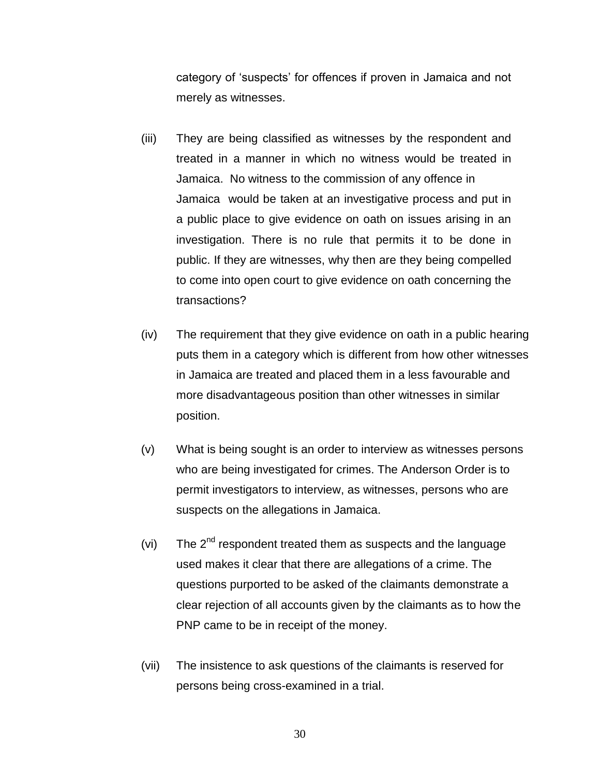category of 'suspects' for offences if proven in Jamaica and not merely as witnesses.

- (iii) They are being classified as witnesses by the respondent and treated in a manner in which no witness would be treated in Jamaica. No witness to the commission of any offence in Jamaica would be taken at an investigative process and put in a public place to give evidence on oath on issues arising in an investigation. There is no rule that permits it to be done in public. If they are witnesses, why then are they being compelled to come into open court to give evidence on oath concerning the transactions?
- (iv) The requirement that they give evidence on oath in a public hearing puts them in a category which is different from how other witnesses in Jamaica are treated and placed them in a less favourable and more disadvantageous position than other witnesses in similar position.
- (v) What is being sought is an order to interview as witnesses persons who are being investigated for crimes. The Anderson Order is to permit investigators to interview, as witnesses, persons who are suspects on the allegations in Jamaica.
- (vi) The  $2^{nd}$  respondent treated them as suspects and the language used makes it clear that there are allegations of a crime. The questions purported to be asked of the claimants demonstrate a clear rejection of all accounts given by the claimants as to how the PNP came to be in receipt of the money.
- (vii) The insistence to ask questions of the claimants is reserved for persons being cross-examined in a trial.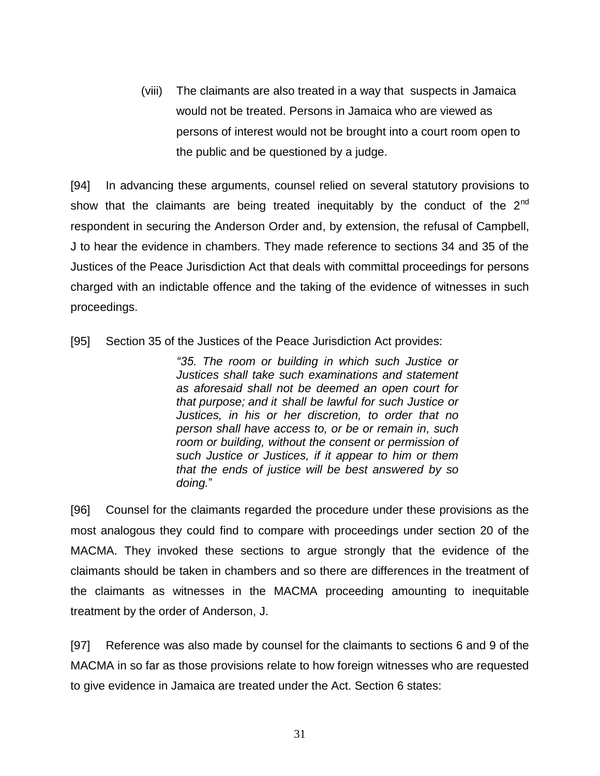(viii) The claimants are also treated in a way that suspects in Jamaica would not be treated. Persons in Jamaica who are viewed as persons of interest would not be brought into a court room open to the public and be questioned by a judge.

[94] In advancing these arguments, counsel relied on several statutory provisions to show that the claimants are being treated inequitably by the conduct of the  $2<sup>nd</sup>$ respondent in securing the Anderson Order and, by extension, the refusal of Campbell, J to hear the evidence in chambers. They made reference to sections 34 and 35 of the Justices of the Peace Jurisdiction Act that deals with committal proceedings for persons charged with an indictable offence and the taking of the evidence of witnesses in such proceedings.

[95] Section 35 of the Justices of the Peace Jurisdiction Act provides:

*"35. The room or building in which such Justice or Justices shall take such examinations and statement as aforesaid shall not be deemed an open court for that purpose; and it shall be lawful for such Justice or Justices, in his or her discretion, to order that no person shall have access to, or be or remain in, such room or building, without the consent or permission of such Justice or Justices, if it appear to him or them that the ends of justice will be best answered by so doing.*"

[96] Counsel for the claimants regarded the procedure under these provisions as the most analogous they could find to compare with proceedings under section 20 of the MACMA. They invoked these sections to argue strongly that the evidence of the claimants should be taken in chambers and so there are differences in the treatment of the claimants as witnesses in the MACMA proceeding amounting to inequitable treatment by the order of Anderson, J.

[97] Reference was also made by counsel for the claimants to sections 6 and 9 of the MACMA in so far as those provisions relate to how foreign witnesses who are requested to give evidence in Jamaica are treated under the Act. Section 6 states: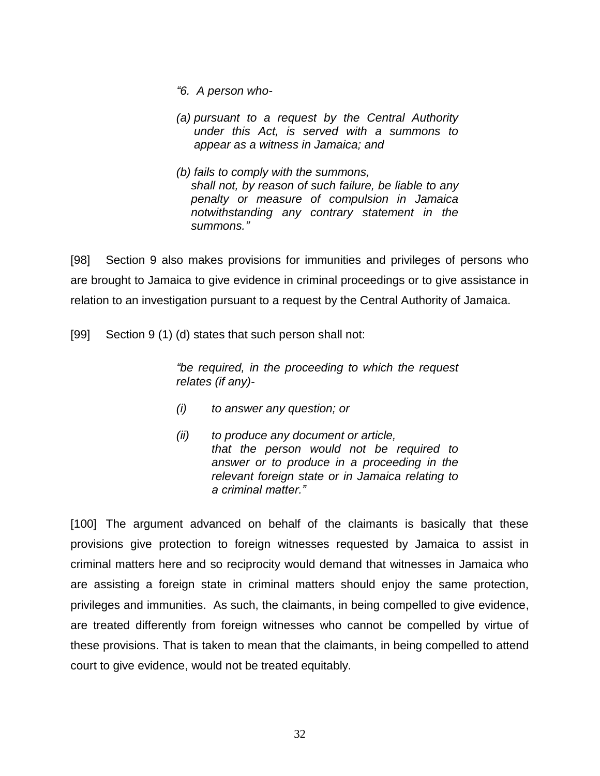- *"6. A person who-*
- *(a) pursuant to a request by the Central Authority under this Act, is served with a summons to appear as a witness in Jamaica; and*
- *(b) fails to comply with the summons, shall not, by reason of such failure, be liable to any penalty or measure of compulsion in Jamaica notwithstanding any contrary statement in the summons."*

[98] Section 9 also makes provisions for immunities and privileges of persons who are brought to Jamaica to give evidence in criminal proceedings or to give assistance in relation to an investigation pursuant to a request by the Central Authority of Jamaica.

[99] Section 9 (1) (d) states that such person shall not:

*"be required, in the proceeding to which the request relates (if any)-*

- *(i) to answer any question; or*
- *(ii) to produce any document or article, that the person would not be required to answer or to produce in a proceeding in the relevant foreign state or in Jamaica relating to a criminal matter."*

[100] The argument advanced on behalf of the claimants is basically that these provisions give protection to foreign witnesses requested by Jamaica to assist in criminal matters here and so reciprocity would demand that witnesses in Jamaica who are assisting a foreign state in criminal matters should enjoy the same protection, privileges and immunities. As such, the claimants, in being compelled to give evidence, are treated differently from foreign witnesses who cannot be compelled by virtue of these provisions. That is taken to mean that the claimants, in being compelled to attend court to give evidence, would not be treated equitably.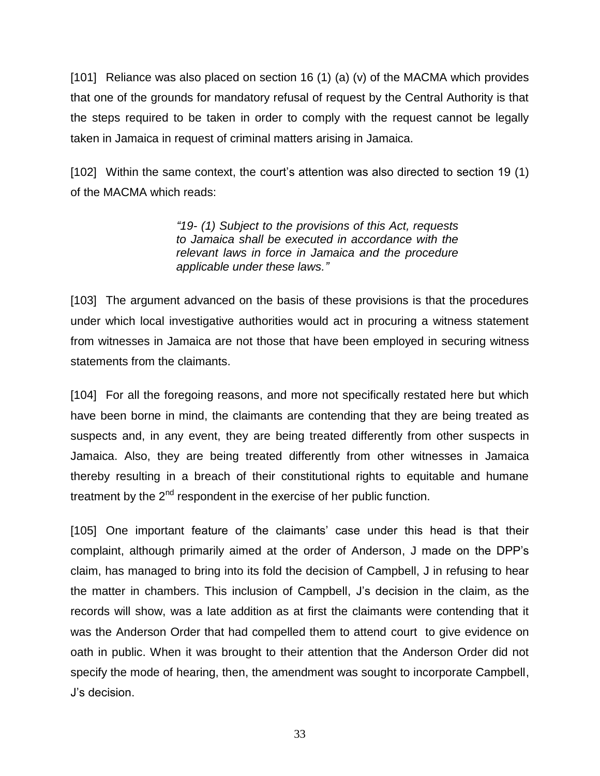[101] Reliance was also placed on section 16 (1) (a) (v) of the MACMA which provides that one of the grounds for mandatory refusal of request by the Central Authority is that the steps required to be taken in order to comply with the request cannot be legally taken in Jamaica in request of criminal matters arising in Jamaica.

[102] Within the same context, the court's attention was also directed to section 19 (1) of the MACMA which reads:

> *"19- (1) Subject to the provisions of this Act, requests to Jamaica shall be executed in accordance with the relevant laws in force in Jamaica and the procedure applicable under these laws."*

[103] The argument advanced on the basis of these provisions is that the procedures under which local investigative authorities would act in procuring a witness statement from witnesses in Jamaica are not those that have been employed in securing witness statements from the claimants.

[104] For all the foregoing reasons, and more not specifically restated here but which have been borne in mind, the claimants are contending that they are being treated as suspects and, in any event, they are being treated differently from other suspects in Jamaica. Also, they are being treated differently from other witnesses in Jamaica thereby resulting in a breach of their constitutional rights to equitable and humane treatment by the  $2<sup>nd</sup>$  respondent in the exercise of her public function.

[105] One important feature of the claimants' case under this head is that their complaint, although primarily aimed at the order of Anderson, J made on the DPP's claim, has managed to bring into its fold the decision of Campbell, J in refusing to hear the matter in chambers. This inclusion of Campbell, J's decision in the claim, as the records will show, was a late addition as at first the claimants were contending that it was the Anderson Order that had compelled them to attend court to give evidence on oath in public. When it was brought to their attention that the Anderson Order did not specify the mode of hearing, then, the amendment was sought to incorporate Campbell, J's decision.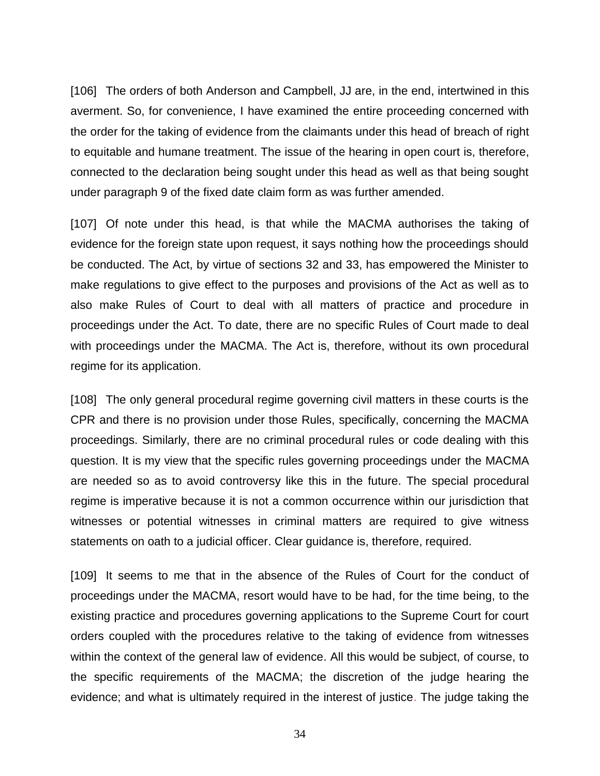[106] The orders of both Anderson and Campbell, JJ are, in the end, intertwined in this averment. So, for convenience, I have examined the entire proceeding concerned with the order for the taking of evidence from the claimants under this head of breach of right to equitable and humane treatment. The issue of the hearing in open court is, therefore, connected to the declaration being sought under this head as well as that being sought under paragraph 9 of the fixed date claim form as was further amended.

[107] Of note under this head, is that while the MACMA authorises the taking of evidence for the foreign state upon request, it says nothing how the proceedings should be conducted. The Act, by virtue of sections 32 and 33, has empowered the Minister to make regulations to give effect to the purposes and provisions of the Act as well as to also make Rules of Court to deal with all matters of practice and procedure in proceedings under the Act. To date, there are no specific Rules of Court made to deal with proceedings under the MACMA. The Act is, therefore, without its own procedural regime for its application.

[108] The only general procedural regime governing civil matters in these courts is the CPR and there is no provision under those Rules, specifically, concerning the MACMA proceedings. Similarly, there are no criminal procedural rules or code dealing with this question. It is my view that the specific rules governing proceedings under the MACMA are needed so as to avoid controversy like this in the future. The special procedural regime is imperative because it is not a common occurrence within our jurisdiction that witnesses or potential witnesses in criminal matters are required to give witness statements on oath to a judicial officer. Clear guidance is, therefore, required.

[109] It seems to me that in the absence of the Rules of Court for the conduct of proceedings under the MACMA, resort would have to be had, for the time being, to the existing practice and procedures governing applications to the Supreme Court for court orders coupled with the procedures relative to the taking of evidence from witnesses within the context of the general law of evidence. All this would be subject, of course, to the specific requirements of the MACMA; the discretion of the judge hearing the evidence; and what is ultimately required in the interest of justice. The judge taking the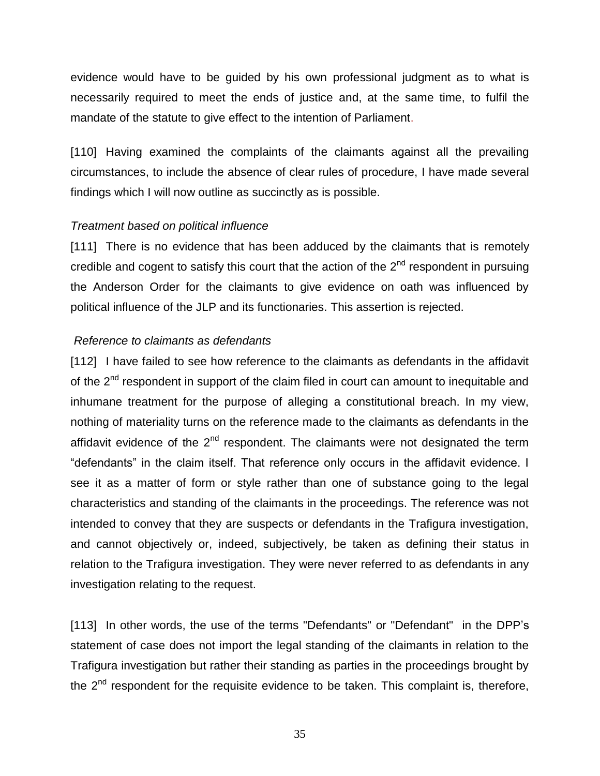evidence would have to be guided by his own professional judgment as to what is necessarily required to meet the ends of justice and, at the same time, to fulfil the mandate of the statute to give effect to the intention of Parliament.

[110] Having examined the complaints of the claimants against all the prevailing circumstances, to include the absence of clear rules of procedure, I have made several findings which I will now outline as succinctly as is possible.

### *Treatment based on political influence*

[111] There is no evidence that has been adduced by the claimants that is remotely credible and cogent to satisfy this court that the action of the  $2<sup>nd</sup>$  respondent in pursuing the Anderson Order for the claimants to give evidence on oath was influenced by political influence of the JLP and its functionaries. This assertion is rejected.

## *Reference to claimants as defendants*

[112] I have failed to see how reference to the claimants as defendants in the affidavit of the  $2<sup>nd</sup>$  respondent in support of the claim filed in court can amount to inequitable and inhumane treatment for the purpose of alleging a constitutional breach. In my view, nothing of materiality turns on the reference made to the claimants as defendants in the affidavit evidence of the  $2<sup>nd</sup>$  respondent. The claimants were not designated the term "defendants" in the claim itself. That reference only occurs in the affidavit evidence. I see it as a matter of form or style rather than one of substance going to the legal characteristics and standing of the claimants in the proceedings. The reference was not intended to convey that they are suspects or defendants in the Trafigura investigation, and cannot objectively or, indeed, subjectively, be taken as defining their status in relation to the Trafigura investigation. They were never referred to as defendants in any investigation relating to the request.

[113] In other words, the use of the terms "Defendants" or "Defendant" in the DPP's statement of case does not import the legal standing of the claimants in relation to the Trafigura investigation but rather their standing as parties in the proceedings brought by the  $2<sup>nd</sup>$  respondent for the requisite evidence to be taken. This complaint is, therefore,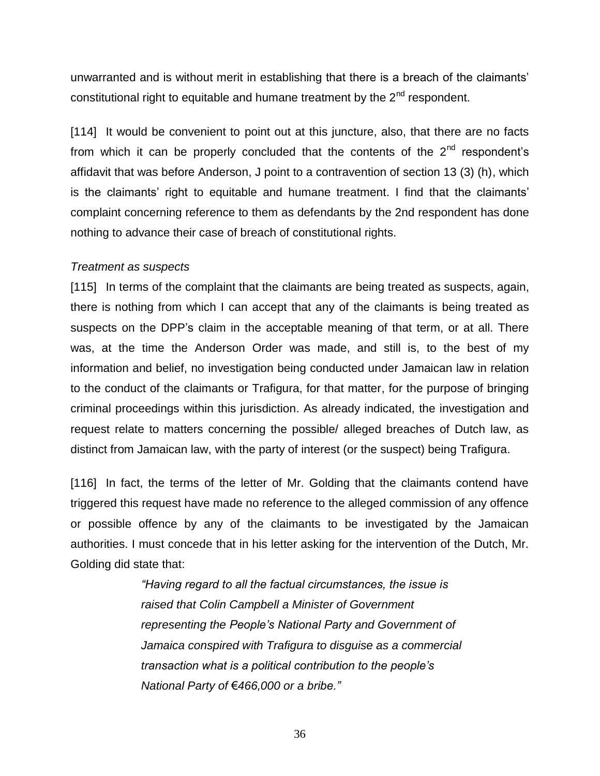unwarranted and is without merit in establishing that there is a breach of the claimants' constitutional right to equitable and humane treatment by the  $2<sup>nd</sup>$  respondent.

[114] It would be convenient to point out at this juncture, also, that there are no facts from which it can be properly concluded that the contents of the  $2<sup>nd</sup>$  respondent's affidavit that was before Anderson, J point to a contravention of section 13 (3) (h), which is the claimants' right to equitable and humane treatment. I find that the claimants' complaint concerning reference to them as defendants by the 2nd respondent has done nothing to advance their case of breach of constitutional rights.

#### *Treatment as suspects*

[115] In terms of the complaint that the claimants are being treated as suspects, again, there is nothing from which I can accept that any of the claimants is being treated as suspects on the DPP's claim in the acceptable meaning of that term, or at all. There was, at the time the Anderson Order was made, and still is, to the best of my information and belief, no investigation being conducted under Jamaican law in relation to the conduct of the claimants or Trafigura, for that matter, for the purpose of bringing criminal proceedings within this jurisdiction. As already indicated, the investigation and request relate to matters concerning the possible/ alleged breaches of Dutch law, as distinct from Jamaican law, with the party of interest (or the suspect) being Trafigura.

[116] In fact, the terms of the letter of Mr. Golding that the claimants contend have triggered this request have made no reference to the alleged commission of any offence or possible offence by any of the claimants to be investigated by the Jamaican authorities. I must concede that in his letter asking for the intervention of the Dutch, Mr. Golding did state that:

> *"Having regard to all the factual circumstances, the issue is raised that Colin Campbell a Minister of Government representing the People's National Party and Government of Jamaica conspired with Trafigura to disguise as a commercial transaction what is a political contribution to the people's National Party of* €*466,000 or a bribe."*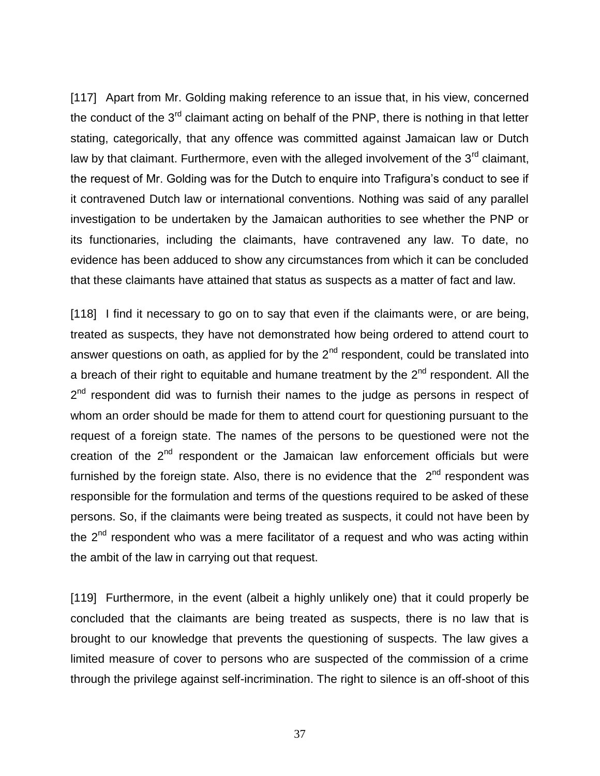[117] Apart from Mr. Golding making reference to an issue that, in his view, concerned the conduct of the  $3<sup>rd</sup>$  claimant acting on behalf of the PNP, there is nothing in that letter stating, categorically, that any offence was committed against Jamaican law or Dutch law by that claimant. Furthermore, even with the alleged involvement of the  $3<sup>rd</sup>$  claimant, the request of Mr. Golding was for the Dutch to enquire into Trafigura's conduct to see if it contravened Dutch law or international conventions. Nothing was said of any parallel investigation to be undertaken by the Jamaican authorities to see whether the PNP or its functionaries, including the claimants, have contravened any law. To date, no evidence has been adduced to show any circumstances from which it can be concluded that these claimants have attained that status as suspects as a matter of fact and law.

[118] I find it necessary to go on to say that even if the claimants were, or are being, treated as suspects, they have not demonstrated how being ordered to attend court to answer questions on oath, as applied for by the  $2<sup>nd</sup>$  respondent, could be translated into a breach of their right to equitable and humane treatment by the  $2<sup>nd</sup>$  respondent. All the 2<sup>nd</sup> respondent did was to furnish their names to the judge as persons in respect of whom an order should be made for them to attend court for questioning pursuant to the request of a foreign state. The names of the persons to be questioned were not the creation of the  $2<sup>nd</sup>$  respondent or the Jamaican law enforcement officials but were furnished by the foreign state. Also, there is no evidence that the  $2<sup>nd</sup>$  respondent was responsible for the formulation and terms of the questions required to be asked of these persons. So, if the claimants were being treated as suspects, it could not have been by the  $2<sup>nd</sup>$  respondent who was a mere facilitator of a request and who was acting within the ambit of the law in carrying out that request.

[119] Furthermore, in the event (albeit a highly unlikely one) that it could properly be concluded that the claimants are being treated as suspects, there is no law that is brought to our knowledge that prevents the questioning of suspects. The law gives a limited measure of cover to persons who are suspected of the commission of a crime through the privilege against self-incrimination. The right to silence is an off-shoot of this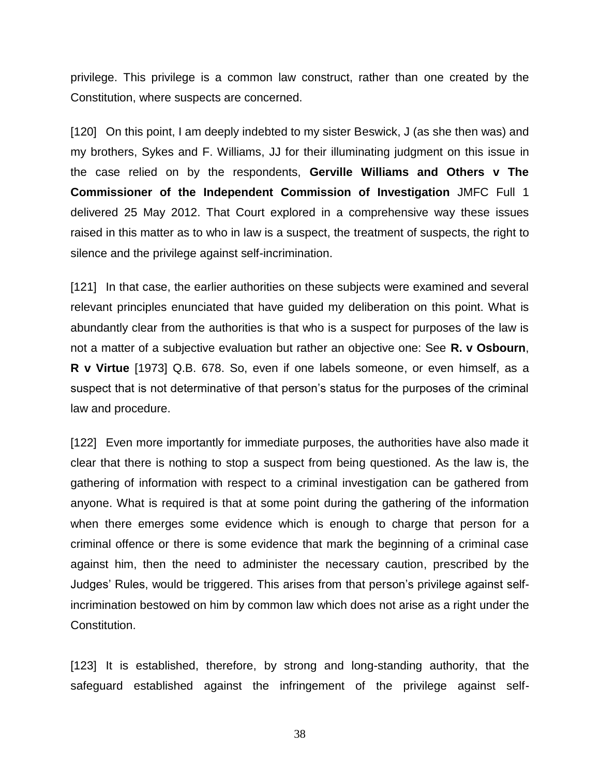privilege. This privilege is a common law construct, rather than one created by the Constitution, where suspects are concerned.

[120] On this point, I am deeply indebted to my sister Beswick, J (as she then was) and my brothers, Sykes and F. Williams, JJ for their illuminating judgment on this issue in the case relied on by the respondents, **Gerville Williams and Others v The Commissioner of the Independent Commission of Investigation** JMFC Full 1 delivered 25 May 2012. That Court explored in a comprehensive way these issues raised in this matter as to who in law is a suspect, the treatment of suspects, the right to silence and the privilege against self-incrimination.

[121] In that case, the earlier authorities on these subjects were examined and several relevant principles enunciated that have guided my deliberation on this point. What is abundantly clear from the authorities is that who is a suspect for purposes of the law is not a matter of a subjective evaluation but rather an objective one: See **R. v Osbourn**, **R v Virtue** [1973] Q.B. 678. So, even if one labels someone, or even himself, as a suspect that is not determinative of that person's status for the purposes of the criminal law and procedure.

[122] Even more importantly for immediate purposes, the authorities have also made it clear that there is nothing to stop a suspect from being questioned. As the law is, the gathering of information with respect to a criminal investigation can be gathered from anyone. What is required is that at some point during the gathering of the information when there emerges some evidence which is enough to charge that person for a criminal offence or there is some evidence that mark the beginning of a criminal case against him, then the need to administer the necessary caution, prescribed by the Judges' Rules, would be triggered. This arises from that person's privilege against selfincrimination bestowed on him by common law which does not arise as a right under the Constitution.

[123] It is established, therefore, by strong and long-standing authority, that the safeguard established against the infringement of the privilege against self-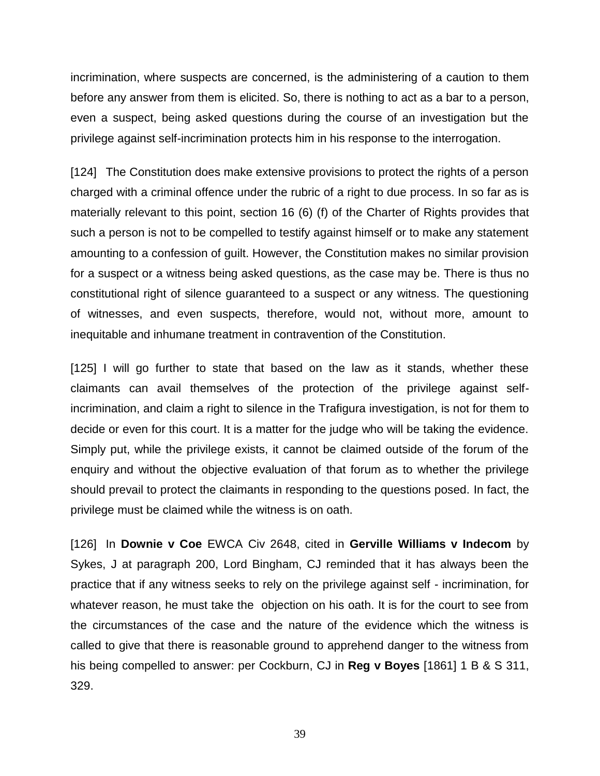incrimination, where suspects are concerned, is the administering of a caution to them before any answer from them is elicited. So, there is nothing to act as a bar to a person, even a suspect, being asked questions during the course of an investigation but the privilege against self-incrimination protects him in his response to the interrogation.

[124] The Constitution does make extensive provisions to protect the rights of a person charged with a criminal offence under the rubric of a right to due process. In so far as is materially relevant to this point, section 16 (6) (f) of the Charter of Rights provides that such a person is not to be compelled to testify against himself or to make any statement amounting to a confession of guilt. However, the Constitution makes no similar provision for a suspect or a witness being asked questions, as the case may be. There is thus no constitutional right of silence guaranteed to a suspect or any witness. The questioning of witnesses, and even suspects, therefore, would not, without more, amount to inequitable and inhumane treatment in contravention of the Constitution.

[125] I will go further to state that based on the law as it stands, whether these claimants can avail themselves of the protection of the privilege against selfincrimination, and claim a right to silence in the Trafigura investigation, is not for them to decide or even for this court. It is a matter for the judge who will be taking the evidence. Simply put, while the privilege exists, it cannot be claimed outside of the forum of the enquiry and without the objective evaluation of that forum as to whether the privilege should prevail to protect the claimants in responding to the questions posed. In fact, the privilege must be claimed while the witness is on oath.

[126] In **Downie v Coe** EWCA Civ 2648, cited in **Gerville Williams v Indecom** by Sykes, J at paragraph 200, Lord Bingham, CJ reminded that it has always been the practice that if any witness seeks to rely on the privilege against self - incrimination, for whatever reason, he must take the objection on his oath. It is for the court to see from the circumstances of the case and the nature of the evidence which the witness is called to give that there is reasonable ground to apprehend danger to the witness from his being compelled to answer: per Cockburn, CJ in **Reg v Boyes** [1861] 1 B & S 311, 329.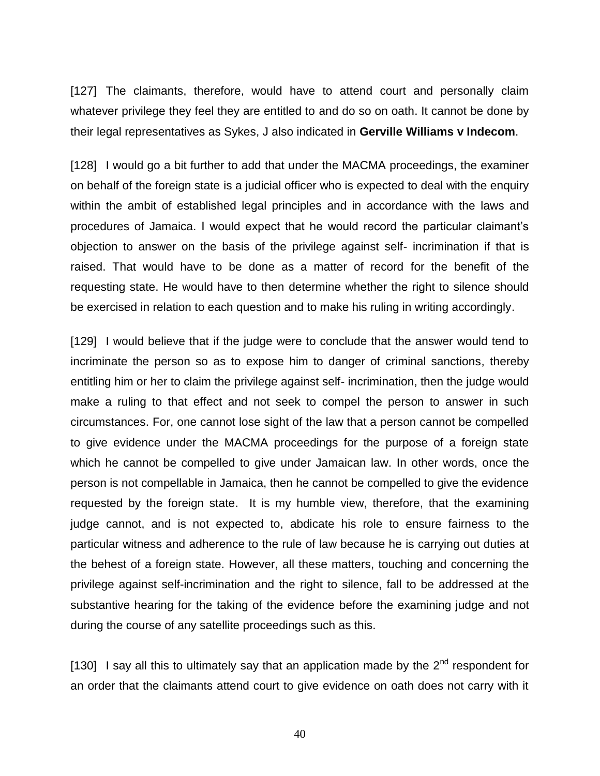[127] The claimants, therefore, would have to attend court and personally claim whatever privilege they feel they are entitled to and do so on oath. It cannot be done by their legal representatives as Sykes, J also indicated in **Gerville Williams v Indecom**.

[128] I would go a bit further to add that under the MACMA proceedings, the examiner on behalf of the foreign state is a judicial officer who is expected to deal with the enquiry within the ambit of established legal principles and in accordance with the laws and procedures of Jamaica. I would expect that he would record the particular claimant's objection to answer on the basis of the privilege against self- incrimination if that is raised. That would have to be done as a matter of record for the benefit of the requesting state. He would have to then determine whether the right to silence should be exercised in relation to each question and to make his ruling in writing accordingly.

[129] I would believe that if the judge were to conclude that the answer would tend to incriminate the person so as to expose him to danger of criminal sanctions, thereby entitling him or her to claim the privilege against self- incrimination, then the judge would make a ruling to that effect and not seek to compel the person to answer in such circumstances. For, one cannot lose sight of the law that a person cannot be compelled to give evidence under the MACMA proceedings for the purpose of a foreign state which he cannot be compelled to give under Jamaican law. In other words, once the person is not compellable in Jamaica, then he cannot be compelled to give the evidence requested by the foreign state. It is my humble view, therefore, that the examining judge cannot, and is not expected to, abdicate his role to ensure fairness to the particular witness and adherence to the rule of law because he is carrying out duties at the behest of a foreign state. However, all these matters, touching and concerning the privilege against self-incrimination and the right to silence, fall to be addressed at the substantive hearing for the taking of the evidence before the examining judge and not during the course of any satellite proceedings such as this.

[130] I say all this to ultimately say that an application made by the  $2<sup>nd</sup>$  respondent for an order that the claimants attend court to give evidence on oath does not carry with it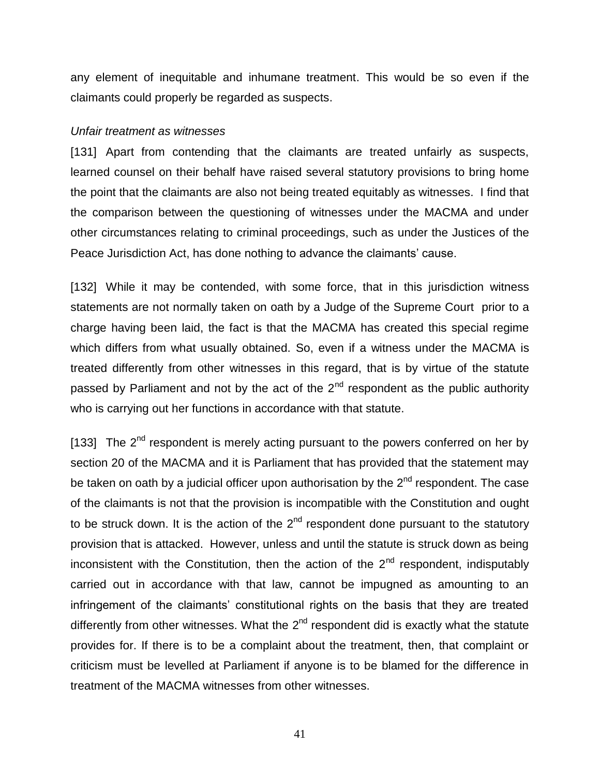any element of inequitable and inhumane treatment. This would be so even if the claimants could properly be regarded as suspects.

#### *Unfair treatment as witnesses*

[131] Apart from contending that the claimants are treated unfairly as suspects, learned counsel on their behalf have raised several statutory provisions to bring home the point that the claimants are also not being treated equitably as witnesses. I find that the comparison between the questioning of witnesses under the MACMA and under other circumstances relating to criminal proceedings, such as under the Justices of the Peace Jurisdiction Act, has done nothing to advance the claimants' cause.

[132] While it may be contended, with some force, that in this jurisdiction witness statements are not normally taken on oath by a Judge of the Supreme Court prior to a charge having been laid, the fact is that the MACMA has created this special regime which differs from what usually obtained. So, even if a witness under the MACMA is treated differently from other witnesses in this regard, that is by virtue of the statute passed by Parliament and not by the act of the  $2<sup>nd</sup>$  respondent as the public authority who is carrying out her functions in accordance with that statute.

[133] The  $2^{nd}$  respondent is merely acting pursuant to the powers conferred on her by section 20 of the MACMA and it is Parliament that has provided that the statement may be taken on oath by a judicial officer upon authorisation by the  $2<sup>nd</sup>$  respondent. The case of the claimants is not that the provision is incompatible with the Constitution and ought to be struck down. It is the action of the  $2<sup>nd</sup>$  respondent done pursuant to the statutory provision that is attacked. However, unless and until the statute is struck down as being inconsistent with the Constitution, then the action of the  $2<sup>nd</sup>$  respondent, indisputably carried out in accordance with that law, cannot be impugned as amounting to an infringement of the claimants' constitutional rights on the basis that they are treated differently from other witnesses. What the 2<sup>nd</sup> respondent did is exactly what the statute provides for. If there is to be a complaint about the treatment, then, that complaint or criticism must be levelled at Parliament if anyone is to be blamed for the difference in treatment of the MACMA witnesses from other witnesses.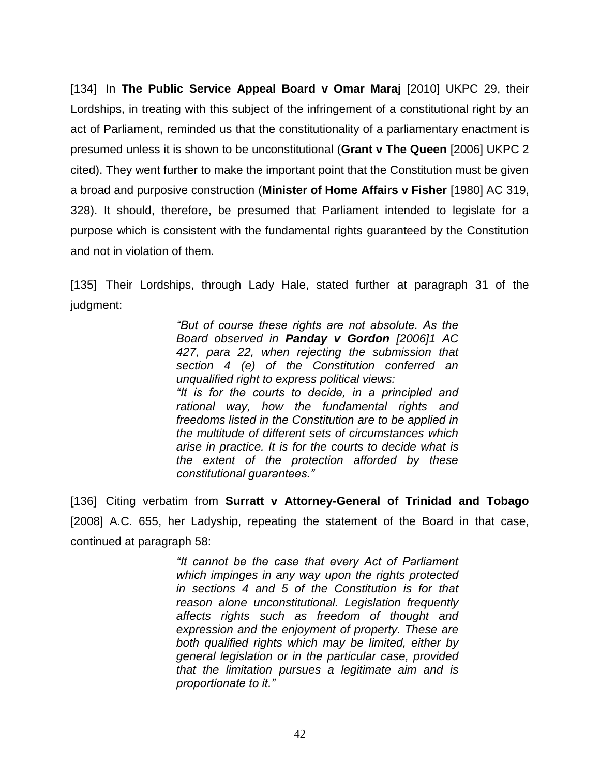[134] In **The Public Service Appeal Board v Omar Maraj** [2010] UKPC 29, their Lordships, in treating with this subject of the infringement of a constitutional right by an act of Parliament, reminded us that the constitutionality of a parliamentary enactment is presumed unless it is shown to be unconstitutional (**Grant v The Queen** [2006] UKPC 2 cited). They went further to make the important point that the Constitution must be given a broad and purposive construction (**Minister of Home Affairs v Fisher** [1980] AC 319, 328). It should, therefore, be presumed that Parliament intended to legislate for a purpose which is consistent with the fundamental rights guaranteed by the Constitution and not in violation of them.

[135] Their Lordships, through Lady Hale, stated further at paragraph 31 of the judgment:

> *"But of course these rights are not absolute. As the Board observed in Panday v Gordon [2006]1 AC 427, para 22, when rejecting the submission that section 4 (e) of the Constitution conferred an unqualified right to express political views: "It is for the courts to decide, in a principled and rational way, how the fundamental rights and freedoms listed in the Constitution are to be applied in the multitude of different sets of circumstances which arise in practice. It is for the courts to decide what is the extent of the protection afforded by these constitutional guarantees."*

[136] Citing verbatim from **Surratt v Attorney-General of Trinidad and Tobago**  [2008] A.C. 655, her Ladyship, repeating the statement of the Board in that case, continued at paragraph 58:

> *"It cannot be the case that every Act of Parliament which impinges in any way upon the rights protected in sections 4 and 5 of the Constitution is for that reason alone unconstitutional. Legislation frequently affects rights such as freedom of thought and expression and the enjoyment of property. These are both qualified rights which may be limited, either by general legislation or in the particular case, provided that the limitation pursues a legitimate aim and is proportionate to it."*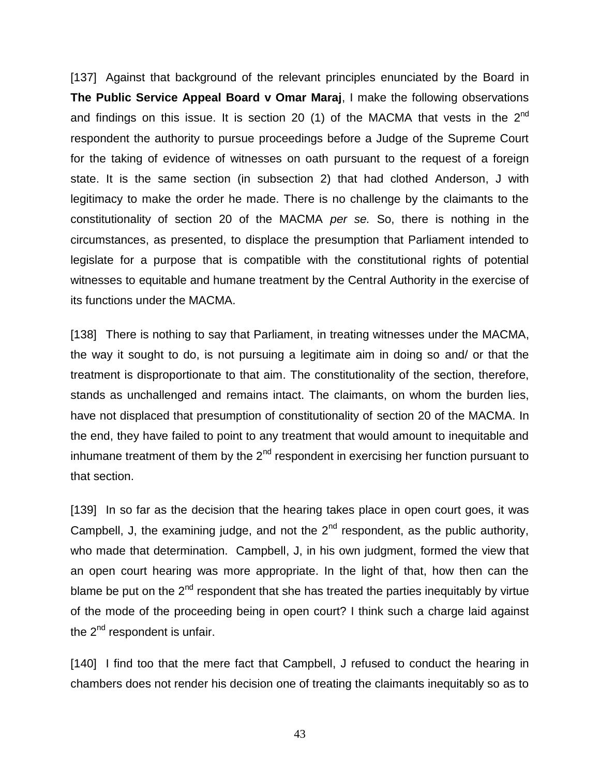[137] Against that background of the relevant principles enunciated by the Board in **The Public Service Appeal Board v Omar Maraj**, I make the following observations and findings on this issue. It is section 20 (1) of the MACMA that vests in the  $2^{nd}$ respondent the authority to pursue proceedings before a Judge of the Supreme Court for the taking of evidence of witnesses on oath pursuant to the request of a foreign state. It is the same section (in subsection 2) that had clothed Anderson, J with legitimacy to make the order he made. There is no challenge by the claimants to the constitutionality of section 20 of the MACMA *per se.* So, there is nothing in the circumstances, as presented, to displace the presumption that Parliament intended to legislate for a purpose that is compatible with the constitutional rights of potential witnesses to equitable and humane treatment by the Central Authority in the exercise of its functions under the MACMA.

[138] There is nothing to say that Parliament, in treating witnesses under the MACMA, the way it sought to do, is not pursuing a legitimate aim in doing so and/ or that the treatment is disproportionate to that aim. The constitutionality of the section, therefore, stands as unchallenged and remains intact. The claimants, on whom the burden lies, have not displaced that presumption of constitutionality of section 20 of the MACMA. In the end, they have failed to point to any treatment that would amount to inequitable and inhumane treatment of them by the  $2^{nd}$  respondent in exercising her function pursuant to that section.

[139] In so far as the decision that the hearing takes place in open court goes, it was Campbell, J, the examining judge, and not the  $2^{nd}$  respondent, as the public authority, who made that determination. Campbell, J, in his own judgment, formed the view that an open court hearing was more appropriate. In the light of that, how then can the blame be put on the  $2<sup>nd</sup>$  respondent that she has treated the parties inequitably by virtue of the mode of the proceeding being in open court? I think such a charge laid against the  $2<sup>nd</sup>$  respondent is unfair.

[140] I find too that the mere fact that Campbell, J refused to conduct the hearing in chambers does not render his decision one of treating the claimants inequitably so as to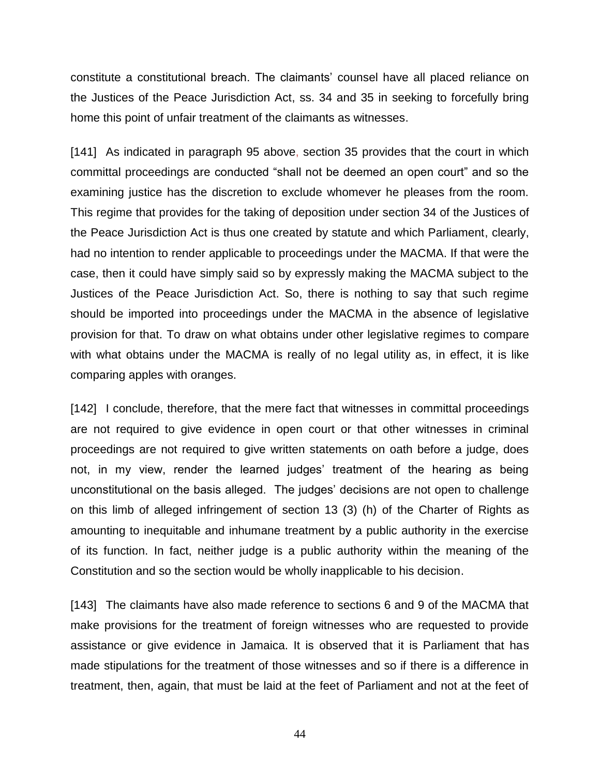constitute a constitutional breach. The claimants' counsel have all placed reliance on the Justices of the Peace Jurisdiction Act, ss. 34 and 35 in seeking to forcefully bring home this point of unfair treatment of the claimants as witnesses.

[141] As indicated in paragraph 95 above, section 35 provides that the court in which committal proceedings are conducted "shall not be deemed an open court" and so the examining justice has the discretion to exclude whomever he pleases from the room. This regime that provides for the taking of deposition under section 34 of the Justices of the Peace Jurisdiction Act is thus one created by statute and which Parliament, clearly, had no intention to render applicable to proceedings under the MACMA. If that were the case, then it could have simply said so by expressly making the MACMA subject to the Justices of the Peace Jurisdiction Act. So, there is nothing to say that such regime should be imported into proceedings under the MACMA in the absence of legislative provision for that. To draw on what obtains under other legislative regimes to compare with what obtains under the MACMA is really of no legal utility as, in effect, it is like comparing apples with oranges.

[142] I conclude, therefore, that the mere fact that witnesses in committal proceedings are not required to give evidence in open court or that other witnesses in criminal proceedings are not required to give written statements on oath before a judge, does not, in my view, render the learned judges' treatment of the hearing as being unconstitutional on the basis alleged. The judges' decisions are not open to challenge on this limb of alleged infringement of section 13 (3) (h) of the Charter of Rights as amounting to inequitable and inhumane treatment by a public authority in the exercise of its function. In fact, neither judge is a public authority within the meaning of the Constitution and so the section would be wholly inapplicable to his decision.

[143] The claimants have also made reference to sections 6 and 9 of the MACMA that make provisions for the treatment of foreign witnesses who are requested to provide assistance or give evidence in Jamaica. It is observed that it is Parliament that has made stipulations for the treatment of those witnesses and so if there is a difference in treatment, then, again, that must be laid at the feet of Parliament and not at the feet of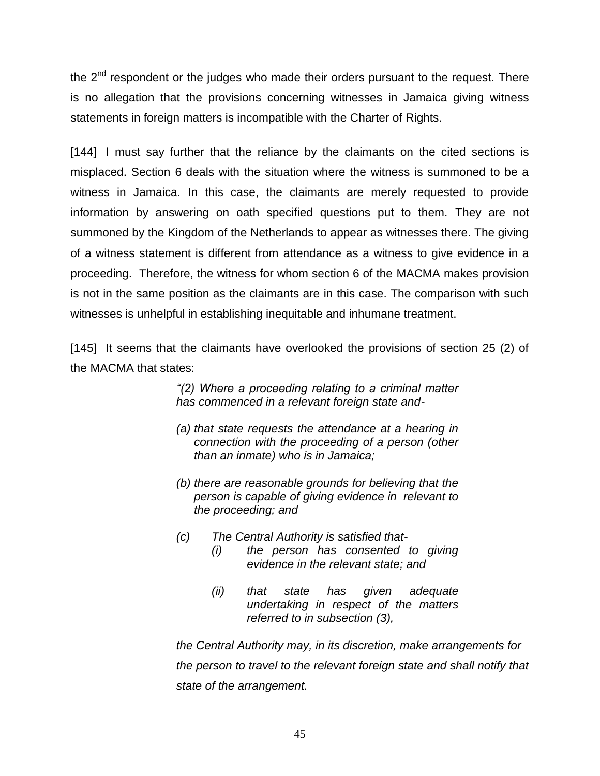the  $2<sup>nd</sup>$  respondent or the judges who made their orders pursuant to the request. There is no allegation that the provisions concerning witnesses in Jamaica giving witness statements in foreign matters is incompatible with the Charter of Rights.

[144] I must say further that the reliance by the claimants on the cited sections is misplaced. Section 6 deals with the situation where the witness is summoned to be a witness in Jamaica. In this case, the claimants are merely requested to provide information by answering on oath specified questions put to them. They are not summoned by the Kingdom of the Netherlands to appear as witnesses there. The giving of a witness statement is different from attendance as a witness to give evidence in a proceeding. Therefore, the witness for whom section 6 of the MACMA makes provision is not in the same position as the claimants are in this case. The comparison with such witnesses is unhelpful in establishing inequitable and inhumane treatment.

[145] It seems that the claimants have overlooked the provisions of section 25 (2) of the MACMA that states:

> *"(2) Where a proceeding relating to a criminal matter has commenced in a relevant foreign state and-*

- *(a) that state requests the attendance at a hearing in connection with the proceeding of a person (other than an inmate) who is in Jamaica;*
- *(b) there are reasonable grounds for believing that the person is capable of giving evidence in relevant to the proceeding; and*
- *(c) The Central Authority is satisfied that-*
	- *(i) the person has consented to giving evidence in the relevant state; and*
	- *(ii) that state has given adequate undertaking in respect of the matters referred to in subsection (3),*

*the Central Authority may, in its discretion, make arrangements for the person to travel to the relevant foreign state and shall notify that state of the arrangement.*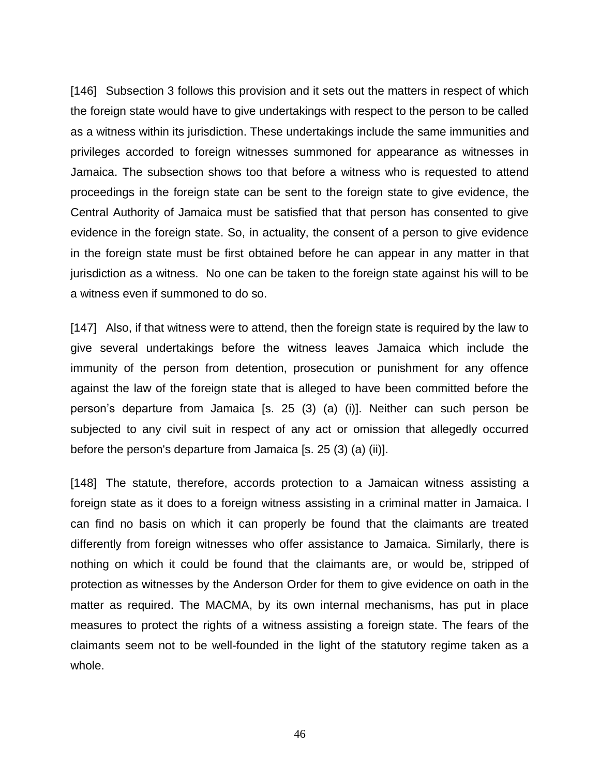[146] Subsection 3 follows this provision and it sets out the matters in respect of which the foreign state would have to give undertakings with respect to the person to be called as a witness within its jurisdiction. These undertakings include the same immunities and privileges accorded to foreign witnesses summoned for appearance as witnesses in Jamaica. The subsection shows too that before a witness who is requested to attend proceedings in the foreign state can be sent to the foreign state to give evidence, the Central Authority of Jamaica must be satisfied that that person has consented to give evidence in the foreign state. So, in actuality, the consent of a person to give evidence in the foreign state must be first obtained before he can appear in any matter in that jurisdiction as a witness. No one can be taken to the foreign state against his will to be a witness even if summoned to do so.

[147] Also, if that witness were to attend, then the foreign state is required by the law to give several undertakings before the witness leaves Jamaica which include the immunity of the person from detention, prosecution or punishment for any offence against the law of the foreign state that is alleged to have been committed before the person's departure from Jamaica [s. 25 (3) (a) (i)]. Neither can such person be subjected to any civil suit in respect of any act or omission that allegedly occurred before the person's departure from Jamaica [s. 25 (3) (a) (ii)].

[148] The statute, therefore, accords protection to a Jamaican witness assisting a foreign state as it does to a foreign witness assisting in a criminal matter in Jamaica. I can find no basis on which it can properly be found that the claimants are treated differently from foreign witnesses who offer assistance to Jamaica. Similarly, there is nothing on which it could be found that the claimants are, or would be, stripped of protection as witnesses by the Anderson Order for them to give evidence on oath in the matter as required. The MACMA, by its own internal mechanisms, has put in place measures to protect the rights of a witness assisting a foreign state. The fears of the claimants seem not to be well-founded in the light of the statutory regime taken as a whole.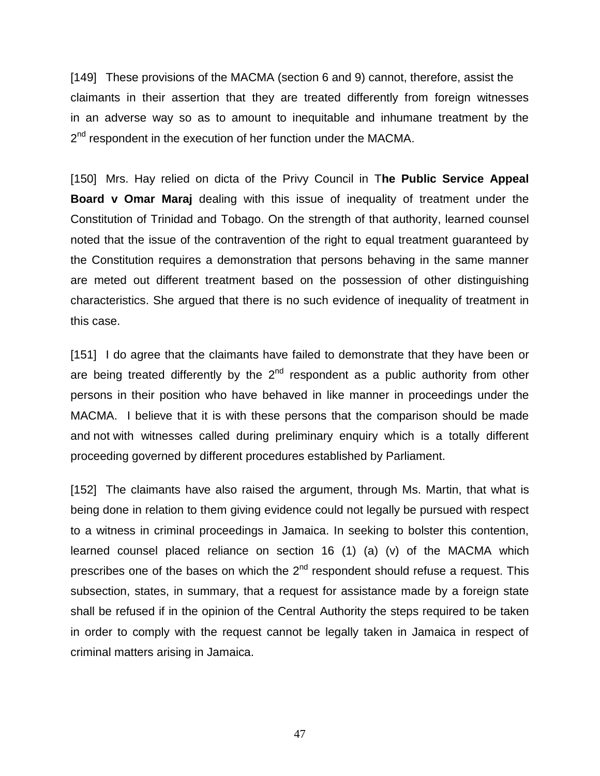[149] These provisions of the MACMA (section 6 and 9) cannot, therefore, assist the claimants in their assertion that they are treated differently from foreign witnesses in an adverse way so as to amount to inequitable and inhumane treatment by the 2<sup>nd</sup> respondent in the execution of her function under the MACMA.

[150] Mrs. Hay relied on dicta of the Privy Council in T**he Public Service Appeal Board v Omar Maraj** dealing with this issue of inequality of treatment under the Constitution of Trinidad and Tobago. On the strength of that authority, learned counsel noted that the issue of the contravention of the right to equal treatment guaranteed by the Constitution requires a demonstration that persons behaving in the same manner are meted out different treatment based on the possession of other distinguishing characteristics. She argued that there is no such evidence of inequality of treatment in this case.

[151] I do agree that the claimants have failed to demonstrate that they have been or are being treated differently by the  $2<sup>nd</sup>$  respondent as a public authority from other persons in their position who have behaved in like manner in proceedings under the MACMA. I believe that it is with these persons that the comparison should be made and not with witnesses called during preliminary enquiry which is a totally different proceeding governed by different procedures established by Parliament.

[152] The claimants have also raised the argument, through Ms. Martin, that what is being done in relation to them giving evidence could not legally be pursued with respect to a witness in criminal proceedings in Jamaica. In seeking to bolster this contention, learned counsel placed reliance on section 16 (1) (a) (v) of the MACMA which prescribes one of the bases on which the  $2<sup>nd</sup>$  respondent should refuse a request. This subsection, states, in summary, that a request for assistance made by a foreign state shall be refused if in the opinion of the Central Authority the steps required to be taken in order to comply with the request cannot be legally taken in Jamaica in respect of criminal matters arising in Jamaica.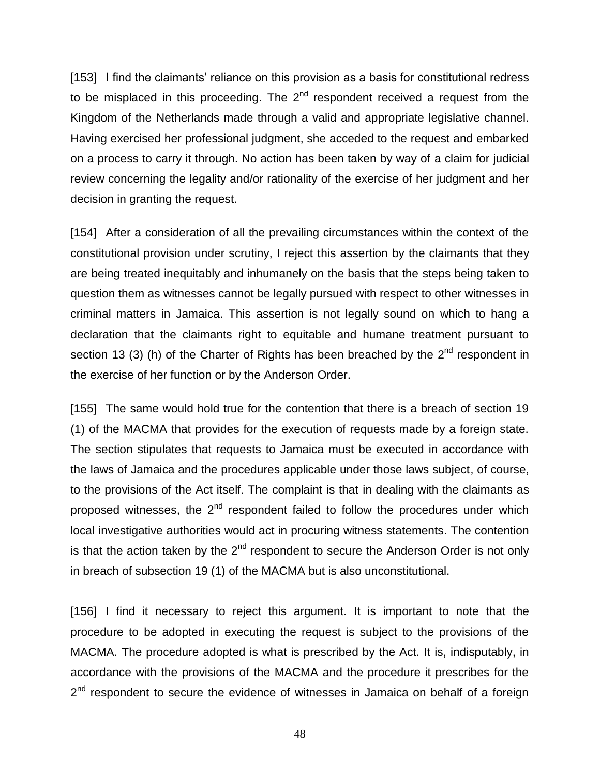[153] I find the claimants' reliance on this provision as a basis for constitutional redress to be misplaced in this proceeding. The  $2^{nd}$  respondent received a request from the Kingdom of the Netherlands made through a valid and appropriate legislative channel. Having exercised her professional judgment, she acceded to the request and embarked on a process to carry it through. No action has been taken by way of a claim for judicial review concerning the legality and/or rationality of the exercise of her judgment and her decision in granting the request.

[154] After a consideration of all the prevailing circumstances within the context of the constitutional provision under scrutiny, I reject this assertion by the claimants that they are being treated inequitably and inhumanely on the basis that the steps being taken to question them as witnesses cannot be legally pursued with respect to other witnesses in criminal matters in Jamaica. This assertion is not legally sound on which to hang a declaration that the claimants right to equitable and humane treatment pursuant to section 13 (3) (h) of the Charter of Rights has been breached by the  $2^{nd}$  respondent in the exercise of her function or by the Anderson Order.

[155] The same would hold true for the contention that there is a breach of section 19 (1) of the MACMA that provides for the execution of requests made by a foreign state. The section stipulates that requests to Jamaica must be executed in accordance with the laws of Jamaica and the procedures applicable under those laws subject, of course, to the provisions of the Act itself. The complaint is that in dealing with the claimants as proposed witnesses, the 2<sup>nd</sup> respondent failed to follow the procedures under which local investigative authorities would act in procuring witness statements. The contention is that the action taken by the  $2^{nd}$  respondent to secure the Anderson Order is not only in breach of subsection 19 (1) of the MACMA but is also unconstitutional.

[156] I find it necessary to reject this argument. It is important to note that the procedure to be adopted in executing the request is subject to the provisions of the MACMA. The procedure adopted is what is prescribed by the Act. It is, indisputably, in accordance with the provisions of the MACMA and the procedure it prescribes for the 2<sup>nd</sup> respondent to secure the evidence of witnesses in Jamaica on behalf of a foreign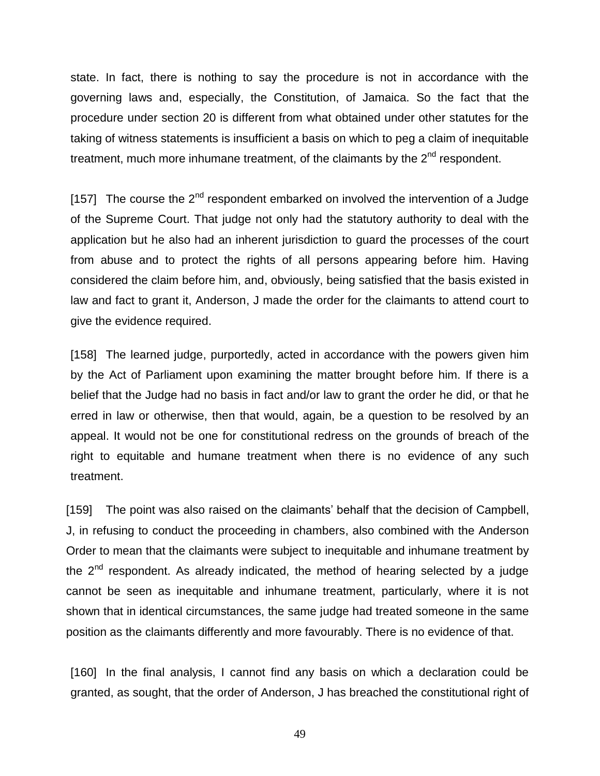state. In fact, there is nothing to say the procedure is not in accordance with the governing laws and, especially, the Constitution, of Jamaica. So the fact that the procedure under section 20 is different from what obtained under other statutes for the taking of witness statements is insufficient a basis on which to peg a claim of inequitable treatment, much more inhumane treatment, of the claimants by the  $2<sup>nd</sup>$  respondent.

[157] The course the  $2^{nd}$  respondent embarked on involved the intervention of a Judge of the Supreme Court. That judge not only had the statutory authority to deal with the application but he also had an inherent jurisdiction to guard the processes of the court from abuse and to protect the rights of all persons appearing before him. Having considered the claim before him, and, obviously, being satisfied that the basis existed in law and fact to grant it, Anderson, J made the order for the claimants to attend court to give the evidence required.

[158] The learned judge, purportedly, acted in accordance with the powers given him by the Act of Parliament upon examining the matter brought before him. If there is a belief that the Judge had no basis in fact and/or law to grant the order he did, or that he erred in law or otherwise, then that would, again, be a question to be resolved by an appeal. It would not be one for constitutional redress on the grounds of breach of the right to equitable and humane treatment when there is no evidence of any such treatment.

[159] The point was also raised on the claimants' behalf that the decision of Campbell, J, in refusing to conduct the proceeding in chambers, also combined with the Anderson Order to mean that the claimants were subject to inequitable and inhumane treatment by the  $2<sup>nd</sup>$  respondent. As already indicated, the method of hearing selected by a judge cannot be seen as inequitable and inhumane treatment, particularly, where it is not shown that in identical circumstances, the same judge had treated someone in the same position as the claimants differently and more favourably. There is no evidence of that.

[160] In the final analysis, I cannot find any basis on which a declaration could be granted, as sought, that the order of Anderson, J has breached the constitutional right of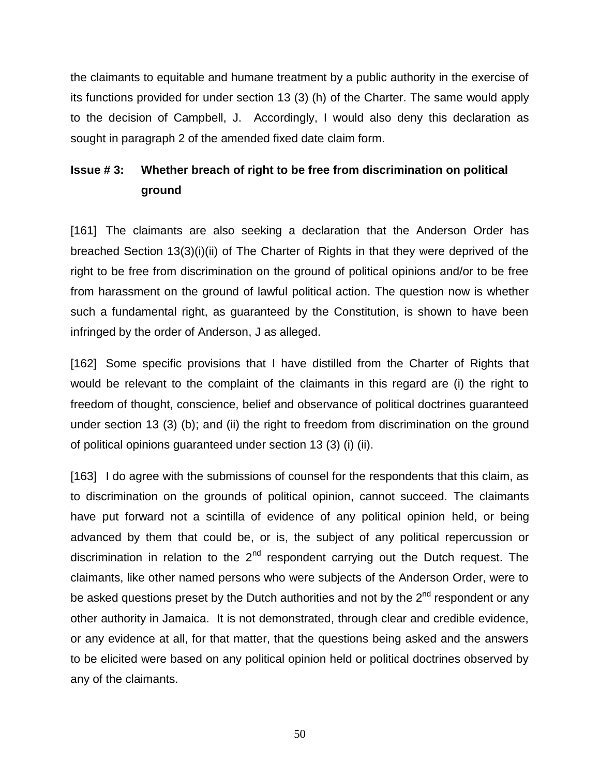the claimants to equitable and humane treatment by a public authority in the exercise of its functions provided for under section 13 (3) (h) of the Charter. The same would apply to the decision of Campbell, J. Accordingly, I would also deny this declaration as sought in paragraph 2 of the amended fixed date claim form.

## **Issue # 3: Whether breach of right to be free from discrimination on political ground**

[161] The claimants are also seeking a declaration that the Anderson Order has breached Section 13(3)(i)(ii) of The Charter of Rights in that they were deprived of the right to be free from discrimination on the ground of political opinions and/or to be free from harassment on the ground of lawful political action. The question now is whether such a fundamental right, as guaranteed by the Constitution, is shown to have been infringed by the order of Anderson, J as alleged.

[162] Some specific provisions that I have distilled from the Charter of Rights that would be relevant to the complaint of the claimants in this regard are (i) the right to freedom of thought, conscience, belief and observance of political doctrines guaranteed under section 13 (3) (b); and (ii) the right to freedom from discrimination on the ground of political opinions guaranteed under section 13 (3) (i) (ii).

[163] I do agree with the submissions of counsel for the respondents that this claim, as to discrimination on the grounds of political opinion, cannot succeed. The claimants have put forward not a scintilla of evidence of any political opinion held, or being advanced by them that could be, or is, the subject of any political repercussion or discrimination in relation to the  $2<sup>nd</sup>$  respondent carrying out the Dutch request. The claimants, like other named persons who were subjects of the Anderson Order, were to be asked questions preset by the Dutch authorities and not by the  $2<sup>nd</sup>$  respondent or any other authority in Jamaica. It is not demonstrated, through clear and credible evidence, or any evidence at all, for that matter, that the questions being asked and the answers to be elicited were based on any political opinion held or political doctrines observed by any of the claimants.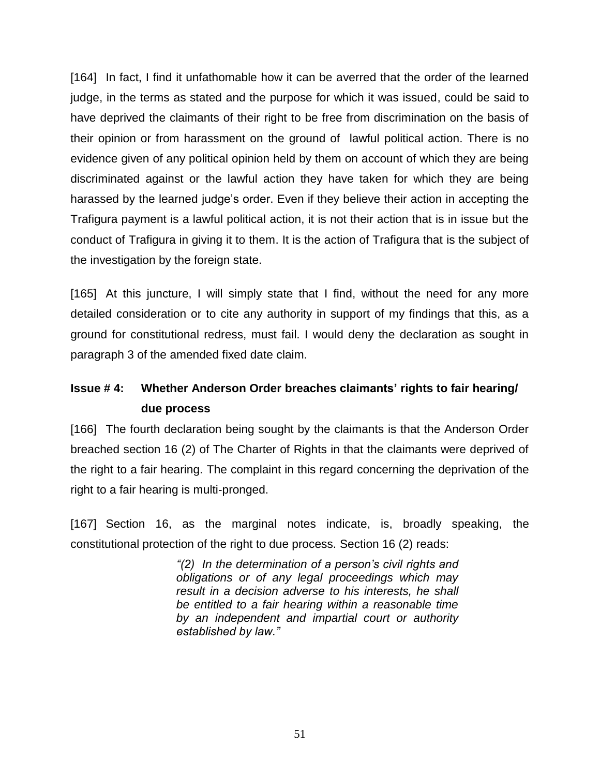[164] In fact, I find it unfathomable how it can be averred that the order of the learned judge, in the terms as stated and the purpose for which it was issued, could be said to have deprived the claimants of their right to be free from discrimination on the basis of their opinion or from harassment on the ground of lawful political action. There is no evidence given of any political opinion held by them on account of which they are being discriminated against or the lawful action they have taken for which they are being harassed by the learned judge's order. Even if they believe their action in accepting the Trafigura payment is a lawful political action, it is not their action that is in issue but the conduct of Trafigura in giving it to them. It is the action of Trafigura that is the subject of the investigation by the foreign state.

[165] At this juncture, I will simply state that I find, without the need for any more detailed consideration or to cite any authority in support of my findings that this, as a ground for constitutional redress, must fail. I would deny the declaration as sought in paragraph 3 of the amended fixed date claim.

## **Issue # 4: Whether Anderson Order breaches claimants' rights to fair hearing/ due process**

[166] The fourth declaration being sought by the claimants is that the Anderson Order breached section 16 (2) of The Charter of Rights in that the claimants were deprived of the right to a fair hearing. The complaint in this regard concerning the deprivation of the right to a fair hearing is multi-pronged.

[167] Section 16, as the marginal notes indicate, is, broadly speaking, the constitutional protection of the right to due process. Section 16 (2) reads:

> *"(2) In the determination of a person's civil rights and obligations or of any legal proceedings which may result in a decision adverse to his interests, he shall be entitled to a fair hearing within a reasonable time by an independent and impartial court or authority established by law."*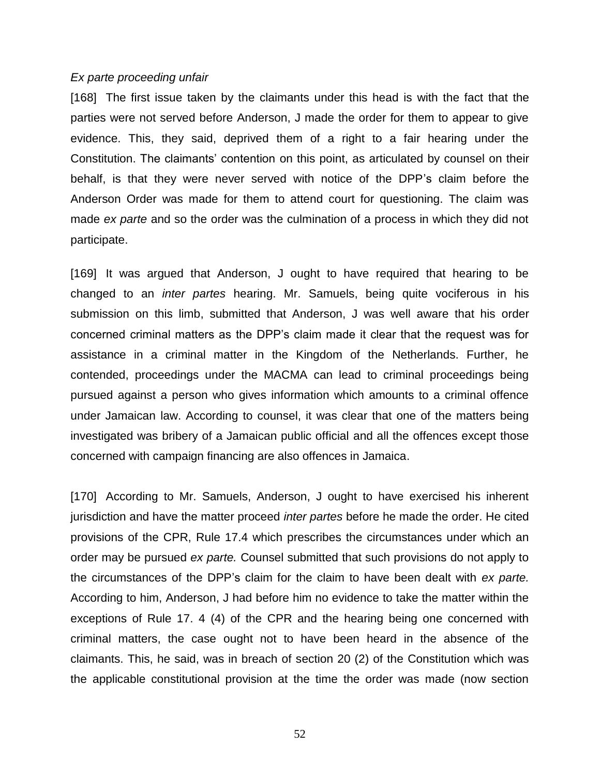#### *Ex parte proceeding unfair*

[168] The first issue taken by the claimants under this head is with the fact that the parties were not served before Anderson, J made the order for them to appear to give evidence. This, they said, deprived them of a right to a fair hearing under the Constitution. The claimants' contention on this point, as articulated by counsel on their behalf, is that they were never served with notice of the DPP's claim before the Anderson Order was made for them to attend court for questioning. The claim was made *ex parte* and so the order was the culmination of a process in which they did not participate.

[169] It was argued that Anderson, J ought to have required that hearing to be changed to an *inter partes* hearing. Mr. Samuels, being quite vociferous in his submission on this limb, submitted that Anderson, J was well aware that his order concerned criminal matters as the DPP's claim made it clear that the request was for assistance in a criminal matter in the Kingdom of the Netherlands. Further, he contended, proceedings under the MACMA can lead to criminal proceedings being pursued against a person who gives information which amounts to a criminal offence under Jamaican law. According to counsel, it was clear that one of the matters being investigated was bribery of a Jamaican public official and all the offences except those concerned with campaign financing are also offences in Jamaica.

[170] According to Mr. Samuels, Anderson, J ought to have exercised his inherent jurisdiction and have the matter proceed *inter partes* before he made the order. He cited provisions of the CPR, Rule 17.4 which prescribes the circumstances under which an order may be pursued *ex parte.* Counsel submitted that such provisions do not apply to the circumstances of the DPP's claim for the claim to have been dealt with *ex parte.* According to him, Anderson, J had before him no evidence to take the matter within the exceptions of Rule 17. 4 (4) of the CPR and the hearing being one concerned with criminal matters, the case ought not to have been heard in the absence of the claimants. This, he said, was in breach of section 20 (2) of the Constitution which was the applicable constitutional provision at the time the order was made (now section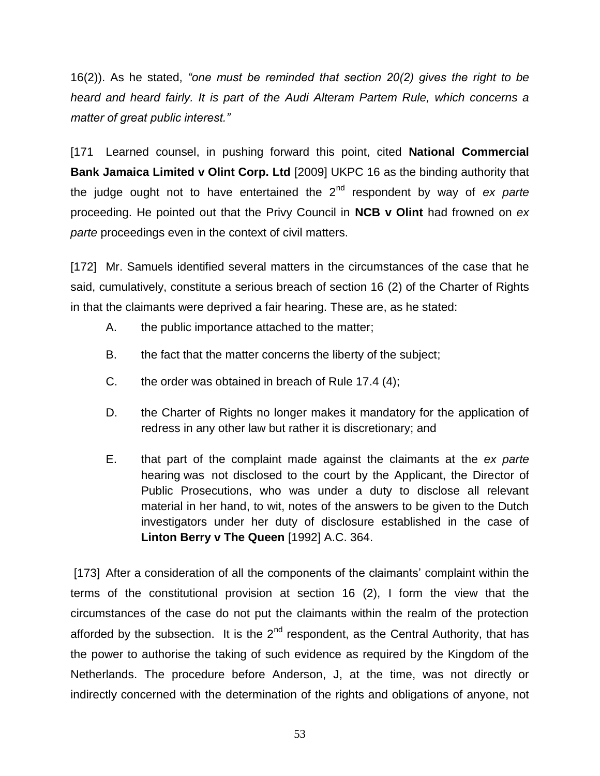16(2)). As he stated, *"one must be reminded that section 20(2) gives the right to be heard and heard fairly. It is part of the Audi Alteram Partem Rule, which concerns a matter of great public interest."* 

[171 Learned counsel, in pushing forward this point, cited **National Commercial Bank Jamaica Limited v Olint Corp. Ltd** [2009] UKPC 16 as the binding authority that the judge ought not to have entertained the 2nd respondent by way of *ex parte* proceeding. He pointed out that the Privy Council in **NCB v Olint** had frowned on *ex parte* proceedings even in the context of civil matters.

[172] Mr. Samuels identified several matters in the circumstances of the case that he said, cumulatively, constitute a serious breach of section 16 (2) of the Charter of Rights in that the claimants were deprived a fair hearing. These are, as he stated:

- A. the public importance attached to the matter;
- B. the fact that the matter concerns the liberty of the subject;
- C. the order was obtained in breach of Rule 17.4 (4);
- D. the Charter of Rights no longer makes it mandatory for the application of redress in any other law but rather it is discretionary; and
- E. that part of the complaint made against the claimants at the *ex parte* hearing was not disclosed to the court by the Applicant, the Director of Public Prosecutions, who was under a duty to disclose all relevant material in her hand, to wit, notes of the answers to be given to the Dutch investigators under her duty of disclosure established in the case of **Linton Berry v The Queen** [1992] A.C. 364.

[173] After a consideration of all the components of the claimants' complaint within the terms of the constitutional provision at section 16 (2), I form the view that the circumstances of the case do not put the claimants within the realm of the protection afforded by the subsection. It is the  $2<sup>nd</sup>$  respondent, as the Central Authority, that has the power to authorise the taking of such evidence as required by the Kingdom of the Netherlands. The procedure before Anderson, J, at the time, was not directly or indirectly concerned with the determination of the rights and obligations of anyone, not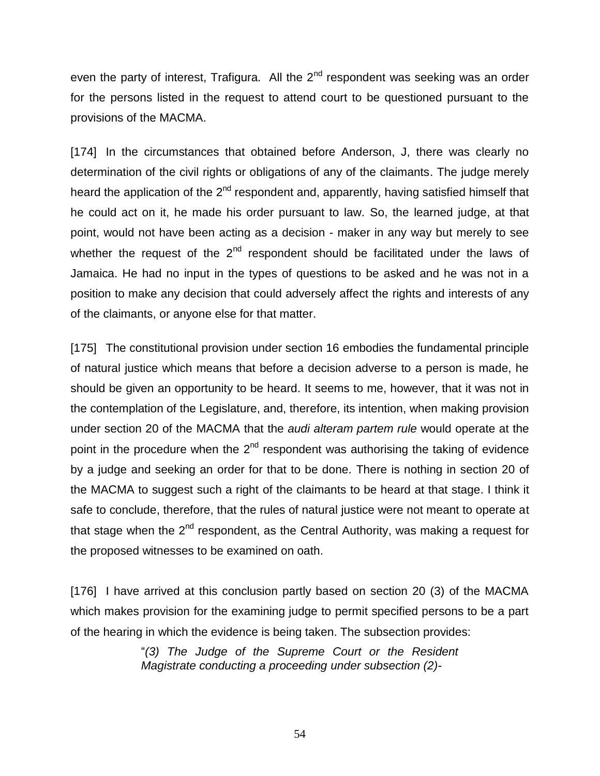even the party of interest, Trafigura. All the  $2^{nd}$  respondent was seeking was an order for the persons listed in the request to attend court to be questioned pursuant to the provisions of the MACMA.

[174] In the circumstances that obtained before Anderson, J, there was clearly no determination of the civil rights or obligations of any of the claimants. The judge merely heard the application of the 2<sup>nd</sup> respondent and, apparently, having satisfied himself that he could act on it, he made his order pursuant to law. So, the learned judge, at that point, would not have been acting as a decision - maker in any way but merely to see whether the request of the  $2<sup>nd</sup>$  respondent should be facilitated under the laws of Jamaica. He had no input in the types of questions to be asked and he was not in a position to make any decision that could adversely affect the rights and interests of any of the claimants, or anyone else for that matter.

[175] The constitutional provision under section 16 embodies the fundamental principle of natural justice which means that before a decision adverse to a person is made, he should be given an opportunity to be heard. It seems to me, however, that it was not in the contemplation of the Legislature, and, therefore, its intention, when making provision under section 20 of the MACMA that the *audi alteram partem rule* would operate at the point in the procedure when the  $2^{nd}$  respondent was authorising the taking of evidence by a judge and seeking an order for that to be done. There is nothing in section 20 of the MACMA to suggest such a right of the claimants to be heard at that stage. I think it safe to conclude, therefore, that the rules of natural justice were not meant to operate at that stage when the 2<sup>nd</sup> respondent, as the Central Authority, was making a request for the proposed witnesses to be examined on oath.

[176] I have arrived at this conclusion partly based on section 20 (3) of the MACMA which makes provision for the examining judge to permit specified persons to be a part of the hearing in which the evidence is being taken. The subsection provides:

> "*(3) The Judge of the Supreme Court or the Resident Magistrate conducting a proceeding under subsection (2)-*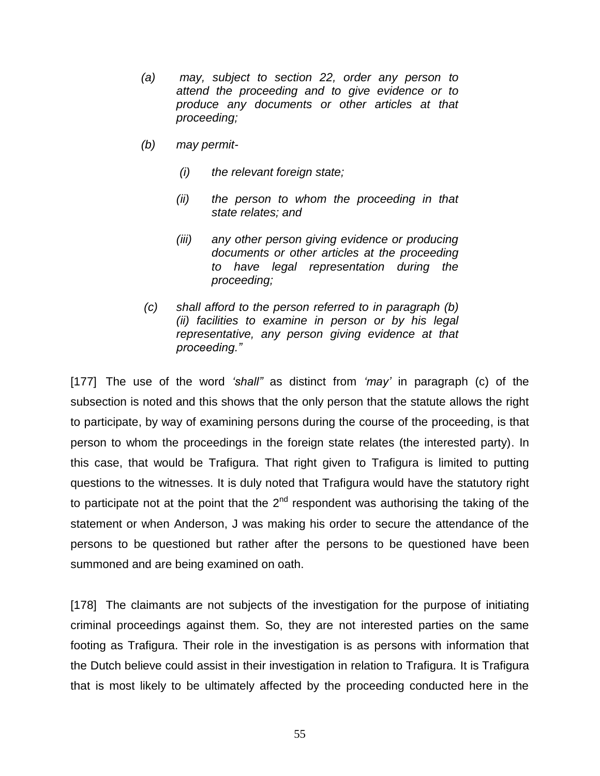- *(a) may, subject to section 22, order any person to attend the proceeding and to give evidence or to produce any documents or other articles at that proceeding;*
- *(b) may permit-*
	- *(i) the relevant foreign state;*
	- *(ii) the person to whom the proceeding in that state relates; and*
	- *(iii) any other person giving evidence or producing documents or other articles at the proceeding to have legal representation during the proceeding;*
- *(c) shall afford to the person referred to in paragraph (b) (ii) facilities to examine in person or by his legal representative, any person giving evidence at that proceeding."*

[177] The use of the word *'shall"* as distinct from *'may'* in paragraph (c) of the subsection is noted and this shows that the only person that the statute allows the right to participate, by way of examining persons during the course of the proceeding, is that person to whom the proceedings in the foreign state relates (the interested party). In this case, that would be Trafigura. That right given to Trafigura is limited to putting questions to the witnesses. It is duly noted that Trafigura would have the statutory right to participate not at the point that the  $2<sup>nd</sup>$  respondent was authorising the taking of the statement or when Anderson, J was making his order to secure the attendance of the persons to be questioned but rather after the persons to be questioned have been summoned and are being examined on oath.

[178] The claimants are not subjects of the investigation for the purpose of initiating criminal proceedings against them. So, they are not interested parties on the same footing as Trafigura. Their role in the investigation is as persons with information that the Dutch believe could assist in their investigation in relation to Trafigura. It is Trafigura that is most likely to be ultimately affected by the proceeding conducted here in the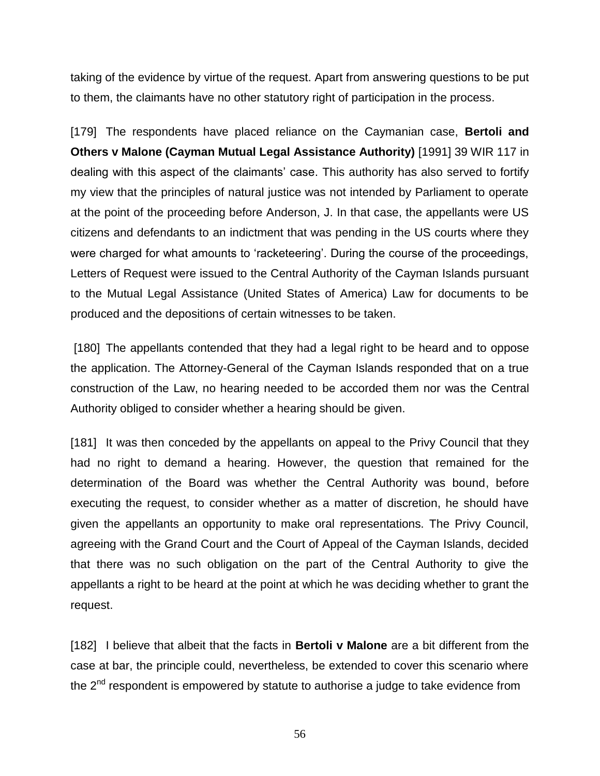taking of the evidence by virtue of the request. Apart from answering questions to be put to them, the claimants have no other statutory right of participation in the process.

[179] The respondents have placed reliance on the Caymanian case, **Bertoli and Others v Malone (Cayman Mutual Legal Assistance Authority)** [1991] 39 WIR 117 in dealing with this aspect of the claimants' case. This authority has also served to fortify my view that the principles of natural justice was not intended by Parliament to operate at the point of the proceeding before Anderson, J. In that case, the appellants were US citizens and defendants to an indictment that was pending in the US courts where they were charged for what amounts to 'racketeering'. During the course of the proceedings, Letters of Request were issued to the Central Authority of the Cayman Islands pursuant to the Mutual Legal Assistance (United States of America) Law for documents to be produced and the depositions of certain witnesses to be taken.

[180] The appellants contended that they had a legal right to be heard and to oppose the application. The Attorney-General of the Cayman Islands responded that on a true construction of the Law, no hearing needed to be accorded them nor was the Central Authority obliged to consider whether a hearing should be given.

[181] It was then conceded by the appellants on appeal to the Privy Council that they had no right to demand a hearing. However, the question that remained for the determination of the Board was whether the Central Authority was bound, before executing the request, to consider whether as a matter of discretion, he should have given the appellants an opportunity to make oral representations. The Privy Council, agreeing with the Grand Court and the Court of Appeal of the Cayman Islands, decided that there was no such obligation on the part of the Central Authority to give the appellants a right to be heard at the point at which he was deciding whether to grant the request.

[182] I believe that albeit that the facts in **Bertoli v Malone** are a bit different from the case at bar, the principle could, nevertheless, be extended to cover this scenario where the  $2<sup>nd</sup>$  respondent is empowered by statute to authorise a judge to take evidence from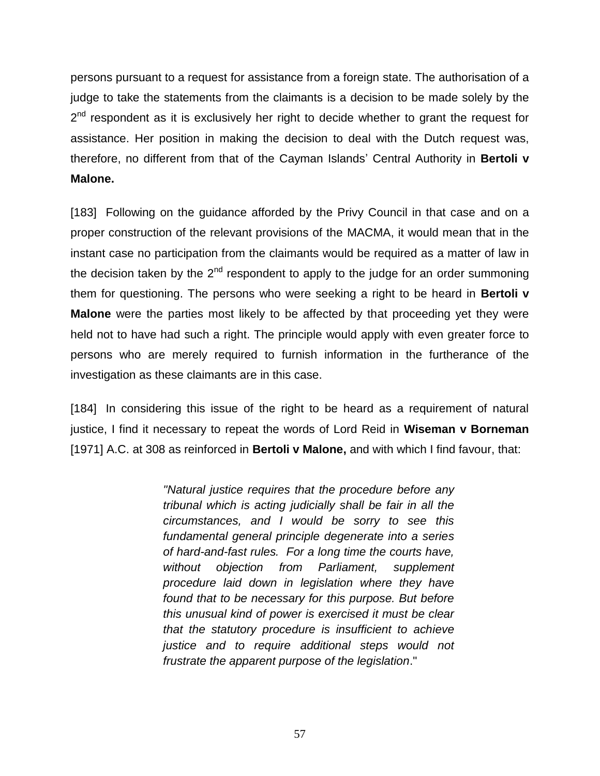persons pursuant to a request for assistance from a foreign state. The authorisation of a judge to take the statements from the claimants is a decision to be made solely by the 2<sup>nd</sup> respondent as it is exclusively her right to decide whether to grant the request for assistance. Her position in making the decision to deal with the Dutch request was, therefore, no different from that of the Cayman Islands' Central Authority in **Bertoli v Malone.**

[183] Following on the guidance afforded by the Privy Council in that case and on a proper construction of the relevant provisions of the MACMA, it would mean that in the instant case no participation from the claimants would be required as a matter of law in the decision taken by the  $2<sup>nd</sup>$  respondent to apply to the judge for an order summoning them for questioning. The persons who were seeking a right to be heard in **Bertoli v Malone** were the parties most likely to be affected by that proceeding yet they were held not to have had such a right. The principle would apply with even greater force to persons who are merely required to furnish information in the furtherance of the investigation as these claimants are in this case.

[184] In considering this issue of the right to be heard as a requirement of natural justice, I find it necessary to repeat the words of Lord Reid in **Wiseman v Borneman** [1971] A.C. at 308 as reinforced in **Bertoli v Malone,** and with which I find favour, that:

> *"Natural justice requires that the procedure before any tribunal which is acting judicially shall be fair in all the circumstances, and I would be sorry to see this fundamental general principle degenerate into a series of hard-and-fast rules. For a long time the courts have, without objection from Parliament, supplement procedure laid down in legislation where they have found that to be necessary for this purpose. But before this unusual kind of power is exercised it must be clear that the statutory procedure is insufficient to achieve justice and to require additional steps would not frustrate the apparent purpose of the legislation*."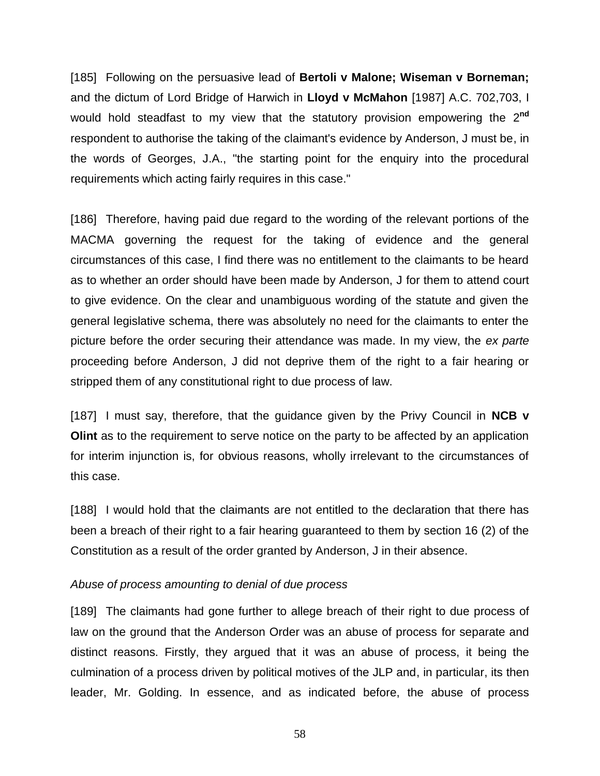[185] Following on the persuasive lead of **Bertoli v Malone; Wiseman v Borneman;** and the dictum of Lord Bridge of Harwich in **Lloyd v McMahon** [1987] A.C. 702,703, I would hold steadfast to my view that the statutory provision empowering the 2 **nd** respondent to authorise the taking of the claimant's evidence by Anderson, J must be, in the words of Georges, J.A., "the starting point for the enquiry into the procedural requirements which acting fairly requires in this case."

[186] Therefore, having paid due regard to the wording of the relevant portions of the MACMA governing the request for the taking of evidence and the general circumstances of this case, I find there was no entitlement to the claimants to be heard as to whether an order should have been made by Anderson, J for them to attend court to give evidence. On the clear and unambiguous wording of the statute and given the general legislative schema, there was absolutely no need for the claimants to enter the picture before the order securing their attendance was made. In my view, the *ex parte* proceeding before Anderson, J did not deprive them of the right to a fair hearing or stripped them of any constitutional right to due process of law.

[187] I must say, therefore, that the guidance given by the Privy Council in **NCB v Olint** as to the requirement to serve notice on the party to be affected by an application for interim injunction is, for obvious reasons, wholly irrelevant to the circumstances of this case.

[188] I would hold that the claimants are not entitled to the declaration that there has been a breach of their right to a fair hearing guaranteed to them by section 16 (2) of the Constitution as a result of the order granted by Anderson, J in their absence.

### *Abuse of process amounting to denial of due process*

[189] The claimants had gone further to allege breach of their right to due process of law on the ground that the Anderson Order was an abuse of process for separate and distinct reasons. Firstly, they argued that it was an abuse of process, it being the culmination of a process driven by political motives of the JLP and, in particular, its then leader, Mr. Golding. In essence, and as indicated before, the abuse of process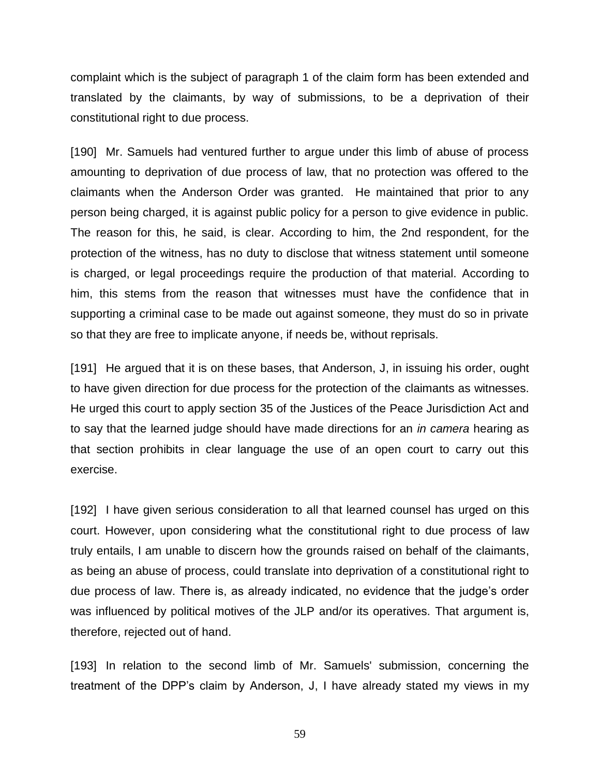complaint which is the subject of paragraph 1 of the claim form has been extended and translated by the claimants, by way of submissions, to be a deprivation of their constitutional right to due process.

[190] Mr. Samuels had ventured further to argue under this limb of abuse of process amounting to deprivation of due process of law, that no protection was offered to the claimants when the Anderson Order was granted. He maintained that prior to any person being charged, it is against public policy for a person to give evidence in public. The reason for this, he said, is clear. According to him, the 2nd respondent, for the protection of the witness, has no duty to disclose that witness statement until someone is charged, or legal proceedings require the production of that material. According to him, this stems from the reason that witnesses must have the confidence that in supporting a criminal case to be made out against someone, they must do so in private so that they are free to implicate anyone, if needs be, without reprisals.

[191] He argued that it is on these bases, that Anderson, J, in issuing his order, ought to have given direction for due process for the protection of the claimants as witnesses. He urged this court to apply section 35 of the Justices of the Peace Jurisdiction Act and to say that the learned judge should have made directions for an *in camera* hearing as that section prohibits in clear language the use of an open court to carry out this exercise.

[192] I have given serious consideration to all that learned counsel has urged on this court. However, upon considering what the constitutional right to due process of law truly entails, I am unable to discern how the grounds raised on behalf of the claimants, as being an abuse of process, could translate into deprivation of a constitutional right to due process of law. There is, as already indicated, no evidence that the judge's order was influenced by political motives of the JLP and/or its operatives. That argument is, therefore, rejected out of hand.

[193] In relation to the second limb of Mr. Samuels' submission, concerning the treatment of the DPP's claim by Anderson, J, I have already stated my views in my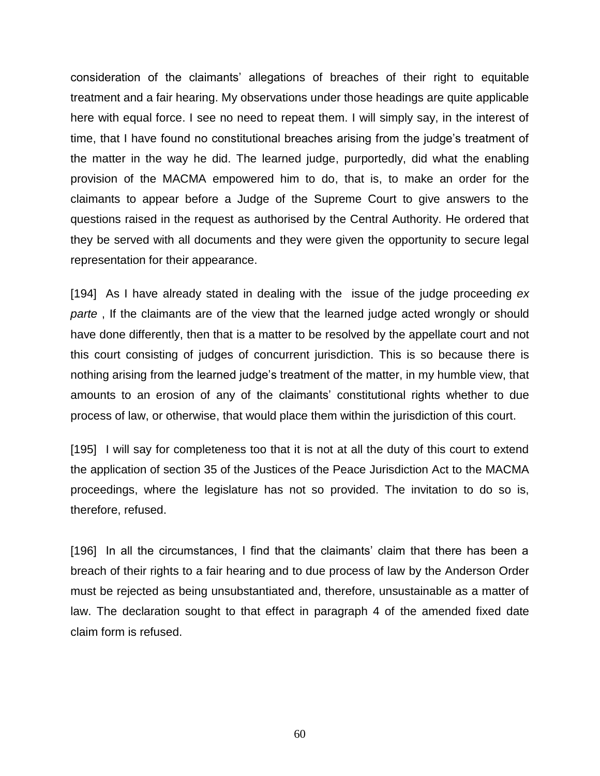consideration of the claimants' allegations of breaches of their right to equitable treatment and a fair hearing. My observations under those headings are quite applicable here with equal force. I see no need to repeat them. I will simply say, in the interest of time, that I have found no constitutional breaches arising from the judge's treatment of the matter in the way he did. The learned judge, purportedly, did what the enabling provision of the MACMA empowered him to do, that is, to make an order for the claimants to appear before a Judge of the Supreme Court to give answers to the questions raised in the request as authorised by the Central Authority. He ordered that they be served with all documents and they were given the opportunity to secure legal representation for their appearance.

[194] As I have already stated in dealing with the issue of the judge proceeding *ex parte* , If the claimants are of the view that the learned judge acted wrongly or should have done differently, then that is a matter to be resolved by the appellate court and not this court consisting of judges of concurrent jurisdiction. This is so because there is nothing arising from the learned judge's treatment of the matter, in my humble view, that amounts to an erosion of any of the claimants' constitutional rights whether to due process of law, or otherwise, that would place them within the jurisdiction of this court.

[195] I will say for completeness too that it is not at all the duty of this court to extend the application of section 35 of the Justices of the Peace Jurisdiction Act to the MACMA proceedings, where the legislature has not so provided. The invitation to do so is, therefore, refused.

[196] In all the circumstances, I find that the claimants' claim that there has been a breach of their rights to a fair hearing and to due process of law by the Anderson Order must be rejected as being unsubstantiated and, therefore, unsustainable as a matter of law. The declaration sought to that effect in paragraph 4 of the amended fixed date claim form is refused.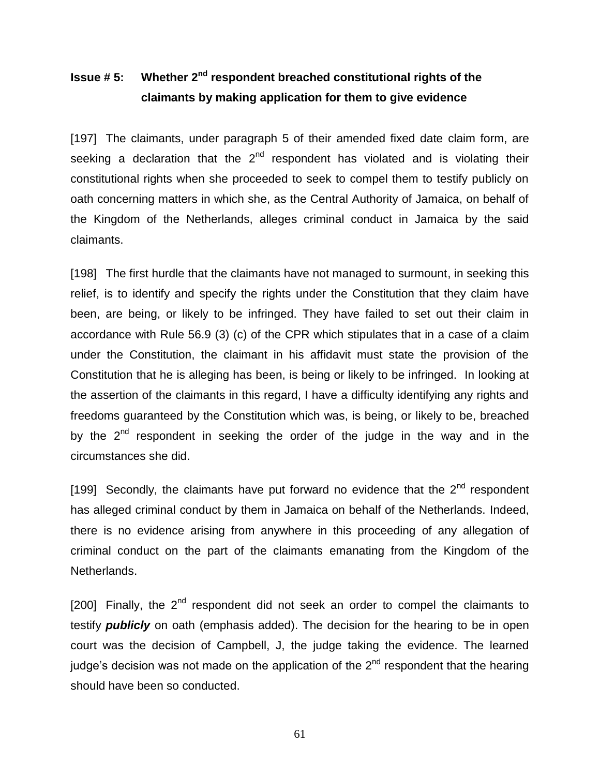## **Issue # 5:** Whether 2<sup>nd</sup> respondent breached constitutional rights of the **claimants by making application for them to give evidence**

[197] The claimants, under paragraph 5 of their amended fixed date claim form, are seeking a declaration that the 2<sup>nd</sup> respondent has violated and is violating their constitutional rights when she proceeded to seek to compel them to testify publicly on oath concerning matters in which she, as the Central Authority of Jamaica, on behalf of the Kingdom of the Netherlands, alleges criminal conduct in Jamaica by the said claimants.

[198] The first hurdle that the claimants have not managed to surmount, in seeking this relief, is to identify and specify the rights under the Constitution that they claim have been, are being, or likely to be infringed. They have failed to set out their claim in accordance with Rule 56.9 (3) (c) of the CPR which stipulates that in a case of a claim under the Constitution, the claimant in his affidavit must state the provision of the Constitution that he is alleging has been, is being or likely to be infringed. In looking at the assertion of the claimants in this regard, I have a difficulty identifying any rights and freedoms guaranteed by the Constitution which was, is being, or likely to be, breached by the 2<sup>nd</sup> respondent in seeking the order of the judge in the way and in the circumstances she did.

[199] Secondly, the claimants have put forward no evidence that the  $2<sup>nd</sup>$  respondent has alleged criminal conduct by them in Jamaica on behalf of the Netherlands. Indeed, there is no evidence arising from anywhere in this proceeding of any allegation of criminal conduct on the part of the claimants emanating from the Kingdom of the Netherlands.

[200] Finally, the  $2^{nd}$  respondent did not seek an order to compel the claimants to testify *publicly* on oath (emphasis added). The decision for the hearing to be in open court was the decision of Campbell, J, the judge taking the evidence. The learned judge's decision was not made on the application of the  $2<sup>nd</sup>$  respondent that the hearing should have been so conducted.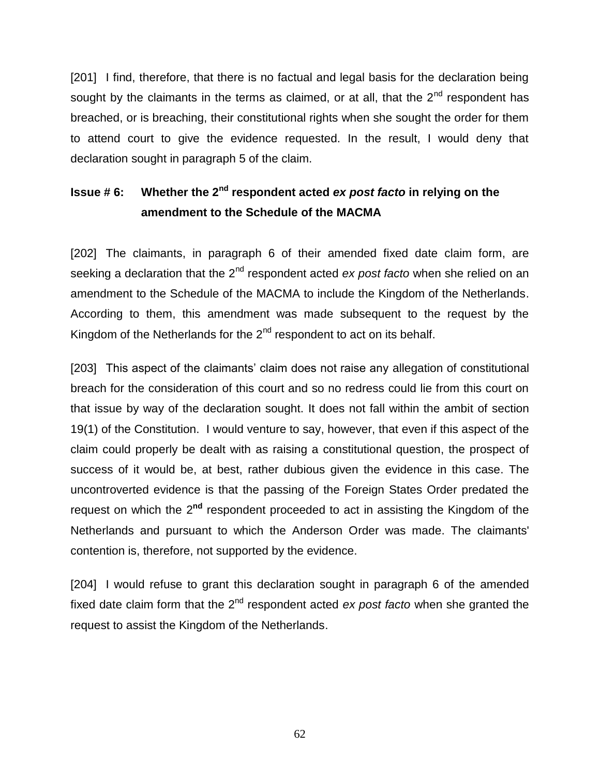[201] I find, therefore, that there is no factual and legal basis for the declaration being sought by the claimants in the terms as claimed, or at all, that the  $2<sup>nd</sup>$  respondent has breached, or is breaching, their constitutional rights when she sought the order for them to attend court to give the evidence requested. In the result, I would deny that declaration sought in paragraph 5 of the claim.

# **Issue # 6: Whether the 2nd respondent acted** *ex post facto* **in relying on the amendment to the Schedule of the MACMA**

[202] The claimants, in paragraph 6 of their amended fixed date claim form, are seeking a declaration that the 2<sup>nd</sup> respondent acted *ex post facto* when she relied on an amendment to the Schedule of the MACMA to include the Kingdom of the Netherlands. According to them, this amendment was made subsequent to the request by the Kingdom of the Netherlands for the  $2<sup>nd</sup>$  respondent to act on its behalf.

[203] This aspect of the claimants' claim does not raise any allegation of constitutional breach for the consideration of this court and so no redress could lie from this court on that issue by way of the declaration sought. It does not fall within the ambit of section 19(1) of the Constitution. I would venture to say, however, that even if this aspect of the claim could properly be dealt with as raising a constitutional question, the prospect of success of it would be, at best, rather dubious given the evidence in this case. The uncontroverted evidence is that the passing of the Foreign States Order predated the request on which the 2<sup>nd</sup> respondent proceeded to act in assisting the Kingdom of the Netherlands and pursuant to which the Anderson Order was made. The claimants' contention is, therefore, not supported by the evidence.

[204] I would refuse to grant this declaration sought in paragraph 6 of the amended fixed date claim form that the 2<sup>nd</sup> respondent acted *ex post facto* when she granted the request to assist the Kingdom of the Netherlands.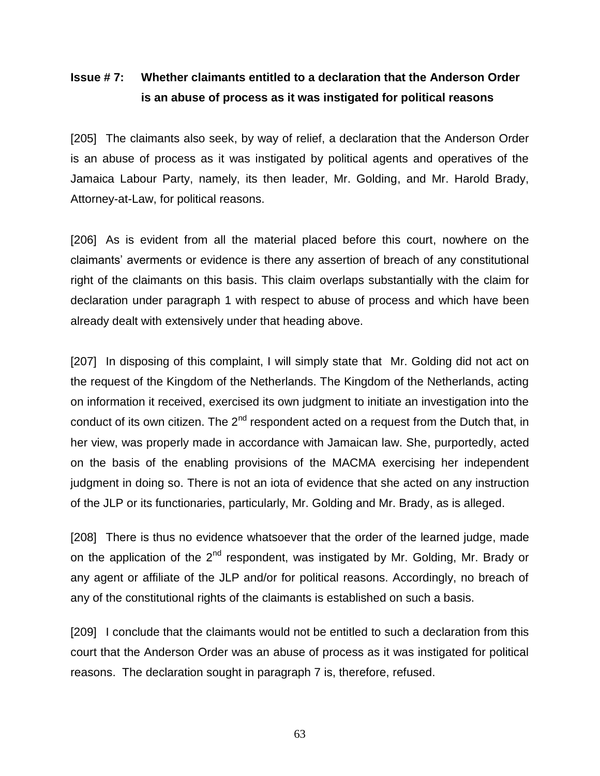### **Issue # 7: Whether claimants entitled to a declaration that the Anderson Order is an abuse of process as it was instigated for political reasons**

[205] The claimants also seek, by way of relief, a declaration that the Anderson Order is an abuse of process as it was instigated by political agents and operatives of the Jamaica Labour Party, namely, its then leader, Mr. Golding, and Mr. Harold Brady, Attorney-at-Law, for political reasons.

[206] As is evident from all the material placed before this court, nowhere on the claimants' averments or evidence is there any assertion of breach of any constitutional right of the claimants on this basis. This claim overlaps substantially with the claim for declaration under paragraph 1 with respect to abuse of process and which have been already dealt with extensively under that heading above.

[207] In disposing of this complaint, I will simply state that Mr. Golding did not act on the request of the Kingdom of the Netherlands. The Kingdom of the Netherlands, acting on information it received, exercised its own judgment to initiate an investigation into the conduct of its own citizen. The  $2^{nd}$  respondent acted on a request from the Dutch that, in her view, was properly made in accordance with Jamaican law. She, purportedly, acted on the basis of the enabling provisions of the MACMA exercising her independent judgment in doing so. There is not an iota of evidence that she acted on any instruction of the JLP or its functionaries, particularly, Mr. Golding and Mr. Brady, as is alleged.

[208] There is thus no evidence whatsoever that the order of the learned judge, made on the application of the  $2^{nd}$  respondent, was instigated by Mr. Golding, Mr. Brady or any agent or affiliate of the JLP and/or for political reasons. Accordingly, no breach of any of the constitutional rights of the claimants is established on such a basis.

[209] I conclude that the claimants would not be entitled to such a declaration from this court that the Anderson Order was an abuse of process as it was instigated for political reasons. The declaration sought in paragraph 7 is, therefore, refused.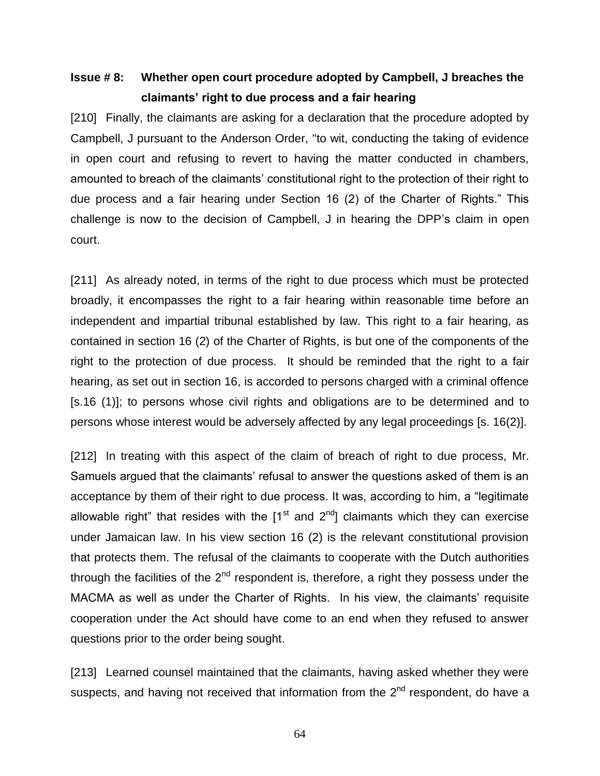### **Issue # 8: Whether open court procedure adopted by Campbell, J breaches the claimants' right to due process and a fair hearing**

[210] Finally, the claimants are asking for a declaration that the procedure adopted by Campbell, J pursuant to the Anderson Order, "to wit, conducting the taking of evidence in open court and refusing to revert to having the matter conducted in chambers, amounted to breach of the claimants' constitutional right to the protection of their right to due process and a fair hearing under Section 16 (2) of the Charter of Rights." This challenge is now to the decision of Campbell, J in hearing the DPP's claim in open court.

[211] As already noted, in terms of the right to due process which must be protected broadly, it encompasses the right to a fair hearing within reasonable time before an independent and impartial tribunal established by law. This right to a fair hearing, as contained in section 16 (2) of the Charter of Rights, is but one of the components of the right to the protection of due process. It should be reminded that the right to a fair hearing, as set out in section 16, is accorded to persons charged with a criminal offence [s.16 (1)]; to persons whose civil rights and obligations are to be determined and to persons whose interest would be adversely affected by any legal proceedings [s. 16(2)].

[212] In treating with this aspect of the claim of breach of right to due process, Mr. Samuels argued that the claimants' refusal to answer the questions asked of them is an acceptance by them of their right to due process. It was, according to him, a "legitimate allowable right" that resides with the  $1<sup>st</sup>$  and  $2<sup>nd</sup>$ ] claimants which they can exercise under Jamaican law. In his view section 16 (2) is the relevant constitutional provision that protects them. The refusal of the claimants to cooperate with the Dutch authorities through the facilities of the  $2<sup>nd</sup>$  respondent is, therefore, a right they possess under the MACMA as well as under the Charter of Rights. In his view, the claimants' requisite cooperation under the Act should have come to an end when they refused to answer questions prior to the order being sought.

[213] Learned counsel maintained that the claimants, having asked whether they were suspects, and having not received that information from the  $2<sup>nd</sup>$  respondent, do have a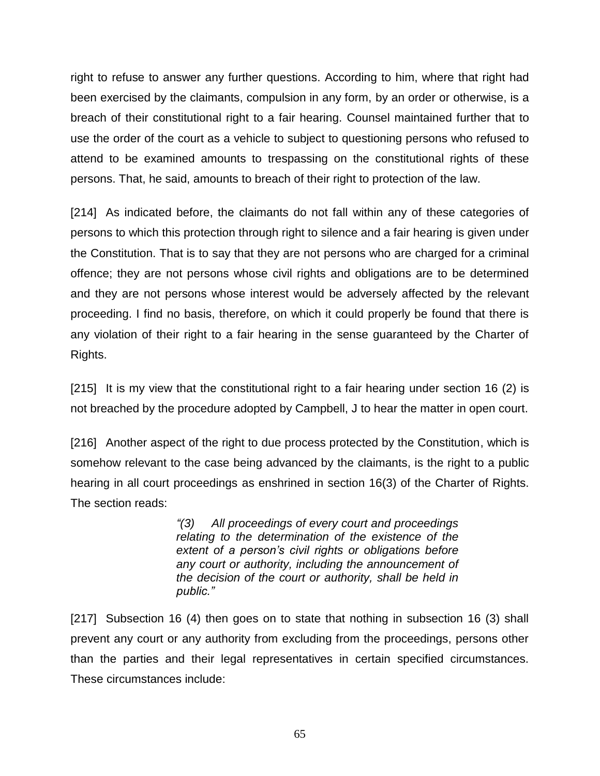right to refuse to answer any further questions. According to him, where that right had been exercised by the claimants, compulsion in any form, by an order or otherwise, is a breach of their constitutional right to a fair hearing. Counsel maintained further that to use the order of the court as a vehicle to subject to questioning persons who refused to attend to be examined amounts to trespassing on the constitutional rights of these persons. That, he said, amounts to breach of their right to protection of the law.

[214] As indicated before, the claimants do not fall within any of these categories of persons to which this protection through right to silence and a fair hearing is given under the Constitution. That is to say that they are not persons who are charged for a criminal offence; they are not persons whose civil rights and obligations are to be determined and they are not persons whose interest would be adversely affected by the relevant proceeding. I find no basis, therefore, on which it could properly be found that there is any violation of their right to a fair hearing in the sense guaranteed by the Charter of Rights.

[215] It is my view that the constitutional right to a fair hearing under section 16 (2) is not breached by the procedure adopted by Campbell, J to hear the matter in open court.

[216] Another aspect of the right to due process protected by the Constitution, which is somehow relevant to the case being advanced by the claimants, is the right to a public hearing in all court proceedings as enshrined in section 16(3) of the Charter of Rights. The section reads:

> *"(3) All proceedings of every court and proceedings relating to the determination of the existence of the extent of a person's civil rights or obligations before any court or authority, including the announcement of the decision of the court or authority, shall be held in public."*

[217] Subsection 16 (4) then goes on to state that nothing in subsection 16 (3) shall prevent any court or any authority from excluding from the proceedings, persons other than the parties and their legal representatives in certain specified circumstances. These circumstances include: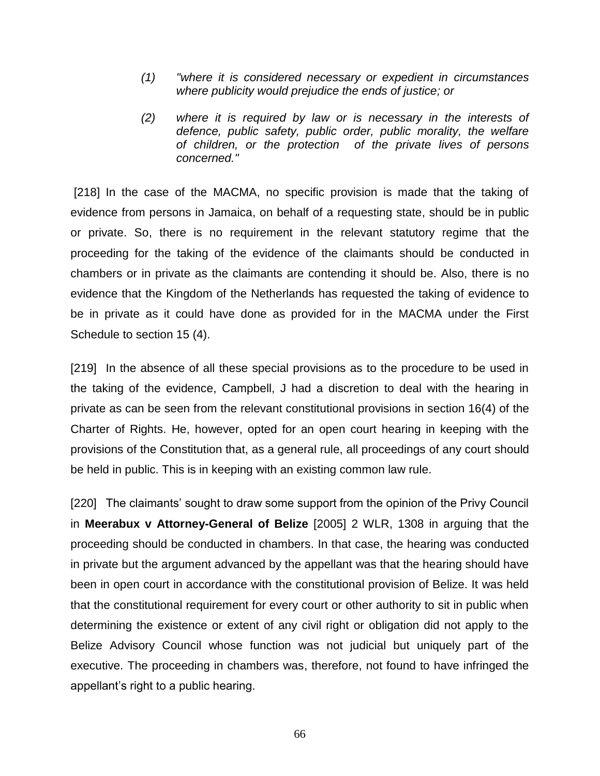- *(1) "where it is considered necessary or expedient in circumstances where publicity would prejudice the ends of justice; or*
- *(2) where it is required by law or is necessary in the interests of defence, public safety, public order, public morality, the welfare of children, or the protection of the private lives of persons concerned."*

[218] In the case of the MACMA, no specific provision is made that the taking of evidence from persons in Jamaica, on behalf of a requesting state, should be in public or private. So, there is no requirement in the relevant statutory regime that the proceeding for the taking of the evidence of the claimants should be conducted in chambers or in private as the claimants are contending it should be. Also, there is no evidence that the Kingdom of the Netherlands has requested the taking of evidence to be in private as it could have done as provided for in the MACMA under the First Schedule to section 15 (4).

[219] In the absence of all these special provisions as to the procedure to be used in the taking of the evidence, Campbell, J had a discretion to deal with the hearing in private as can be seen from the relevant constitutional provisions in section 16(4) of the Charter of Rights. He, however, opted for an open court hearing in keeping with the provisions of the Constitution that, as a general rule, all proceedings of any court should be held in public. This is in keeping with an existing common law rule.

[220] The claimants' sought to draw some support from the opinion of the Privy Council in **Meerabux v Attorney-General of Belize** [2005] 2 WLR, 1308 in arguing that the proceeding should be conducted in chambers. In that case, the hearing was conducted in private but the argument advanced by the appellant was that the hearing should have been in open court in accordance with the constitutional provision of Belize. It was held that the constitutional requirement for every court or other authority to sit in public when determining the existence or extent of any civil right or obligation did not apply to the Belize Advisory Council whose function was not judicial but uniquely part of the executive. The proceeding in chambers was, therefore, not found to have infringed the appellant's right to a public hearing.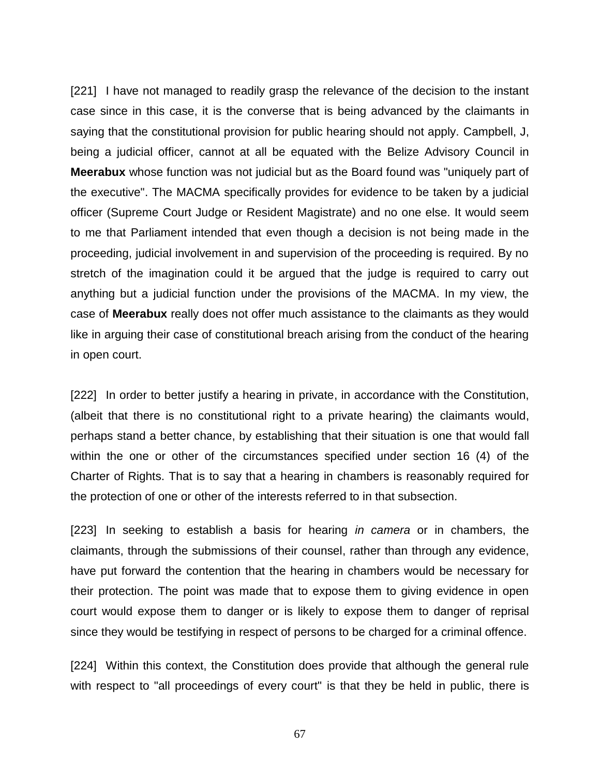[221] I have not managed to readily grasp the relevance of the decision to the instant case since in this case, it is the converse that is being advanced by the claimants in saying that the constitutional provision for public hearing should not apply. Campbell, J, being a judicial officer, cannot at all be equated with the Belize Advisory Council in **Meerabux** whose function was not judicial but as the Board found was "uniquely part of the executive". The MACMA specifically provides for evidence to be taken by a judicial officer (Supreme Court Judge or Resident Magistrate) and no one else. It would seem to me that Parliament intended that even though a decision is not being made in the proceeding, judicial involvement in and supervision of the proceeding is required. By no stretch of the imagination could it be argued that the judge is required to carry out anything but a judicial function under the provisions of the MACMA. In my view, the case of **Meerabux** really does not offer much assistance to the claimants as they would like in arguing their case of constitutional breach arising from the conduct of the hearing in open court.

[222] In order to better justify a hearing in private, in accordance with the Constitution, (albeit that there is no constitutional right to a private hearing) the claimants would, perhaps stand a better chance, by establishing that their situation is one that would fall within the one or other of the circumstances specified under section 16 (4) of the Charter of Rights. That is to say that a hearing in chambers is reasonably required for the protection of one or other of the interests referred to in that subsection.

[223] In seeking to establish a basis for hearing *in camera* or in chambers, the claimants, through the submissions of their counsel, rather than through any evidence, have put forward the contention that the hearing in chambers would be necessary for their protection. The point was made that to expose them to giving evidence in open court would expose them to danger or is likely to expose them to danger of reprisal since they would be testifying in respect of persons to be charged for a criminal offence.

[224] Within this context, the Constitution does provide that although the general rule with respect to "all proceedings of every court" is that they be held in public, there is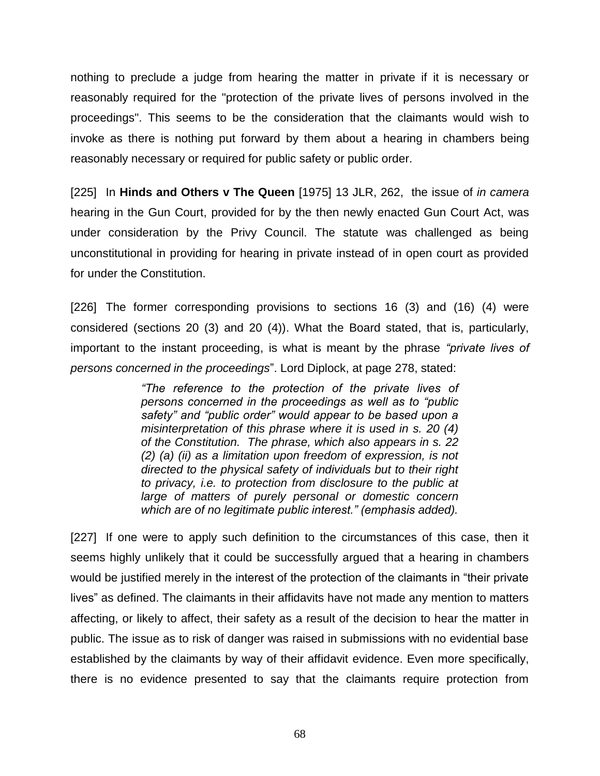nothing to preclude a judge from hearing the matter in private if it is necessary or reasonably required for the "protection of the private lives of persons involved in the proceedings". This seems to be the consideration that the claimants would wish to invoke as there is nothing put forward by them about a hearing in chambers being reasonably necessary or required for public safety or public order.

[225] In **Hinds and Others v The Queen** [1975] 13 JLR, 262, the issue of *in camera*  hearing in the Gun Court, provided for by the then newly enacted Gun Court Act, was under consideration by the Privy Council. The statute was challenged as being unconstitutional in providing for hearing in private instead of in open court as provided for under the Constitution.

[226] The former corresponding provisions to sections 16 (3) and (16) (4) were considered (sections 20 (3) and 20 (4)). What the Board stated, that is, particularly, important to the instant proceeding, is what is meant by the phrase *"private lives of persons concerned in the proceedings*". Lord Diplock, at page 278, stated:

> *"The reference to the protection of the private lives of persons concerned in the proceedings as well as to "public safety" and "public order" would appear to be based upon a misinterpretation of this phrase where it is used in s. 20 (4) of the Constitution. The phrase, which also appears in s. 22 (2) (a) (ii) as a limitation upon freedom of expression, is not directed to the physical safety of individuals but to their right to privacy, i.e. to protection from disclosure to the public at large of matters of purely personal or domestic concern which are of no legitimate public interest." (emphasis added).*

[227] If one were to apply such definition to the circumstances of this case, then it seems highly unlikely that it could be successfully argued that a hearing in chambers would be justified merely in the interest of the protection of the claimants in "their private lives" as defined. The claimants in their affidavits have not made any mention to matters affecting, or likely to affect, their safety as a result of the decision to hear the matter in public. The issue as to risk of danger was raised in submissions with no evidential base established by the claimants by way of their affidavit evidence. Even more specifically, there is no evidence presented to say that the claimants require protection from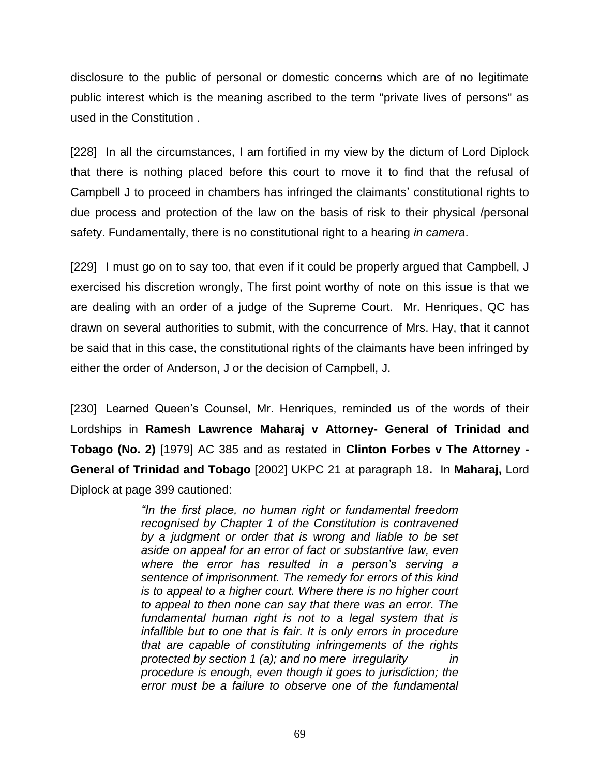disclosure to the public of personal or domestic concerns which are of no legitimate public interest which is the meaning ascribed to the term "private lives of persons" as used in the Constitution .

[228] In all the circumstances, I am fortified in my view by the dictum of Lord Diplock that there is nothing placed before this court to move it to find that the refusal of Campbell J to proceed in chambers has infringed the claimants' constitutional rights to due process and protection of the law on the basis of risk to their physical /personal safety. Fundamentally, there is no constitutional right to a hearing *in camera*.

[229] I must go on to say too, that even if it could be properly argued that Campbell, J exercised his discretion wrongly, The first point worthy of note on this issue is that we are dealing with an order of a judge of the Supreme Court. Mr. Henriques, QC has drawn on several authorities to submit, with the concurrence of Mrs. Hay, that it cannot be said that in this case, the constitutional rights of the claimants have been infringed by either the order of Anderson, J or the decision of Campbell, J.

[230] Learned Queen's Counsel, Mr. Henriques, reminded us of the words of their Lordships in **Ramesh Lawrence Maharaj v Attorney- General of Trinidad and Tobago (No. 2)** [1979] AC 385 and as restated in **Clinton Forbes v The Attorney - General of Trinidad and Tobago** [2002] UKPC 21 at paragraph 18**.** In **Maharaj,** Lord Diplock at page 399 cautioned:

> *"In the first place, no human right or fundamental freedom recognised by Chapter 1 of the Constitution is contravened by a judgment or order that is wrong and liable to be set aside on appeal for an error of fact or substantive law, even where the error has resulted in a person's serving a sentence of imprisonment. The remedy for errors of this kind is to appeal to a higher court. Where there is no higher court to appeal to then none can say that there was an error. The fundamental human right is not to a legal system that is infallible but to one that is fair. It is only errors in procedure that are capable of constituting infringements of the rights protected by section 1 (a); and no mere irregularity in procedure is enough, even though it goes to jurisdiction; the error must be a failure to observe one of the fundamental*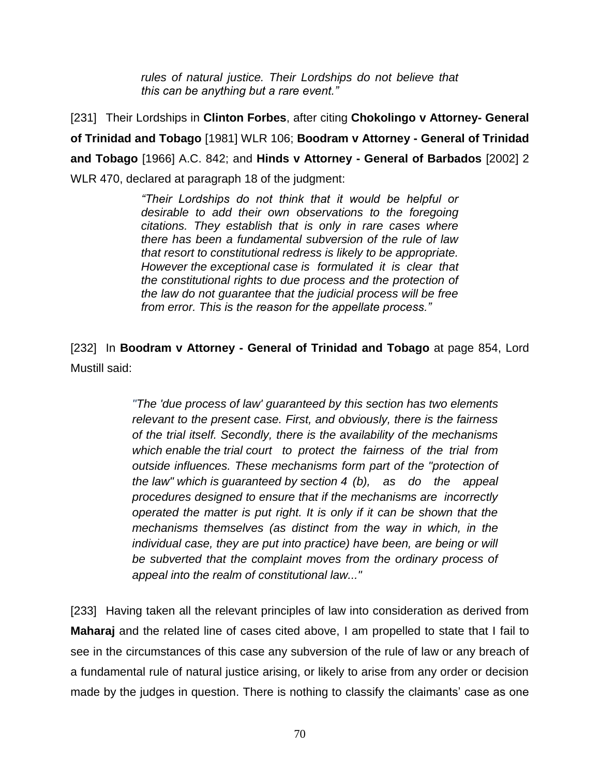*rules of natural justice. Their Lordships do not believe that this can be anything but a rare event."*

[231] Their Lordships in **Clinton Forbes**, after citing **Chokolingo v Attorney- General of Trinidad and Tobago** [1981] WLR 106; **Boodram v Attorney - General of Trinidad and Tobago** [1966] A.C. 842; and **Hinds v Attorney - General of Barbados** [2002] 2 WLR 470, declared at paragraph 18 of the judgment:

> *"Their Lordships do not think that it would be helpful or desirable to add their own observations to the foregoing citations. They establish that is only in rare cases where there has been a fundamental subversion of the rule of law that resort to constitutional redress is likely to be appropriate. However the exceptional case is formulated it is clear that the constitutional rights to due process and the protection of the law do not guarantee that the judicial process will be free from error. This is the reason for the appellate process."*

[232] In **Boodram v Attorney - General of Trinidad and Tobago** at page 854, Lord Mustill said:

> *"The 'due process of law' guaranteed by this section has two elements relevant to the present case. First, and obviously, there is the fairness of the trial itself. Secondly, there is the availability of the mechanisms which enable the trial court to protect the fairness of the trial from outside influences. These mechanisms form part of the "protection of the law" which is guaranteed by section 4 (b), as do the appeal procedures designed to ensure that if the mechanisms are incorrectly operated the matter is put right. It is only if it can be shown that the mechanisms themselves (as distinct from the way in which, in the individual case, they are put into practice) have been, are being or will be subverted that the complaint moves from the ordinary process of appeal into the realm of constitutional law..."*

[233] Having taken all the relevant principles of law into consideration as derived from **Maharaj** and the related line of cases cited above, I am propelled to state that I fail to see in the circumstances of this case any subversion of the rule of law or any breach of a fundamental rule of natural justice arising, or likely to arise from any order or decision made by the judges in question. There is nothing to classify the claimants' case as one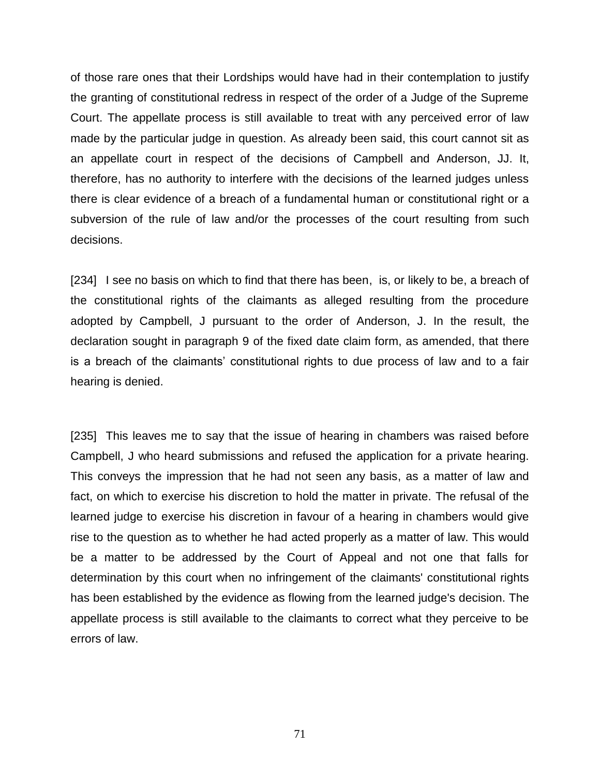of those rare ones that their Lordships would have had in their contemplation to justify the granting of constitutional redress in respect of the order of a Judge of the Supreme Court. The appellate process is still available to treat with any perceived error of law made by the particular judge in question. As already been said, this court cannot sit as an appellate court in respect of the decisions of Campbell and Anderson, JJ. It, therefore, has no authority to interfere with the decisions of the learned judges unless there is clear evidence of a breach of a fundamental human or constitutional right or a subversion of the rule of law and/or the processes of the court resulting from such decisions.

[234] I see no basis on which to find that there has been, is, or likely to be, a breach of the constitutional rights of the claimants as alleged resulting from the procedure adopted by Campbell, J pursuant to the order of Anderson, J. In the result, the declaration sought in paragraph 9 of the fixed date claim form, as amended, that there is a breach of the claimants' constitutional rights to due process of law and to a fair hearing is denied.

[235] This leaves me to say that the issue of hearing in chambers was raised before Campbell, J who heard submissions and refused the application for a private hearing. This conveys the impression that he had not seen any basis, as a matter of law and fact, on which to exercise his discretion to hold the matter in private. The refusal of the learned judge to exercise his discretion in favour of a hearing in chambers would give rise to the question as to whether he had acted properly as a matter of law. This would be a matter to be addressed by the Court of Appeal and not one that falls for determination by this court when no infringement of the claimants' constitutional rights has been established by the evidence as flowing from the learned judge's decision. The appellate process is still available to the claimants to correct what they perceive to be errors of law.